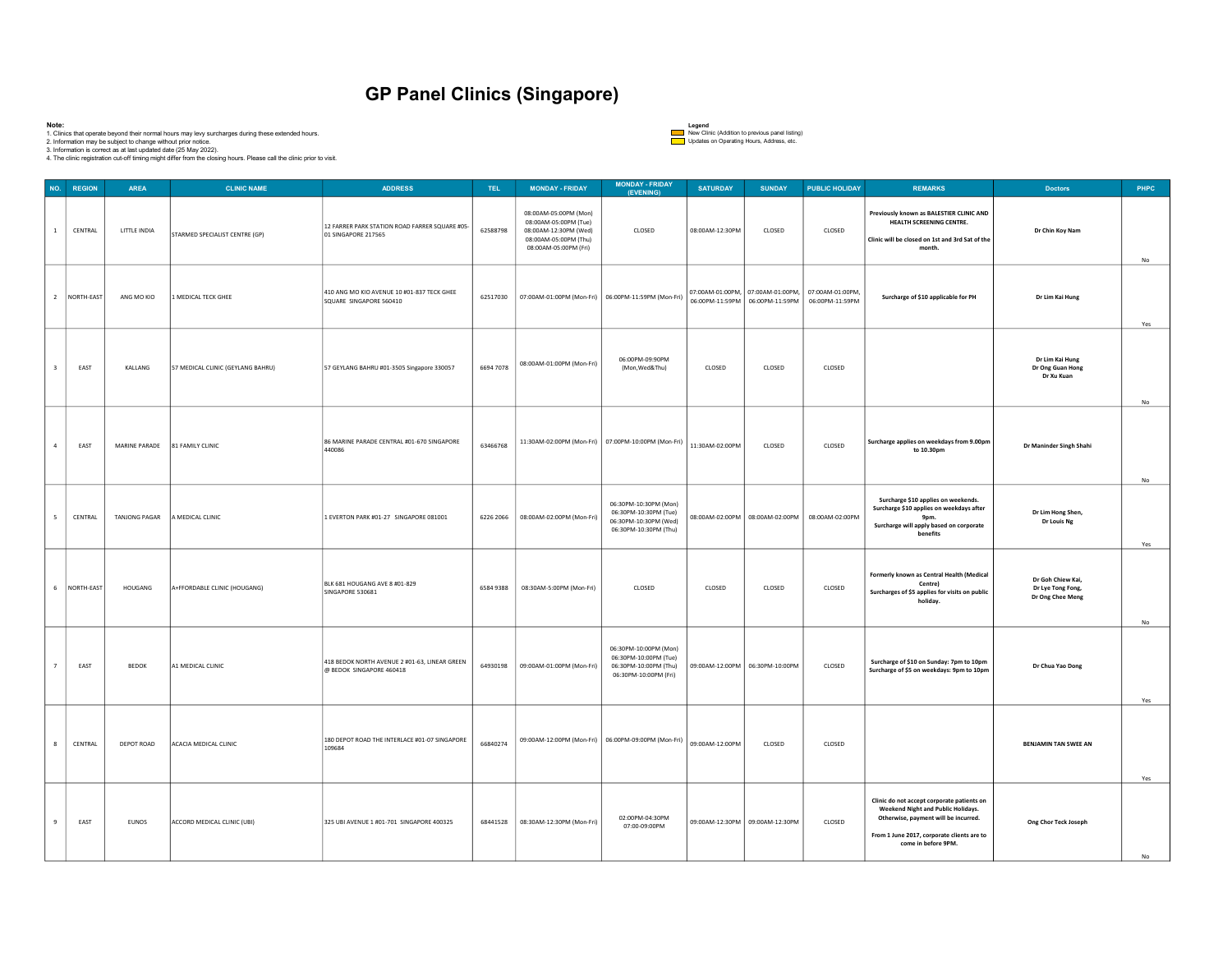| Note:                   |              | 2. Information may be subject to change without prior notice.<br>3. Information is correct as at last updated date (25 May 2022). | 1. Clinics that operate beyond their normal hours may levy surcharges during these extended hours.<br>4. The clinic registration cut-off timing might differ from the closing hours. Please call the clinic prior to visit. | <b>GP Panel Clinics (Singapore)</b>                                       |           |                                                                                                                           |                                                                                                  | Legend<br>Updates on Operating Hours, Address, etc. | New Clinic (Addition to previous panel listing)                      |                                     |                                                                                                                                                                                               |                                                            |            |
|-------------------------|--------------|-----------------------------------------------------------------------------------------------------------------------------------|-----------------------------------------------------------------------------------------------------------------------------------------------------------------------------------------------------------------------------|---------------------------------------------------------------------------|-----------|---------------------------------------------------------------------------------------------------------------------------|--------------------------------------------------------------------------------------------------|-----------------------------------------------------|----------------------------------------------------------------------|-------------------------------------|-----------------------------------------------------------------------------------------------------------------------------------------------------------------------------------------------|------------------------------------------------------------|------------|
|                         | NO. REGION   | AREA                                                                                                                              | <b>CLINIC NAME</b>                                                                                                                                                                                                          | <b>ADDRESS</b>                                                            | TEL.      | <b>MONDAY - FRIDAY</b>                                                                                                    | <b>MONDAY - FRIDAY</b><br>(EVENING)                                                              | <b>SATURDAY</b>                                     | <b>SUNDAY</b>                                                        | PUBLIC HOLIDAY                      | <b>REMARKS</b>                                                                                                                                                                                | <b>Doctors</b>                                             | PHPC       |
| $\mathbf{1}$            | CENTRAL      | LITTLE INDIA                                                                                                                      | STARMED SPECIALIST CENTRE (GP)                                                                                                                                                                                              | 12 FARRER PARK STATION ROAD FARRER SQUARE #05-<br>01 SINGAPORE 217565     | 62588798  | 08:00AM-05:00PM (Mon)<br>08:00AM-05:00PM (Tue)<br>08:00AM-12:30PM (Wed)<br>08:00AM-05:00PM (Thu)<br>08:00AM-05:00PM (Fri) | CLOSED                                                                                           | 08:00AM-12:30PM                                     | CLOSED                                                               | CLOSED                              | Previously known as BALESTIER CLINIC AND<br>HEALTH SCREENING CENTRE.<br>Clinic will be closed on 1st and 3rd Sat of the<br>month.                                                             | Dr Chin Koy Nam                                            | No         |
|                         | 2 NORTH-EAST | ANG MO KIO                                                                                                                        | 1 MEDICAL TECK GHEE                                                                                                                                                                                                         | 410 ANG MO KIO AVENUE 10 #01-837 TECK GHEE<br>SQUARE SINGAPORE 560410     | 62517030  | 07:00AM-01:00PM (Mon-Fri) 06:00PM-11:59PM (Mon-Fri)                                                                       |                                                                                                  |                                                     | 07:00AM-01:00PM, 07:00AM-01:00PM,<br>06:00PM-11:59PM 06:00PM-11:59PM | 07:00AM-01:00PM,<br>06:00PM-11:59PM | Surcharge of \$10 applicable for PH                                                                                                                                                           | Dr Lim Kai Hung                                            | Yes        |
| $\overline{\mathbf{3}}$ | EAST         | KALLANG                                                                                                                           | 57 MEDICAL CLINIC (GEYLANG BAHRU)                                                                                                                                                                                           | 57 GEYLANG BAHRU #01-3505 Singapore 330057                                | 6694 7078 | 08:00AM-01:00PM (Mon-Fri)                                                                                                 | 06:00PM-09:90PM<br>(Mon, Wed&Thu)                                                                | CLOSED                                              | CLOSED                                                               | CLOSED                              |                                                                                                                                                                                               | Dr Lim Kai Hung<br>Dr Ong Guan Hong<br>Dr Xu Kuan          |            |
|                         |              |                                                                                                                                   |                                                                                                                                                                                                                             |                                                                           |           |                                                                                                                           |                                                                                                  |                                                     |                                                                      |                                     |                                                                                                                                                                                               |                                                            | No         |
| $\overline{4}$          | EAST         | MARINE PARADE                                                                                                                     | 81 FAMILY CLINIC                                                                                                                                                                                                            | 86 MARINE PARADE CENTRAL #01-670 SINGAPORE<br>440086                      | 63466768  |                                                                                                                           | 11:30AM-02:00PM (Mon-Fri)   07:00PM-10:00PM (Mon-Fri)   11:30AM-02:00PM                          |                                                     | CLOSED                                                               | CLOSED                              | Surcharge applies on weekdays from 9.00pm<br>to 10.30pm                                                                                                                                       | Dr Maninder Singh Shahi                                    |            |
| 5                       | CENTRAL      | TANJONG PAGAR                                                                                                                     | A MEDICAL CLINIC                                                                                                                                                                                                            | 1 EVERTON PARK #01-27 SINGAPORE 081001                                    | 6226 2066 | 08:00AM-02:00PM (Mon-Fri)                                                                                                 | 06:30PM-10:30PM (Mon)<br>06:30PM-10:30PM (Tue)<br>06:30PM-10:30PM (Wed)<br>06:30PM-10:30PM (Thu) |                                                     | 08:00AM-02:00PM 08:00AM-02:00PM 08:00AM-02:00PM                      |                                     | Surcharge \$10 applies on weekends.<br>Surcharge \$10 applies on weekdays after<br>9pm<br>Surcharge will apply based on corporate<br>benefits                                                 | Dr Lim Hong Shen,<br>Dr Louis Ng                           | No.<br>Yes |
| $6\overline{6}$         | NORTH-EAST   | HOUGANG                                                                                                                           | A+FFORDABLE CLINIC (HOUGANG)                                                                                                                                                                                                | BLK 681 HOUGANG AVE 8 #01-829<br>SINGAPORE 530681                         | 6584 9388 | 08:30AM-5:00PM (Mon-Fri)                                                                                                  | CLOSED                                                                                           | CLOSED                                              | CLOSED                                                               | CLOSED                              | Formerly known as Central Health (Medical<br>Centre)<br>Surcharges of \$5 applies for visits on public<br>holiday.                                                                            | Dr Goh Chiew Kai,<br>Dr Lye Tong Fong,<br>Dr Ong Chee Meng |            |
| $\overline{7}$          | EAST         | BEDOK                                                                                                                             | A1 MEDICAL CLINIC                                                                                                                                                                                                           | 418 BEDOK NORTH AVENUE 2 #01-63, LINEAR GREEN<br>@ BEDOK SINGAPORE 460418 | 64930198  | 09:00AM-01:00PM (Mon-Fri)                                                                                                 | 06:30PM-10:00PM (Mon)<br>06:30PM-10:00PM (Tue)<br>06:30PM-10:00PM (Thu)<br>06:30PM-10:00PM (Fri) |                                                     | 09:00AM-12:00PM 06:30PM-10:00PM                                      | CLOSED                              | Surcharge of \$10 on Sunday: 7pm to 10pm<br>Surcharge of \$5 on weekdays: 9pm to 10pm                                                                                                         | Dr Chua Yao Dong                                           | No<br>Yes  |
| 8                       | CENTRAL      | DEPOT ROAD                                                                                                                        | ACACIA MEDICAL CLINIC                                                                                                                                                                                                       | 180 DEPOT ROAD THE INTERLACE #01-07 SINGAPORE<br>109684                   | 66840274  |                                                                                                                           | 09:00AM-12:00PM (Mon-Fri) 06:00PM-09:00PM (Mon-Fri)                                              | 09:00AM-12:00PM                                     | CLOSED                                                               | CLOSED                              |                                                                                                                                                                                               | <b>BENJAMIN TAN SWEE AN</b>                                |            |
| 9                       | EAST         | EUNOS                                                                                                                             | ACCORD MEDICAL CLINIC (UBI)                                                                                                                                                                                                 | 325 UBI AVENUE 1 #01-701 SINGAPORE 400325                                 | 68441528  | 08:30AM-12:30PM (Mon-Fri)                                                                                                 | 02:00PM-04:30PM<br>07:00-09:00PM                                                                 |                                                     | 09:00AM-12:30PM 09:00AM-12:30PM                                      | CLOSED                              | Clinic do not accept corporate patients on<br>Weekend Night and Public Holidays.<br>Otherwise, payment will be incurred.<br>From 1 June 2017, corporate clients are to<br>come in before 9PM. | Ong Chor Teck Joseph                                       | Yes        |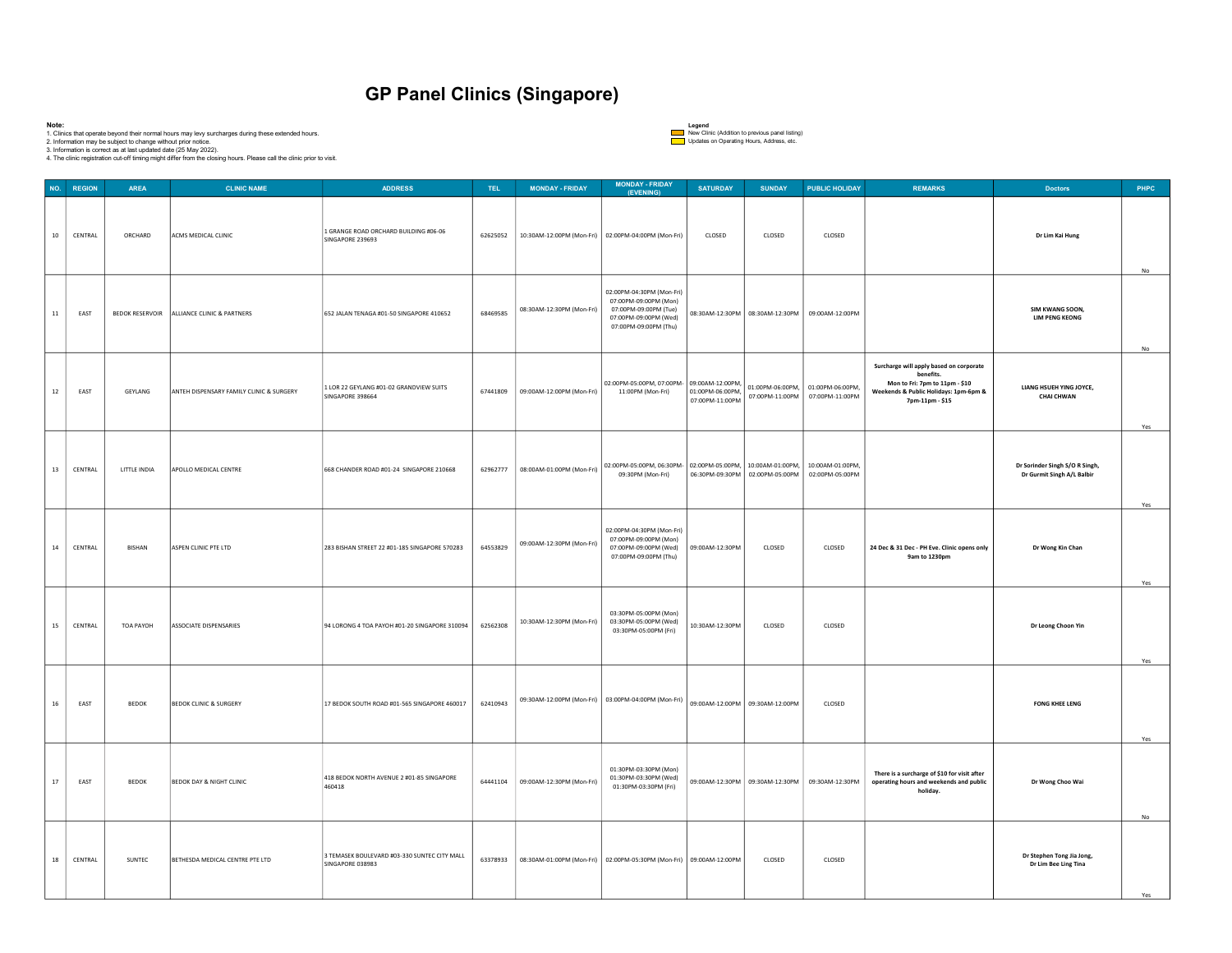| Note:                |         | 2. Information may be subject to change without prior notice.<br>3. Information is correct as at last updated date (25 May 2022). | 1. Clinics that operate beyond their normal hours may levy surcharges during these extended hours.<br>4. The clinic registration cut-off timing might differ from the closing hours. Please call the clinic prior to visit. | <b>GP Panel Clinics (Singapore)</b>                                         |                        |                                      |                                                                                                                               | Legend<br>Updates on Operating Hours, Address, etc. | New Clinic (Addition to previous panel listing) |                                                                      |                                                                                                                                                    |                                                              |      |
|----------------------|---------|-----------------------------------------------------------------------------------------------------------------------------------|-----------------------------------------------------------------------------------------------------------------------------------------------------------------------------------------------------------------------------|-----------------------------------------------------------------------------|------------------------|--------------------------------------|-------------------------------------------------------------------------------------------------------------------------------|-----------------------------------------------------|-------------------------------------------------|----------------------------------------------------------------------|----------------------------------------------------------------------------------------------------------------------------------------------------|--------------------------------------------------------------|------|
| NO. REGION<br>$10\,$ | CENTRAL | <b>AREA</b><br>ORCHARD                                                                                                            | <b>CLINIC NAME</b><br>ACMS MEDICAL CLINIC                                                                                                                                                                                   | <b>ADDRESS</b><br>1 GRANGE ROAD ORCHARD BUILDING #06-06<br>SINGAPORE 239693 | <b>TEL</b><br>62625052 | <b>MONDAY - FRIDAY</b>               | <b>MONDAY - FRIDAY</b><br>(EVENING)<br>10:30AM-12:00PM (Mon-Fri) 02:00PM-04:00PM (Mon-Fri)                                    | <b>SATURDAY</b><br>CLOSED                           | <b>SUNDAY</b><br>CLOSED                         | <b>PUBLIC HOLIDAY</b><br>CLOSED                                      | <b>REMARKS</b>                                                                                                                                     | <b>Doctors</b><br>Dr Lim Kai Hung                            | PHPC |
| $11\,$               | EAST    | <b>BEDOK RESERVOIR</b>                                                                                                            | ALLIANCE CLINIC & PARTNERS                                                                                                                                                                                                  | 652 JALAN TENAGA #01-50 SINGAPORE 410652                                    | 68469585               | 08:30AM-12:30PM (Mon-Fri)            | 02:00PM-04:30PM (Mon-Fri)<br>07:00PM-09:00PM (Mon)<br>07:00PM-09:00PM (Tue)<br>07:00PM-09:00PM (Wed)<br>07:00PM-09:00PM (Thu) |                                                     | 08:30AM-12:30PM 08:30AM-12:30PM 09:00AM-12:00PM |                                                                      |                                                                                                                                                    | SIM KWANG SOON,<br><b>LIM PENG KEONG</b>                     | No   |
| $12\,$               | EAST    | GEYLANG                                                                                                                           | ANTEH DISPENSARY FAMILY CLINIC & SURGERY                                                                                                                                                                                    | 1 LOR 22 GEYLANG #01-02 GRANDVIEW SUITS<br>SINGAPORE 398664                 |                        | 67441809 09:00AM-12:00PM (Mon-Fri)   | 02:00PM-05:00PM, 07:00PM- 09:00AM-12:00PM,<br>11:00PM (Mon-Fri)                                                               | 01:00PM-06:00PM,<br>07:00PM-11:00PM                 |                                                 | 01:00PM-06:00PM, 01:00PM-06:00PM,<br>07:00PM-11:00PM 07:00PM-11:00PM | Surcharge will apply based on corporate<br>benefits.<br>Mon to Fri: 7pm to 11pm - \$10<br>Weekends & Public Holidays: 1pm-6pm &<br>7pm-11pm - \$15 | LIANG HSUEH YING JOYCE,<br><b>CHAI CHWAN</b>                 | No   |
| 13                   | CENTRAL | LITTLE INDIA                                                                                                                      | APOLLO MEDICAL CENTRE                                                                                                                                                                                                       | 668 CHANDER ROAD #01-24 SINGAPORE 210668                                    |                        | 62962777   08:00AM-01:00PM (Mon-Fri) | 02:00PM-05:00PM, 06:30PM- 02:00PM-05:00PM, 10:00AM-01:00PM, 10:00AM-01:00PM,<br>09:30PM (Mon-Fri)                             |                                                     | 06:30PM-09:30PM 02:00PM-05:00PM 02:00PM-05:00PM |                                                                      |                                                                                                                                                    | Dr Sorinder Singh S/O R Singh,<br>Dr Gurmit Singh A/L Balbir | Yes  |
| 14                   | CENTRAL | <b>BISHAN</b>                                                                                                                     | ASPEN CLINIC PTE LTD                                                                                                                                                                                                        | 283 BISHAN STREET 22 #01-185 SINGAPORE 570283                               | 64553829               | 09:00AM-12:30PM (Mon-Fri)            | 02:00PM-04:30PM (Mon-Fri)<br>07:00PM-09:00PM (Mon)<br>07:00PM-09:00PM (Wed)<br>07:00PM-09:00PM (Thu)                          | 09:00AM-12:30PM                                     | CLOSED                                          | CLOSED                                                               | 24 Dec & 31 Dec - PH Eve. Clinic opens only<br>9am to 1230pm                                                                                       | Dr Wong Kin Chan                                             | Yes  |
| 15                   | CENTRAL | TOA PAYOH                                                                                                                         | ASSOCIATE DISPENSARIES                                                                                                                                                                                                      | 94 LORONG 4 TOA PAYOH #01-20 SINGAPORE 310094                               | 62562308               | 10:30AM-12:30PM (Mon-Fri)            | 03:30PM-05:00PM (Mon)<br>03:30PM-05:00PM (Wed)<br>03:30PM-05:00PM (Fri)                                                       | 10:30AM-12:30PM                                     | CLOSED                                          | CLOSED                                                               |                                                                                                                                                    | Dr Leong Choon Yin                                           | Yes  |
| 16                   | EAST    | BEDOK                                                                                                                             | <b>BEDOK CLINIC &amp; SURGERY</b>                                                                                                                                                                                           | 17 BEDOK SOUTH ROAD #01-565 SINGAPORE 460017                                | 62410943               |                                      | 09:30AM-12:00PM (Mon-Fri) 03:00PM-04:00PM (Mon-Fri)                                                                           |                                                     | 09:00AM-12:00PM 09:30AM-12:00PM                 | CLOSED                                                               |                                                                                                                                                    | <b>FONG KHEE LENG</b>                                        | Yes  |
| $17\,$               | EAST    | <b>BEDOK</b>                                                                                                                      | <b>BEDOK DAY &amp; NIGHT CLINIC</b>                                                                                                                                                                                         | 418 BEDOK NORTH AVENUE 2 #01-85 SINGAPORE<br>460418                         |                        | 64441104 09:00AM-12:30PM (Mon-Fri)   | 01:30PM-03:30PM (Mon)<br>01:30PM-03:30PM (Wed)<br>01:30PM-03:30PM (Fri)                                                       |                                                     | 09:00AM-12:30PM 09:30AM-12:30PM 09:30AM-12:30PM |                                                                      | There is a surcharge of \$10 for visit after<br>operating hours and weekends and public<br>holiday.                                                | Dr Wong Choo Wai                                             | Yes  |
| 18                   | CENTRAL | SUNTEC                                                                                                                            | BETHESDA MEDICAL CENTRE PTE LTD                                                                                                                                                                                             | 3 TEMASEK BOULEVARD #03-330 SUNTEC CITY MALL<br>SINGAPORE 038983            | 63378933               |                                      | 08:30AM-01:00PM (Mon-Fri) 02:00PM-05:30PM (Mon-Fri) 09:00AM-12:00PM                                                           |                                                     | CLOSED                                          | CLOSED                                                               |                                                                                                                                                    | Dr Stephen Tong Jia Jong,<br>Dr Lim Bee Ling Tina            | No   |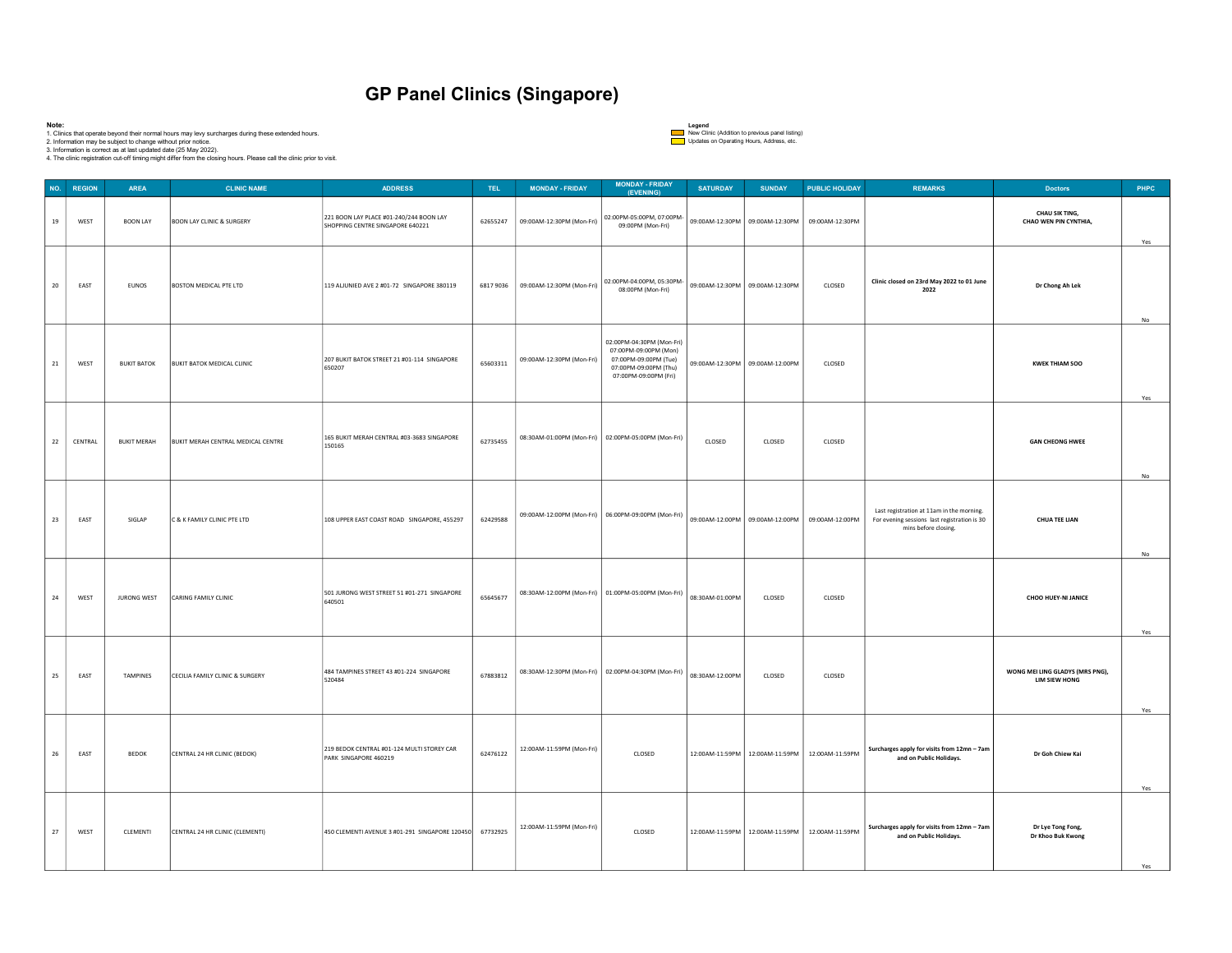| Note:      |            | 2. Information may be subject to change without prior notice.<br>3. Information is correct as at last updated date (25 May 2022). | 1. Clinics that operate beyond their normal hours may levy surcharges during these extended hours.<br>4. The clinic registration cut-off timing might differ from the closing hours. Please call the clinic prior to visit. | <b>GP Panel Clinics (Singapore)</b>                                         |           |                           |                                                                                                                               | Legend<br>Updates on Operating Hours, Address, etc. | New Clinic (Addition to previous panel listing) |                       |                                                                                                                   |                                                  |      |
|------------|------------|-----------------------------------------------------------------------------------------------------------------------------------|-----------------------------------------------------------------------------------------------------------------------------------------------------------------------------------------------------------------------------|-----------------------------------------------------------------------------|-----------|---------------------------|-------------------------------------------------------------------------------------------------------------------------------|-----------------------------------------------------|-------------------------------------------------|-----------------------|-------------------------------------------------------------------------------------------------------------------|--------------------------------------------------|------|
|            | NO. REGION | AREA                                                                                                                              | <b>CLINIC NAME</b>                                                                                                                                                                                                          | <b>ADDRESS</b>                                                              | TEL.      | <b>MONDAY - FRIDAY</b>    | <b>MONDAY - FRIDAY</b>                                                                                                        | <b>SATURDAY</b>                                     | <b>SUNDAY</b>                                   | <b>PUBLIC HOLIDAY</b> | REMARKS                                                                                                           | <b>Doctors</b>                                   | PHPC |
| 19         | WEST       | <b>BOON LAY</b>                                                                                                                   | <b>BOON LAY CLINIC &amp; SURGERY</b>                                                                                                                                                                                        | 221 BOON LAY PLACE #01-240/244 BOON LAY<br>SHOPPING CENTRE SINGAPORE 640221 | 62655247  | 09:00AM-12:30PM (Mon-Fri) | (EVENING)<br>02:00PM-05:00PM, 07:00PM-<br>09:00PM (Mon-Fri)                                                                   |                                                     | 09:00AM-12:30PM 09:00AM-12:30PM 09:00AM-12:30PM |                       |                                                                                                                   | <b>CHAU SIK TING,</b><br>CHAO WEN PIN CYNTHIA,   | Yes  |
| 20         | EAST       | EUNOS                                                                                                                             | <b>BOSTON MEDICAL PTE LTD</b>                                                                                                                                                                                               | 119 ALJUNIED AVE 2 #01-72 SINGAPORE 380119                                  | 6817 9036 | 09:00AM-12:30PM (Mon-Fri) | 02:00PM-04:00PM, 05:30PM-<br>08:00PM (Mon-Fri)                                                                                |                                                     | 09:00AM-12:30PM 09:00AM-12:30PM                 | CLOSED                | Clinic closed on 23rd May 2022 to 01 June<br>2022                                                                 | Dr Chong Ah Lek                                  | No   |
| ${\bf 21}$ | WEST       | <b>BUKIT BATOK</b>                                                                                                                | <b>BUKIT BATOK MEDICAL CLINIC</b>                                                                                                                                                                                           | 207 BUKIT BATOK STREET 21 #01-114 SINGAPORE<br>650207                       | 65603311  | 09:00AM-12:30PM (Mon-Fri) | 02:00PM-04:30PM (Mon-Fri)<br>07:00PM-09:00PM (Mon)<br>07:00PM-09:00PM (Tue)<br>07:00PM-09:00PM (Thu)<br>07:00PM-09:00PM (Fri) |                                                     | 09:00AM-12:30PM 09:00AM-12:00PM                 | CLOSED                |                                                                                                                   | <b>KWEK THIAM SOO</b>                            | Yes  |
| 22         | CENTRAL    | <b>BUKIT MERAH</b>                                                                                                                | BUKIT MERAH CENTRAL MEDICAL CENTRE                                                                                                                                                                                          | 165 BUKIT MERAH CENTRAL #03-3683 SINGAPORE<br>150165                        | 62735455  |                           | 08:30AM-01:00PM (Mon-Fri) 02:00PM-05:00PM (Mon-Fri)                                                                           | CLOSED                                              | CLOSED                                          | CLOSED                |                                                                                                                   | <b>GAN CHEONG HWEE</b>                           | No   |
| 23         | EAST       | SIGLAP                                                                                                                            | C & K FAMILY CLINIC PTE LTD                                                                                                                                                                                                 | 108 UPPER EAST COAST ROAD SINGAPORE, 455297                                 | 62429588  |                           | 09:00AM-12:00PM (Mon-Fri)   06:00PM-09:00PM (Mon-Fri)                                                                         |                                                     | 09:00AM-12:00PM 09:00AM-12:00PM 09:00AM-12:00PM |                       | Last registration at 11am in the morning.<br>For evening sessions last registration is 30<br>mins before closing. | <b>CHUA TEE LIAN</b>                             | No   |
| 24         | WEST       | JURONG WEST                                                                                                                       | CARING FAMILY CLINIC                                                                                                                                                                                                        | 501 JURONG WEST STREET 51 #01-271 SINGAPORE<br>640501                       | 65645677  |                           | 08:30AM-12:00PM (Mon-Fri) 01:00PM-05:00PM (Mon-Fri)                                                                           | 08:30AM-01:00PM                                     | CLOSED                                          | CLOSED                |                                                                                                                   | CHOO HUEY-NI JANICE                              | Yes  |
| 25         | EAST       | TAMPINES                                                                                                                          | CECILIA FAMILY CLINIC & SURGERY                                                                                                                                                                                             | 484 TAMPINES STREET 43 #01-224 SINGAPORE<br>520484                          | 67883812  |                           | 08:30AM-12:30PM (Mon-Fri) 02:00PM-04:30PM (Mon-Fri)                                                                           | 08:30AM-12:00PM                                     | CLOSED                                          | CLOSED                |                                                                                                                   | WONG MEI LING GLADYS (MRS PNG),<br>LIM SIEW HONG | Yes  |
| ${\bf 26}$ | EAST       | <b>BEDOK</b>                                                                                                                      | CENTRAL 24 HR CLINIC (BEDOK)                                                                                                                                                                                                | 219 BEDOK CENTRAL #01-124 MULTI STOREY CAR<br>PARK SINGAPORE 460219         | 62476122  | 12:00AM-11:59PM (Mon-Fri) | CLOSED                                                                                                                        |                                                     | 12:00AM-11:59PM 12:00AM-11:59PM 12:00AM-11:59PM |                       | Surcharges apply for visits from 12mn - 7am<br>and on Public Holidays.                                            | Dr Goh Chiew Kai                                 | Yes  |
|            | WEST       | CLEMENTI                                                                                                                          | CENTRAL 24 HR CLINIC (CLEMENTI)                                                                                                                                                                                             | 450 CLEMENTI AVENUE 3 #01-291 SINGAPORE 120450 67732925                     |           | 12:00AM-11:59PM (Mon-Fri) | CLOSED                                                                                                                        |                                                     | 12:00AM-11:59PM 12:00AM-11:59PM 12:00AM-11:59PM |                       | Surcharges apply for visits from 12mn - 7am<br>and on Public Holidays.                                            | Dr Lye Tong Fong,<br>Dr Khoo Buk Kwong           |      |

Yes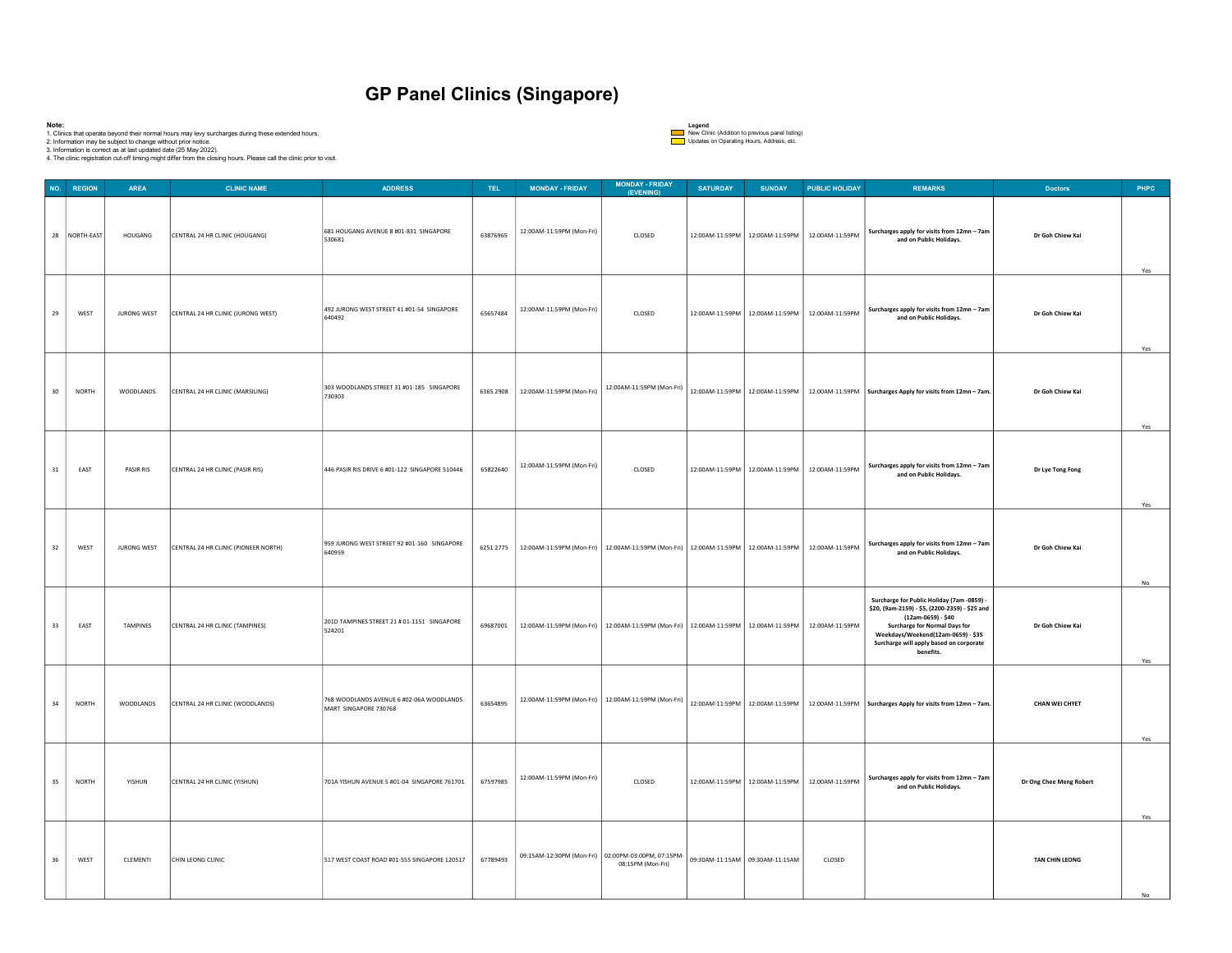| Note:      |               | 2. Information may be subject to change without prior notice.<br>3. Information is correct as at last updated date (25 May 2022). | 1. Clinics that operate beyond their normal hours may levy surcharges during these extended hours.<br>4. The clinic registration cut-off timing might differ from the closing hours. Please call the clinic prior to visit. | <b>GP Panel Clinics (Singapore)</b>                               |          |                                       |                                                                                                               | Legend<br>Updates on Operating Hours, Address, etc. | New Clinic (Addition to previous panel listing) |                 |                                                                                                                                                                                                                                                          |                         |      |
|------------|---------------|-----------------------------------------------------------------------------------------------------------------------------------|-----------------------------------------------------------------------------------------------------------------------------------------------------------------------------------------------------------------------------|-------------------------------------------------------------------|----------|---------------------------------------|---------------------------------------------------------------------------------------------------------------|-----------------------------------------------------|-------------------------------------------------|-----------------|----------------------------------------------------------------------------------------------------------------------------------------------------------------------------------------------------------------------------------------------------------|-------------------------|------|
| NO. REGION |               | AREA                                                                                                                              | <b>CLINIC NAME</b>                                                                                                                                                                                                          | <b>ADDRESS</b>                                                    | TEL.     | <b>MONDAY - FRIDAY</b>                | <b>MONDAY - FRIDAY</b>                                                                                        | <b>SATURDAY</b>                                     | <b>SUNDAY</b>                                   | PUBLIC HOLIDAY  | <b>REMARKS</b>                                                                                                                                                                                                                                           | <b>Doctors</b>          | PHPC |
|            | 28 NORTH-EAST | HOUGANG                                                                                                                           | CENTRAL 24 HR CLINIC (HOUGANG)                                                                                                                                                                                              | 681 HOUGANG AVENUE 8 #01-831 SINGAPORE<br>530681                  | 63876965 | 12:00AM-11:59PM (Mon-Fri)             | (EVENING)<br>CLOSED                                                                                           |                                                     | 12:00AM-11:59PM 12:00AM-11:59PM                 | 12:00AM-11:59PM | Surcharges apply for visits from 12mn - 7am<br>and on Public Holidays.                                                                                                                                                                                   | Dr Goh Chiew Kai        | Yes  |
| 29         | WEST          | JURONG WEST                                                                                                                       | CENTRAL 24 HR CLINIC (JURONG WEST)                                                                                                                                                                                          | 492 JURONG WEST STREET 41 #01-54 SINGAPORE<br>640492              | 65657484 | 12:00AM-11:59PM (Mon-Fri)             | CLOSED                                                                                                        |                                                     | 12:00AM-11:59PM 12:00AM-11:59PM 12:00AM-11:59PM |                 | Surcharges apply for visits from 12mn - 7am<br>and on Public Holidays.                                                                                                                                                                                   | Dr Goh Chiew Kai        | Yes  |
| 30         | NORTH         | WOODLANDS                                                                                                                         | CENTRAL 24 HR CLINIC (MARSILING)                                                                                                                                                                                            | 303 WOODLANDS STREET 31 #01-185 SINGAPORE<br>730303               |          | 6365 2908   12:00AM-11:59PM (Mon-Fri) |                                                                                                               |                                                     |                                                 |                 | 12:00AM-11:59PM (Mon-Fri) 12:00AM-11:59PM 12:00AM-11:59PM 12:00AM-11:59PM Surcharges Apply for visits from 12mn - 7am.                                                                                                                                   | Dr Goh Chiew Kai        | Yes  |
| 31         | EAST          | PASIR RIS                                                                                                                         | CENTRAL 24 HR CLINIC (PASIR RIS)                                                                                                                                                                                            | 446 PASIR RIS DRIVE 6 #01-122 SINGAPORE 510446                    | 65822640 | 12:00AM-11:59PM (Mon-Fri)             | CLOSED                                                                                                        |                                                     | 12:00AM-11:59PM 12:00AM-11:59PM 12:00AM-11:59PM |                 | Surcharges apply for visits from 12mn - 7am<br>and on Public Holidays.                                                                                                                                                                                   | Dr Lye Tong Fong        | Yes  |
| 32         | WEST          | JURONG WEST                                                                                                                       | CENTRAL 24 HR CLINIC (PIONEER NORTH)                                                                                                                                                                                        | 959 JURONG WEST STREET 92 #01-160 SINGAPORE<br>640959             |          |                                       | 6251 2775 12:00AM-11:59PM (Mon-Fri) 12:00AM-11:59PM (Mon-Fri) 12:00AM-11:59PM 12:00AM-11:59PM 12:00AM-11:59PM |                                                     |                                                 |                 | Surcharges apply for visits from 12mn - 7am<br>and on Public Holidays.                                                                                                                                                                                   | Dr Goh Chiew Kai        | No.  |
| 33         | EAST          | TAMPINES                                                                                                                          | CENTRAL 24 HR CLINIC (TAMPINES)                                                                                                                                                                                             | 201D TAMPINES STREET 21 # 01-1151 SINGAPORE<br>524201             | 69687001 |                                       | 12:00AM-11:59PM (Mon-Fri) 12:00AM-11:59PM (Mon-Fri) 12:00AM-11:59PM 12:00AM-11:59PM 12:00AM-11:59PM           |                                                     |                                                 |                 | Surcharge for Public Holiday (7am -0859) -<br>\$20, (9am-2159) - \$5, (2200-2359) - \$25 and<br>(12am-0659) - \$40<br><b>Surcharge for Normal Days for</b><br>Weekdays/Weekend(12am-0659) - \$35<br>Surcharge will apply based on corporate<br>benefits. | Dr Goh Chiew Kai        | Yes  |
| 34         | NORTH         | WOODLANDS                                                                                                                         | CENTRAL 24 HR CLINIC (WOODLANDS)                                                                                                                                                                                            | 768 WOODLANDS AVENUE 6 #02-06A WOODLANDS<br>MART SINGAPORE 730768 | 63654895 |                                       | 12:00AM-11:59PM (Mon-Fri) 12:00AM-11:59PM (Mon-Fri)                                                           |                                                     |                                                 |                 | 12:00AM-11:59PM 12:00AM-11:59PM 12:00AM-11:59PM Surcharges Apply for visits from 12mn - 7am.                                                                                                                                                             | <b>CHAN WEI CHYET</b>   | Yes  |
| 35         | NORTH         | YISHUN                                                                                                                            | CENTRAL 24 HR CLINIC (YISHUN)                                                                                                                                                                                               | 701A YISHUN AVENUE 5 #01-04 SINGAPORE 761701                      | 67597985 | 12:00AM-11:59PM (Mon-Fri)             | CLOSED                                                                                                        |                                                     | 12:00AM-11:59PM 12:00AM-11:59PM 12:00AM-11:59PM |                 | Surcharges apply for visits from 12mn - 7am<br>and on Public Holidays.                                                                                                                                                                                   | Dr Ong Chee Meng Robert | Yes  |
| 36         | WEST          | CLEMENTI                                                                                                                          | CHIN LEONG CLINIC                                                                                                                                                                                                           | 517 WEST COAST ROAD #01-555 SINGAPORE 120517                      | 67789493 |                                       | 09:15AM-12:30PM (Mon-Fri) 02:00PM-03:00PM, 07:15PM-<br>08:15PM (Mon-Fri)                                      |                                                     | 09:30AM-11:15AM 09:30AM-11:15AM                 | CLOSED          |                                                                                                                                                                                                                                                          | TAN CHIN LEONG          |      |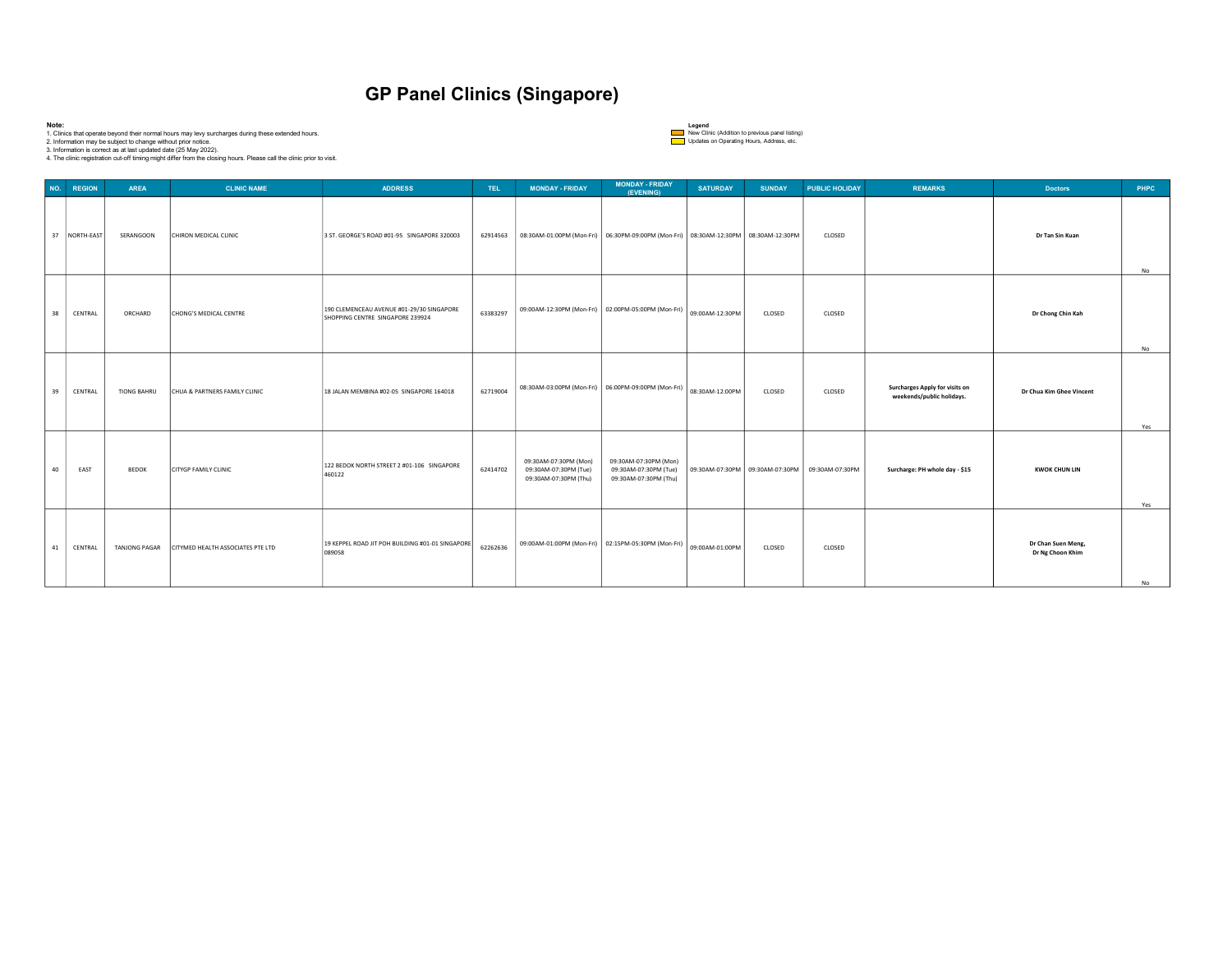| Note:                          | 2. Information may be subject to change without prior notice.<br>3. Information is correct as at last updated date (25 May 2022). | 1. Clinics that operate beyond their normal hours may levy surcharges during these extended hours.<br>4. The clinic registration cut-off timing might differ from the closing hours. Please call the clinic prior to visit. | <b>GP Panel Clinics (Singapore)</b>                                           |          |                                                                         |                                                                                                                                             | Legend<br>Updates on Operating Hours, Address, etc. | New Clinic (Addition to previous panel listing) |                                                 |                                                             |                                   |          |
|--------------------------------|-----------------------------------------------------------------------------------------------------------------------------------|-----------------------------------------------------------------------------------------------------------------------------------------------------------------------------------------------------------------------------|-------------------------------------------------------------------------------|----------|-------------------------------------------------------------------------|---------------------------------------------------------------------------------------------------------------------------------------------|-----------------------------------------------------|-------------------------------------------------|-------------------------------------------------|-------------------------------------------------------------|-----------------------------------|----------|
|                                |                                                                                                                                   |                                                                                                                                                                                                                             |                                                                               |          |                                                                         |                                                                                                                                             |                                                     |                                                 |                                                 |                                                             |                                   |          |
| NO. REGION<br>37<br>NORTH-EAST | AREA<br>SERANGOON                                                                                                                 | <b>CLINIC NAME</b><br>CHIRON MEDICAL CLINIC                                                                                                                                                                                 | <b>ADDRESS</b><br>3 ST. GEORGE'S ROAD #01-95 SINGAPORE 320003                 | TEL.     | <b>MONDAY - FRIDAY</b>                                                  | <b>MONDAY - FRIDAY</b><br>(EVENING)<br>62914563   08:30AM-01:00PM (Mon-Fri)   06:30PM-09:00PM (Mon-Fri)   08:30AM-12:30PM   08:30AM-12:30PM | <b>SATURDAY</b>                                     | <b>SUNDAY</b>                                   | <b>PUBLIC HOLIDAY</b><br>CLOSED                 | REMARKS                                                     | <b>Doctors</b><br>Dr Tan Sin Kuan | PHPC     |
| CENTRAL<br>38                  | ORCHARD                                                                                                                           | CHONG'S MEDICAL CENTRE                                                                                                                                                                                                      | 190 CLEMENCEAU AVENUE #01-29/30 SINGAPORE<br>SHOPPING CENTRE SINGAPORE 239924 | 63383297 |                                                                         | 09:00AM-12:30PM (Mon-Fri) 02:00PM-05:00PM (Mon-Fri)                                                                                         | 09:00AM-12:30PM                                     | CLOSED                                          | CLOSED                                          |                                                             | Dr Chong Chin Kah                 | No<br>No |
| 39<br>CENTRAL                  | <b>TIONG BAHRU</b>                                                                                                                | CHUA & PARTNERS FAMILY CLINIC                                                                                                                                                                                               | 18 JALAN MEMBINA #02-05 SINGAPORE 164018                                      | 62719004 |                                                                         | 08:30AM-03:00PM (Mon-Fri)   06:00PM-09:00PM (Mon-Fri)   08:30AM-12:00PM                                                                     |                                                     | CLOSED                                          | CLOSED                                          | Surcharges Apply for visits on<br>weekends/public holidays. | Dr Chua Kim Ghee Vincent          | Yes      |
| 40<br>EAST                     | BEDOK                                                                                                                             | CITYGP FAMILY CLINIC                                                                                                                                                                                                        | 122 BEDOK NORTH STREET 2 #01-106 SINGAPORE<br>460122                          | 62414702 | 09:30AM-07:30PM (Mon)<br>09:30AM-07:30PM (Tue)<br>09:30AM-07:30PM (Thu) | 09:30AM-07:30PM (Mon)<br>09:30AM-07:30PM (Tue)<br>09:30AM-07:30PM (Thu)                                                                     |                                                     |                                                 | 09:30AM-07:30PM 09:30AM-07:30PM 09:30AM-07:30PM | Surcharge: PH whole day - \$15                              | <b>KWOK CHUN LIN</b>              | Yes      |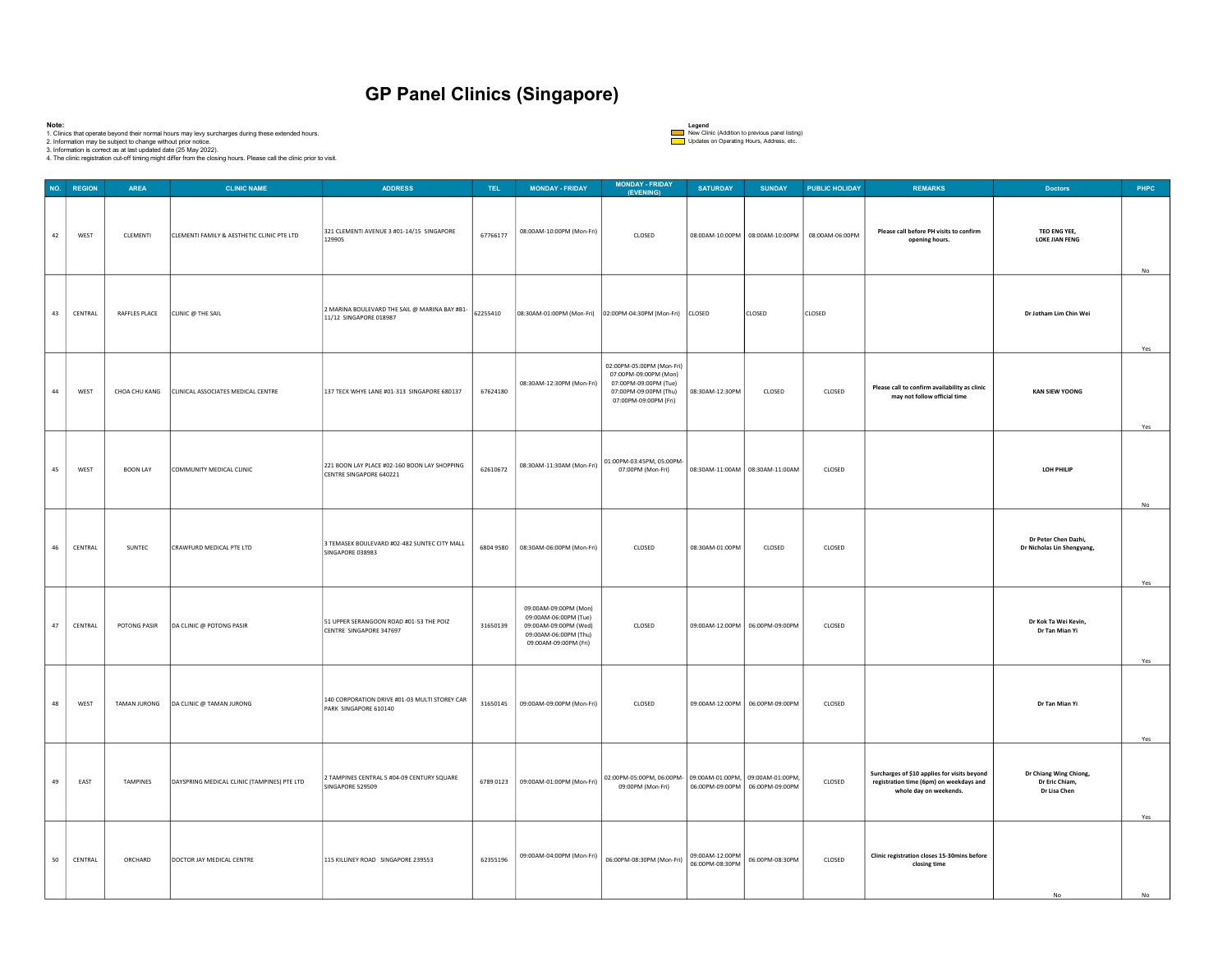| Note:                    | 2. Information may be subject to change without prior notice.<br>3. Information is correct as at last updated date (25 May 2022). | 1. Clinics that operate beyond their normal hours may levy surcharges during these extended hours.<br>4. The clinic registration cut-off timing might differ from the closing hours. Please call the clinic prior to visit. | <b>GP Panel Clinics (Singapore)</b>                                     |                  |                                                                                                                           |                                                                                                                               | Legend<br>Updates on Operating Hours, Address, etc. | New Clinic (Addition to previous panel listing) |                                                                          |                                                                                                                   |                                                          |            |
|--------------------------|-----------------------------------------------------------------------------------------------------------------------------------|-----------------------------------------------------------------------------------------------------------------------------------------------------------------------------------------------------------------------------|-------------------------------------------------------------------------|------------------|---------------------------------------------------------------------------------------------------------------------------|-------------------------------------------------------------------------------------------------------------------------------|-----------------------------------------------------|-------------------------------------------------|--------------------------------------------------------------------------|-------------------------------------------------------------------------------------------------------------------|----------------------------------------------------------|------------|
| NO. REGION<br>42<br>WEST | AREA<br>CLEMENTI                                                                                                                  | <b>CLINIC NAME</b><br>CLEMENTI FAMILY & AESTHETIC CLINIC PTE LTD                                                                                                                                                            | <b>ADDRESS</b><br>321 CLEMENTI AVENUE 3 #01-14/15 SINGAPORE<br>129905   | TEL.<br>67766177 | <b>MONDAY - FRIDAY</b><br>08:00AM-10:00PM (Mon-Fri)                                                                       | <b>MONDAY - FRIDAY</b><br>(EVENING)<br>CLOSED                                                                                 | <b>SATURDAY</b>                                     | <b>SUNDAY</b>                                   | <b>PUBLIC HOLIDAY</b><br>08:00AM-10:00PM 08:00AM-10:00PM 08:00AM-06:00PM | <b>REMARKS</b><br>Please call before PH visits to confirm<br>opening hours.                                       | <b>Doctors</b><br>TEO ENG YEE,<br><b>LOKE JIAN FENG</b>  | PHPC       |
| 43<br>CENTRAL            | RAFFLES PLACE                                                                                                                     | CLINIC @ THE SAIL                                                                                                                                                                                                           | 2 MARINA BOULEVARD THE SAIL @ MARINA BAY #B1-<br>11/12 SINGAPORE 018987 | 62255410         | 08:30AM-01:00PM (Mon-Fri) 02:00PM-04:30PM (Mon-Fri) CLOSED                                                                |                                                                                                                               |                                                     | CLOSED                                          | CLOSED                                                                   |                                                                                                                   | Dr Jotham Lim Chin Wei                                   | No         |
| 44<br>WEST               | CHOA CHU KANG                                                                                                                     | CLINICAL ASSOCIATES MEDICAL CENTRE                                                                                                                                                                                          | 137 TECK WHYE LANE #01-313 SINGAPORE 680137                             | 67624180         | 08:30AM-12:30PM (Mon-Fri)                                                                                                 | 02:00PM-05:00PM (Mon-Fri)<br>07:00PM-09:00PM (Mon)<br>07:00PM-09:00PM (Tue)<br>07:00PM-09:00PM (Thu)<br>07:00PM-09:00PM (Fri) | 08:30AM-12:30PM                                     | CLOSED                                          | CLOSED                                                                   | Please call to confirm availability as clinic<br>may not follow official time                                     | <b>KAN SIEW YOONG</b>                                    | Yes        |
| WEST<br>45               | <b>BOON LAY</b>                                                                                                                   | COMMUNITY MEDICAL CLINIC                                                                                                                                                                                                    | 221 BOON LAY PLACE #02-160 BOON LAY SHOPPING<br>CENTRE SINGAPORE 640221 | 62610672         |                                                                                                                           | 08:30AM-11:30AM (Mon-Fri) 01:00PM-03:45PM, 05:00PM-<br>07:00PM (Mon-Fri)                                                      |                                                     | 08:30AM-11:00AM 08:30AM-11:00AM                 | CLOSED                                                                   |                                                                                                                   | LOH PHILIP                                               | Yes        |
| 46<br>CENTRAL            | SUNTEC                                                                                                                            | CRAWFURD MEDICAL PTE LTD                                                                                                                                                                                                    | 3 TEMASEK BOULEVARD #02-482 SUNTEC CITY MALL<br>SINGAPORE 038983        |                  | 6804 9580   08:30AM-06:00PM (Mon-Fri)                                                                                     | CLOSED                                                                                                                        | 08:30AM-01:00PM                                     | CLOSED                                          | CLOSED                                                                   |                                                                                                                   | Dr Peter Chen Dazhi,<br>Dr Nicholas Lin Shengyang,       | No.<br>Yes |
| 47<br>CENTRAL            | POTONG PASIR                                                                                                                      | DA CLINIC @ POTONG PASIR                                                                                                                                                                                                    | 51 UPPER SERANGOON ROAD #01-53 THE POIZ<br>CENTRE SINGAPORE 347697      | 31650139         | 09:00AM-09:00PM (Mon)<br>09:00AM-06:00PM (Tue)<br>09:00AM-09:00PM (Wed)<br>09:00AM-06:00PM (Thu)<br>09:00AM-09:00PM (Fri) | CLOSED                                                                                                                        | 09:00AM-12:00PM 06:00PM-09:00PM                     |                                                 | CLOSED                                                                   |                                                                                                                   | Dr Kok Ta Wei Kevin,<br>Dr Tan Mian Yi                   | Yes        |
| 48<br>WEST               | TAMAN JURONG                                                                                                                      | DA CLINIC @ TAMAN JURONG                                                                                                                                                                                                    | 140 CORPORATION DRIVE #01-03 MULTI STOREY CAR<br>PARK SINGAPORE 610140  | 31650145         | 09:00AM-09:00PM (Mon-Fri)                                                                                                 | CLOSED                                                                                                                        | 09:00AM-12:00PM 06:00PM-09:00PM                     |                                                 | CLOSED                                                                   |                                                                                                                   | Dr Tan Mian Yi                                           | Yes        |
| 49<br>EAST               | TAMPINES                                                                                                                          | DAYSPRING MEDICAL CLINIC (TAMPINES) PTE LTD                                                                                                                                                                                 | 2 TAMPINES CENTRAL 5 #04-09 CENTURY SQUARE<br>SINGAPORE 529509          |                  | 6789 0123 09:00AM-01:00PM (Mon-Fri)                                                                                       | 02:00PM-05:00PM, 06:00PM- 09:00AM-01:00PM, 09:00AM-01:00PM,<br>09:00PM (Mon-Fri)                                              | 06:00PM-09:00PM 06:00PM-09:00PM                     |                                                 | CLOSED                                                                   | Surcharges of \$10 applies for visits beyond<br>registration time (6pm) on weekdays and<br>whole day on weekends. | Dr Chiang Wing Chiong,<br>Dr Eric Chiam,<br>Dr Lisa Chen | Yes        |
| 50<br>CENTRAL            | ORCHARD                                                                                                                           | DOCTOR JAY MEDICAL CENTRE                                                                                                                                                                                                   | 115 KILLINEY ROAD SINGAPORE 239553                                      | 62355196         | 09:00AM-04:00PM (Mon-Fri)                                                                                                 | 06:00PM-08:30PM (Mon-Fri)                                                                                                     | 09:00AM-12:00PM<br>06:00PM-08:30PM                  | 06:00PM-08:30PM                                 | CLOSED                                                                   | Clinic registration closes 15-30mins before<br>closing time                                                       |                                                          |            |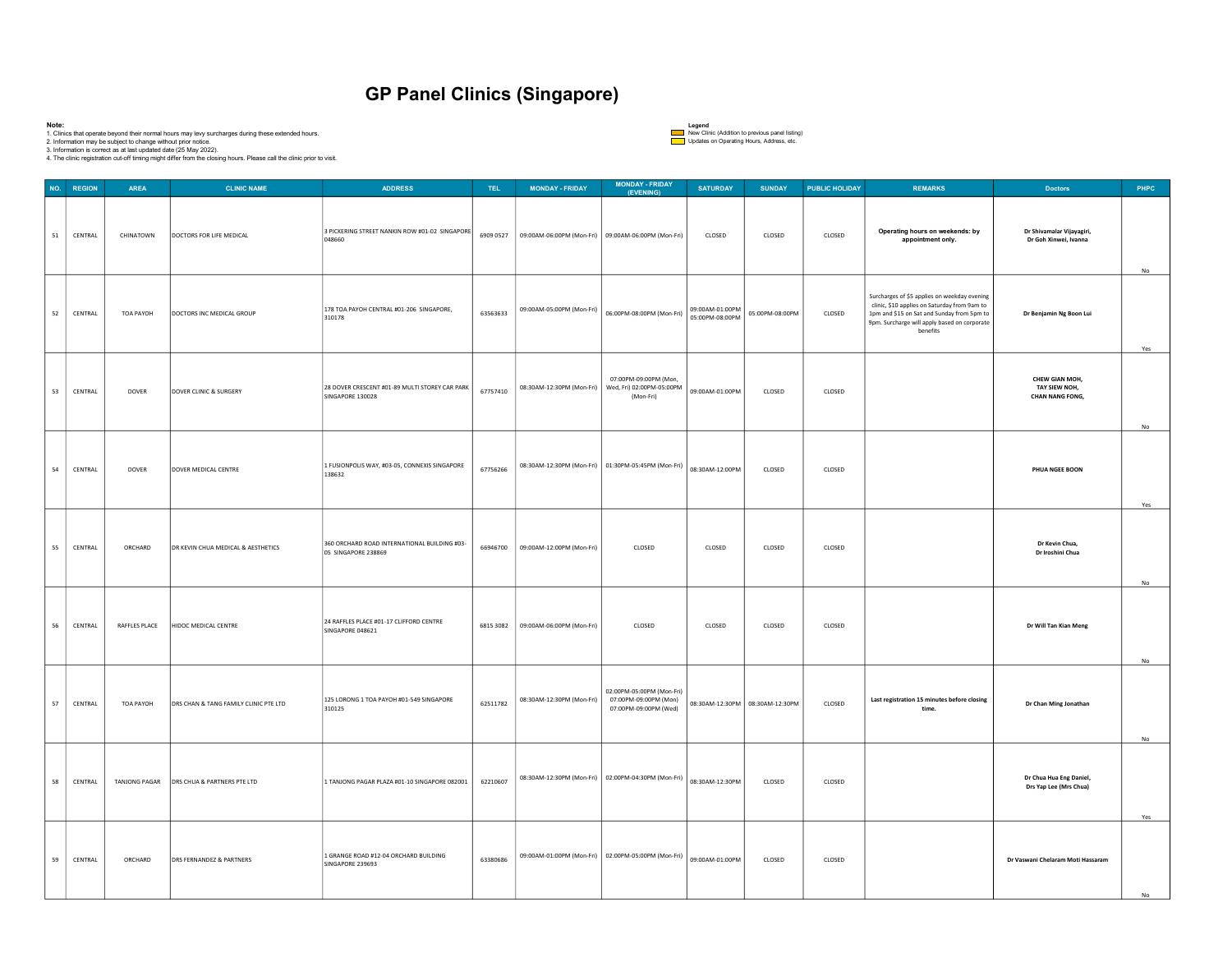| Note: |            | 2. Information may be subject to change without prior notice.<br>3. Information is correct as at last updated date (25 May 2022). | 1. Clinics that operate beyond their normal hours may levy surcharges during these extended hours.<br>4. The clinic registration cut-off timing might differ from the closing hours. Please call the clinic prior to visit. | <b>GP Panel Clinics (Singapore)</b>                                 |           |                                                       |                                                                             | Legend<br>Updates on Operating Hours, Address, etc. | New Clinic (Addition to previous panel listing) |                |                                                                                                                                                                                                        |                                                           |           |
|-------|------------|-----------------------------------------------------------------------------------------------------------------------------------|-----------------------------------------------------------------------------------------------------------------------------------------------------------------------------------------------------------------------------|---------------------------------------------------------------------|-----------|-------------------------------------------------------|-----------------------------------------------------------------------------|-----------------------------------------------------|-------------------------------------------------|----------------|--------------------------------------------------------------------------------------------------------------------------------------------------------------------------------------------------------|-----------------------------------------------------------|-----------|
|       | NO. REGION | AREA                                                                                                                              | <b>CLINIC NAME</b>                                                                                                                                                                                                          | <b>ADDRESS</b>                                                      | TEL.      | <b>MONDAY - FRIDAY</b>                                | <b>MONDAY - FRIDAY</b><br>(EVENING)                                         | <b>SATURDAY</b>                                     | <b>SUNDAY</b>                                   | PUBLIC HOLIDAY | <b>REMARKS</b>                                                                                                                                                                                         | <b>Doctors</b>                                            | PHPC      |
| 51    | CENTRAL    | CHINATOWN                                                                                                                         | DOCTORS FOR LIFE MEDICAL                                                                                                                                                                                                    | 3 PICKERING STREET NANKIN ROW #01-02 SINGAPORE<br>048660            | 6909 0527 | 09:00AM-06:00PM (Mon-Fri) 09:00AM-06:00PM (Mon-Fri)   |                                                                             | CLOSED                                              | CLOSED                                          | CLOSED         | Operating hours on weekends: by<br>appointment only.                                                                                                                                                   | Dr Shivamalar Vijayagiri,<br>Dr Goh Xinwei, Ivanna        | No        |
| 52    | CENTRAL    | TOA PAYOH                                                                                                                         | DOCTORS INC MEDICAL GROUP                                                                                                                                                                                                   | 178 TOA PAYOH CENTRAL #01-206 SINGAPORE,<br>310178                  | 63563633  | 09:00AM-05:00PM (Mon-Fri)                             | 06:00PM-08:00PM (Mon-Fri)                                                   | 09:00AM-01:00PM<br>05:00PM-08:00PM                  | 05:00PM-08:00PM                                 | CLOSED         | Surcharges of \$5 applies on weekday evening<br>clinic, \$10 applies on Saturday from 9am to<br>1pm and \$15 on Sat and Sunday from 5pm to<br>9pm. Surcharge will apply based on corporate<br>benefits | Dr Benjamin Ng Boon Lui                                   | Yes       |
| 53    | CENTRAL    | DOVER                                                                                                                             | DOVER CLINIC & SURGERY                                                                                                                                                                                                      | 28 DOVER CRESCENT #01-89 MULTI STOREY CAR PARK<br>SINGAPORE 130028  | 67757410  | U8:30AM-12:30PM (Mon-Fri)   Wed, Fri) 02:00PM-05:00PM | 07:00PM-09:00PM (Mon,<br>(Mon-Fri)                                          | 09:00AM-01:00PM                                     | CLOSED                                          | CLOSED         |                                                                                                                                                                                                        | CHEW GIAN MOH,<br>TAY SIEW NOH,<br><b>CHAN NANG FONG,</b> |           |
| 54    | CENTRAL    | DOVER                                                                                                                             | DOVER MEDICAL CENTRE                                                                                                                                                                                                        | 1 FUSIONPOLIS WAY, #03-05, CONNEXIS SINGAPORE<br>138632             | 67756266  |                                                       | 08:30AM-12:30PM (Mon-Fri) 01:30PM-05:45PM (Mon-Fri)                         | 08:30AM-12:00PM                                     | CLOSED                                          | CLOSED         |                                                                                                                                                                                                        | PHUA NGEE BOON                                            | No        |
| 55    | CENTRAL    | ORCHARD                                                                                                                           | DR KEVIN CHUA MEDICAL & AESTHETICS                                                                                                                                                                                          | 360 ORCHARD ROAD INTERNATIONAL BUILDING #03-<br>05 SINGAPORE 238869 |           | 66946700 09:00AM-12:00PM (Mon-Fri)                    | CLOSED                                                                      | CLOSED                                              | CLOSED                                          | CLOSED         |                                                                                                                                                                                                        | Dr Kevin Chua,<br>Dr Iroshini Chua                        | Yes       |
| 56    | CENTRAL    | RAFFLES PLACE                                                                                                                     | HIDOC MEDICAL CENTRE                                                                                                                                                                                                        | 24 RAFFLES PLACE #01-17 CLIFFORD CENTRE<br>SINGAPORE 048621         |           | 6815 3082   09:00AM-06:00PM (Mon-Fri)                 | CLOSED                                                                      | CLOSED                                              | CLOSED                                          | CLOSED         |                                                                                                                                                                                                        | Dr Will Tan Kian Meng                                     | No.<br>No |
| 57    | CENTRAL    | TOA PAYOH                                                                                                                         | DRS CHAN & TANG FAMILY CLINIC PTE LTD                                                                                                                                                                                       | 125 LORONG 1 TOA PAYOH #01-549 SINGAPORE<br>310125                  | 62511782  | 08:30AM-12:30PM (Mon-Fri)                             | 02:00PM-05:00PM (Mon-Fri)<br>07:00PM-09:00PM (Mon)<br>07:00PM-09:00PM (Wed) |                                                     | 08:30AM-12:30PM 08:30AM-12:30PM                 | CLOSED         | Last registration 15 minutes before closing<br>time                                                                                                                                                    | Dr Chan Ming Jonathan                                     |           |
| 58    | CENTRAL    | TANJONG PAGAR                                                                                                                     | DRS CHUA & PARTNERS PTE LTD                                                                                                                                                                                                 | 1 TANJONG PAGAR PLAZA #01-10 SINGAPORE 082001                       | 62210607  |                                                       | 08:30AM-12:30PM (Mon-Fri) 02:00PM-04:30PM (Mon-Fri) 08:30AM-12:30PM         |                                                     | CLOSED                                          | CLOSED         |                                                                                                                                                                                                        | Dr Chua Hua Eng Daniel,<br>Drs Yap Lee (Mrs Chua)         | No        |
| 59    | CENTRAL    | ORCHARD                                                                                                                           | DRS FERNANDEZ & PARTNERS                                                                                                                                                                                                    | 1 GRANGE ROAD #12-04 ORCHARD BUILDING<br>SINGAPORE 239693           | 63380686  |                                                       | 09:00AM-01:00PM (Mon-Fri) 02:00PM-05:00PM (Mon-Fri)                         | 09:00AM-01:00PM                                     | CLOSED                                          | CLOSED         |                                                                                                                                                                                                        | Dr Vaswani Chelaram Moti Hassaram                         | Yes       |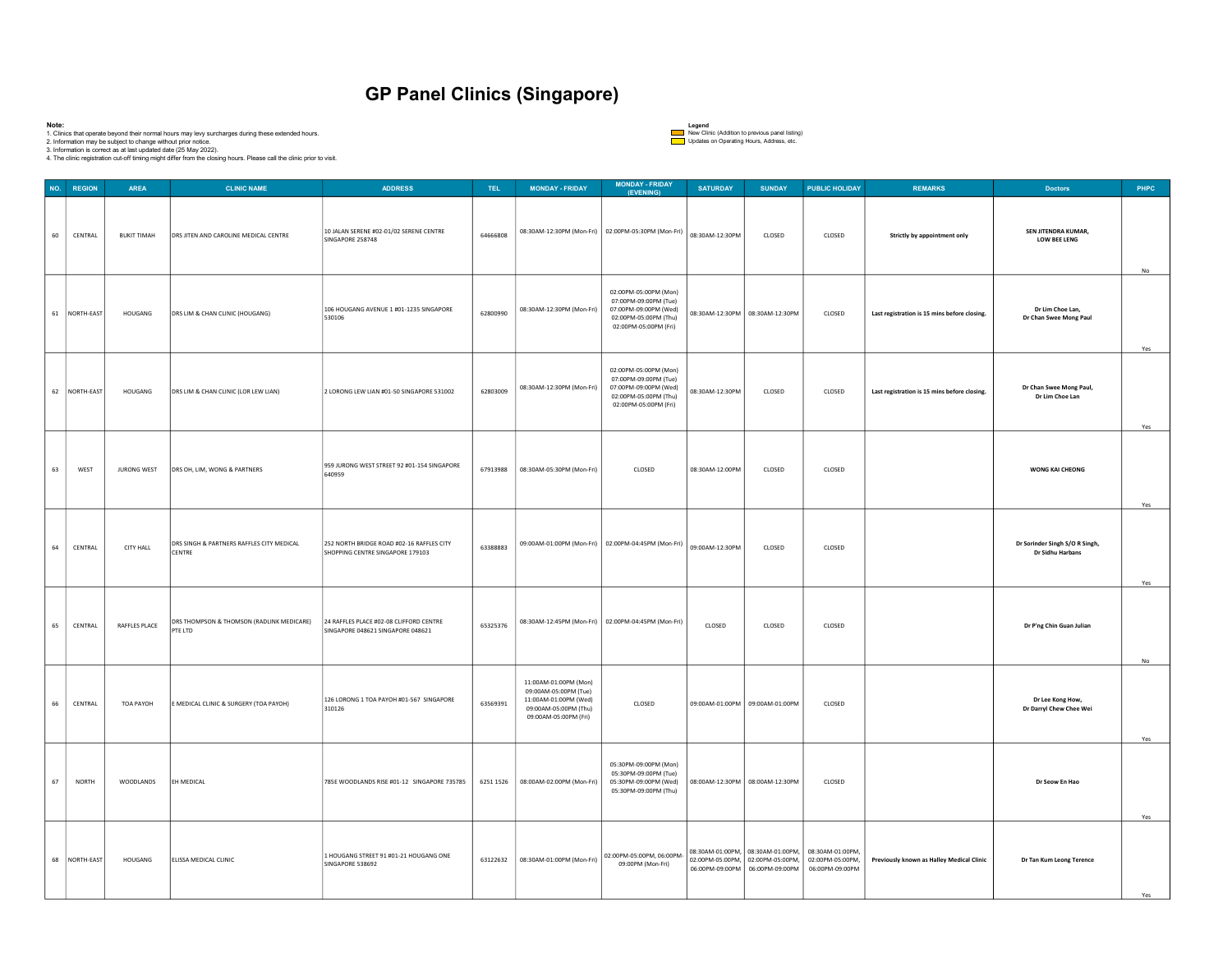| Note: |                       | 2. Information may be subject to change without prior notice.<br>3. Information is correct as at last updated date (25 May 2022). | 1. Clinics that operate beyond their normal hours may levy surcharges during these extended hours.<br>4. The clinic registration cut-off timing might differ from the closing hours. Please call the clinic prior to visit. | <b>GP Panel Clinics (Singapore)</b>                                           |                  |                                                                                                                           |                                                                                                                           | Legend<br>Updates on Operating Hours, Address, etc. | New Clinic (Addition to previous panel listing)                                       |                                                                       |                                                |                                                              |             |
|-------|-----------------------|-----------------------------------------------------------------------------------------------------------------------------------|-----------------------------------------------------------------------------------------------------------------------------------------------------------------------------------------------------------------------------|-------------------------------------------------------------------------------|------------------|---------------------------------------------------------------------------------------------------------------------------|---------------------------------------------------------------------------------------------------------------------------|-----------------------------------------------------|---------------------------------------------------------------------------------------|-----------------------------------------------------------------------|------------------------------------------------|--------------------------------------------------------------|-------------|
| 60    | NO. REGION<br>CENTRAL | <b>AREA</b><br><b>BUKIT TIMAH</b>                                                                                                 | <b>CLINIC NAME</b><br>DRS JITEN AND CAROLINE MEDICAL CENTRE                                                                                                                                                                 | <b>ADDRESS</b><br>10 JALAN SERENE #02-01/02 SERENE CENTRE<br>SINGAPORE 258748 | TEL.<br>64666808 | <b>MONDAY - FRIDAY</b>                                                                                                    | <b>MONDAY - FRIDAY</b><br>(EVENING)<br>08:30AM-12:30PM (Mon-Fri) 02:00PM-05:30PM (Mon-Fri)                                | <b>SATURDAY</b><br>08:30AM-12:30PM                  | <b>SUNDAY</b><br>CLOSED                                                               | PUBLIC HOLIDAY<br>CLOSED                                              | <b>REMARKS</b><br>Strictly by appointment only | <b>Doctors</b><br>SEN JITENDRA KUMAR,<br><b>LOW BEE LENG</b> | <b>PHPC</b> |
|       | 61   NORTH-EAST       | HOUGANG                                                                                                                           | DRS LIM & CHAN CLINIC (HOUGANG)                                                                                                                                                                                             | 106 HOUGANG AVENUE 1 #01-1235 SINGAPORE<br>530106                             | 62800990         | 08:30AM-12:30PM (Mon-Fri)                                                                                                 | 02:00PM-05:00PM (Mon)<br>07:00PM-09:00PM (Tue)<br>07:00PM-09:00PM (Wed)<br>02:00PM-05:00PM (Thu)<br>02:00PM-05:00PM (Fri) |                                                     | 08:30AM-12:30PM   08:30AM-12:30PM                                                     | CLOSED                                                                | Last registration is 15 mins before closing.   | Dr Lim Choe Lan,<br>Dr Chan Swee Mong Paul                   | No<br>Yes   |
|       | 62 NORTH-EAST         | HOUGANG                                                                                                                           | DRS LIM & CHAN CLINIC (LOR LEW LIAN)                                                                                                                                                                                        | 2 LORONG LEW LIAN #01-50 SINGAPORE 531002                                     | 62803009         | 08:30AM-12:30PM (Mon-Fri)                                                                                                 | 02:00PM-05:00PM (Mon)<br>07:00PM-09:00PM (Tue)<br>07:00PM-09:00PM (Wed)<br>02:00PM-05:00PM (Thu)<br>02:00PM-05:00PM (Fri) | 08:30AM-12:30PM                                     | CLOSED                                                                                | CLOSED                                                                | Last registration is 15 mins before closing.   | Dr Chan Swee Mong Paul,<br>Dr Lim Choe Lan                   | Yes         |
| 63    | WEST                  | JURONG WEST                                                                                                                       | DRS OH, LIM, WONG & PARTNERS                                                                                                                                                                                                | 959 JURONG WEST STREET 92 #01-154 SINGAPORE<br>640959                         | 67913988         | 08:30AM-05:30PM (Mon-Fri)                                                                                                 | CLOSED                                                                                                                    | 08:30AM-12:00PM                                     | CLOSED                                                                                | CLOSED                                                                |                                                | WONG KAI CHEONG                                              | Yes         |
| 64    | CENTRAL               | <b>CITY HALL</b>                                                                                                                  | DRS SINGH & PARTNERS RAFFLES CITY MEDICAL<br>CENTRE                                                                                                                                                                         | 252 NORTH BRIDGE ROAD #02-16 RAFFLES CITY<br>SHOPPING CENTRE SINGAPORE 179103 | 63388883         |                                                                                                                           | 09:00AM-01:00PM (Mon-Fri) 02:00PM-04:45PM (Mon-Fri)                                                                       | 09:00AM-12:30PM                                     | CLOSED                                                                                | CLOSED                                                                |                                                | Dr Sorinder Singh S/O R Singh,<br>Dr Sidhu Harbans           | Yes         |
| 65    | CENTRAL               | RAFFLES PLACE                                                                                                                     | DRS THOMPSON & THOMSON (RADLINK MEDICARE)<br>PTE LTD                                                                                                                                                                        | 24 RAFFLES PLACE #02-08 CLIFFORD CENTRE<br>SINGAPORE 048621 SINGAPORE 048621  | 65325376         |                                                                                                                           | 08:30AM-12:45PM (Mon-Fri) 02:00PM-04:45PM (Mon-Fri)                                                                       | CLOSED                                              | CLOSED                                                                                | CLOSED                                                                |                                                | Dr P'ng Chin Guan Julian                                     | No          |
| 66    | CENTRAL               | TOA PAYOH                                                                                                                         | E MEDICAL CLINIC & SURGERY (TOA PAYOH)                                                                                                                                                                                      | 126 LORONG 1 TOA PAYOH #01-567 SINGAPORE<br>310126                            | 63569391         | 11:00AM-01:00PM (Mon)<br>09:00AM-05:00PM (Tue)<br>11:00AM-01:00PM (Wed)<br>09:00AM-05:00PM (Thu)<br>09:00AM-05:00PM (Fri) | CLOSED                                                                                                                    |                                                     | 09:00AM-01:00PM 09:00AM-01:00PM                                                       | CLOSED                                                                |                                                | Dr Lee Kong How,<br>Dr Darryl Chew Chee Wei                  | Yes         |
| 67    | NORTH                 | WOODLANDS                                                                                                                         | EH MEDICAL                                                                                                                                                                                                                  | 785E WOODLANDS RISE #01-12 SINGAPORE 735785                                   | 6251 1526        | 08:00AM-02:00PM (Mon-Fri)                                                                                                 | 05:30PM-09:00PM (Mon)<br>05:30PM-09:00PM (Tue)<br>05:30PM-09:00PM (Wed)<br>05:30PM-09:00PM (Thu)                          |                                                     | 08:00AM-12:30PM 08:00AM-12:30PM                                                       | CLOSED                                                                |                                                | Dr Seow En Hao                                               |             |
|       | 68 NORTH-EAST         | HOUGANG                                                                                                                           | ELISSA MEDICAL CLINIC                                                                                                                                                                                                       | 1 HOUGANG STREET 91 #01-21 HOUGANG ONE<br>SINGAPORE 538692                    |                  |                                                                                                                           | 63122632 08:30AM-01:00PM (Mon-Fri) 02:00PM-05:00PM, 06:00PM-<br>09:00PM (Mon-Fri)                                         |                                                     | 08:30AM-01:00PM, 08:30AM-01:00PM, 08:30AM-01:00PM,<br>06:00PM-09:00PM 06:00PM-09:00PM | 02:00PM-05:00PM, 02:00PM-05:00PM, 02:00PM-05:00PM,<br>06:00PM-09:00PM | Previously known as Halley Medical Clinic      | Dr Tan Kum Leong Terence                                     | Yes<br>Yes  |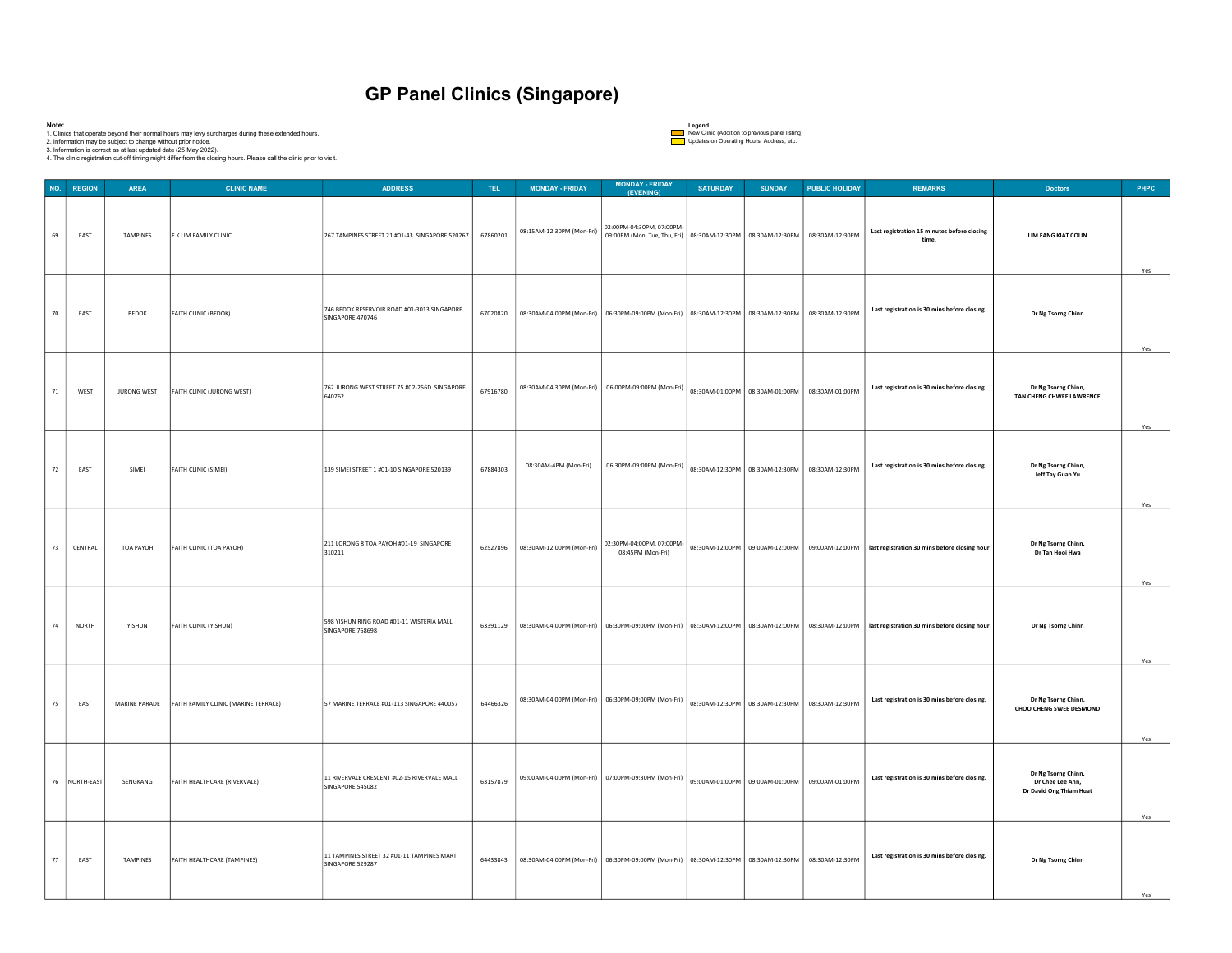| Note:     |                       | 2. Information may be subject to change without prior notice.<br>3. Information is correct as at last updated date (25 May 2022). | 1. Clinics that operate beyond their normal hours may levy surcharges during these extended hours.                    | <b>GP Panel Clinics (Singapore)</b>                              |                  |                                                     |                                                                                                                                   | Legend          | New Clinic (Addition to previous panel listing)<br>Updates on Operating Hours, Address, etc. |                       |                                                                                                                                                             |                                                                    |            |
|-----------|-----------------------|-----------------------------------------------------------------------------------------------------------------------------------|-----------------------------------------------------------------------------------------------------------------------|------------------------------------------------------------------|------------------|-----------------------------------------------------|-----------------------------------------------------------------------------------------------------------------------------------|-----------------|----------------------------------------------------------------------------------------------|-----------------------|-------------------------------------------------------------------------------------------------------------------------------------------------------------|--------------------------------------------------------------------|------------|
|           |                       |                                                                                                                                   | 4. The clinic registration cut-off timing might differ from the closing hours. Please call the clinic prior to visit. |                                                                  |                  |                                                     | <b>MONDAY - FRIDAY</b>                                                                                                            |                 |                                                                                              |                       |                                                                                                                                                             |                                                                    |            |
| NO.<br>69 | <b>REGION</b><br>EAST | <b>AREA</b><br>TAMPINES                                                                                                           | <b>CLINIC NAME</b><br>F K LIM FAMILY CLINIC                                                                           | <b>ADDRESS</b><br>267 TAMPINES STREET 21 #01-43 SINGAPORE 520267 | TEL.<br>67860201 | <b>MONDAY - FRIDAY</b><br>08:15AM-12:30PM (Mon-Fri) | (EVENING)<br>02:00PM-04:30PM, 07:00PM-<br>09:00PM (Mon, Tue, Thu, Fri) 08:30AM-12:30PM 08:30AM-12:30PM 08:30AM-12:30PM            | <b>SATURDAY</b> | <b>SUNDAY</b>                                                                                | <b>PUBLIC HOLIDAY</b> | <b>REMARKS</b><br>Last registration 15 minutes before closing<br>time.                                                                                      | <b>Doctors</b><br><b>LIM FANG KIAT COLIN</b>                       | PHPC       |
| 70        | EAST                  | <b>BEDOK</b>                                                                                                                      | FAITH CLINIC (BEDOK)                                                                                                  | 746 BEDOK RESERVOIR ROAD #01-3013 SINGAPORE<br>SINGAPORE 470746  | 67020820         |                                                     | 08:30AM-04:00PM (Mon-Fri) 06:30PM-09:00PM (Mon-Fri) 08:30AM-12:30PM 08:30AM-12:30PM 08:30AM-12:30PM                               |                 |                                                                                              |                       | Last registration is 30 mins before closing.                                                                                                                | Dr Ng Tsorng Chinn                                                 | Yes        |
| 71        | WEST                  | <b>JURONG WEST</b>                                                                                                                | FAITH CLINIC (JURONG WEST)                                                                                            | 762 JURONG WEST STREET 75 #02-256D SINGAPORE<br>640762           | 67916780         |                                                     | 08:30AM-04:30PM (Mon-Fri)   06:00PM-09:00PM (Mon-Fri)   08:30AM-01:00PM   08:30AM-01:00PM   08:30AM-01:00PM                       |                 |                                                                                              |                       | Last registration is 30 mins before closing.                                                                                                                | Dr Ng Tsorng Chinn,<br>TAN CHENG CHWEE LAWRENCE                    | Yes<br>Yes |
| 72        | EAST                  | SIMEI                                                                                                                             | FAITH CLINIC (SIMEI)                                                                                                  | 139 SIMEI STREET 1 #01-10 SINGAPORE 520139                       | 67884303         | 08:30AM-4PM (Mon-Fri)                               | $\big  06:30PM \cdot 09:00PM \cdot (Mon-Fri) \big  08:30AM \cdot 12:30PM \big  08:30AM \cdot 12:30PM \big  08:30AM \cdot 12:30PM$ |                 |                                                                                              |                       | Last registration is 30 mins before closing.                                                                                                                | Dr Ng Tsorng Chinn,<br>Jeff Tay Guan Yu                            | Yes        |
| 73        | CENTRAL               | TOA PAYOH                                                                                                                         | FAITH CLINIC (TOA PAYOH)                                                                                              | 211 LORONG 8 TOA PAYOH #01-19 SINGAPORE<br>310211                | 62527896         |                                                     | 08:30AM-12:00PM (Mon-Fri) $\Bigg  02:30$ PM-04:00PM, 07:00PM-<br>08:45PM (Mon-Fri)                                                |                 |                                                                                              |                       | 08:30AM-12:00PM   09:00AM-12:00PM   09:00AM-12:00PM   last registration 30 mins before closing hour                                                         | Dr Ng Tsorng Chinn,<br>Dr Tan Hooi Hwa                             | Yes        |
| 74        | <b>NORTH</b>          | YISHUN                                                                                                                            | FAITH CLINIC (YISHUN)                                                                                                 | 598 YISHUN RING ROAD #01-11 WISTERIA MALL<br>SINGAPORE 768698    | 63391129         |                                                     |                                                                                                                                   |                 |                                                                                              |                       | 06:30AM-04:00PM (Mon-Fri)   06:30PM-09:00PM (Mon-Fri)   08:30AM-12:00PM   08:30AM-12:00PM   08:30AM-12:00PM   last registration 30 mins before closing hour | Dr Ng Tsorng Chinn                                                 | Yes        |
| 75        | EAST                  | MARINE PARADE                                                                                                                     | FAITH FAMILY CLINIC (MARINE TERRACE)                                                                                  | 57 MARINE TERRACE #01-113 SINGAPORE 440057                       | 64466326         |                                                     | 08:30AM-04:00PM (Mon-Fri) 06:30PM-09:00PM (Mon-Fri)                                                                               |                 | 08:30AM-12:30PM 08:30AM-12:30PM 08:30AM-12:30PM                                              |                       | Last registration is 30 mins before closing.                                                                                                                | Dr Ng Tsorng Chinn,<br>CHOO CHENG SWEE DESMOND                     | Yes        |
|           | 76   NORTH-EAST       | SENGKANG                                                                                                                          | FAITH HEALTHCARE (RIVERVALE)                                                                                          | 11 RIVERVALE CRESCENT #02-15 RIVERVALE MALL<br>SINGAPORE 545082  | 63157879         |                                                     | $\boxed{\text{09:00AM-04:00PM (Mon-Fri) }[07:00PM-09:30PM (Mon-Fri) }[09:00AM-01:00PM] 09:00AM-01:00PM] 09:00AM-01:00PM}$         |                 |                                                                                              |                       | Last registration is 30 mins before closing.                                                                                                                | Dr Ng Tsorng Chinn,<br>Dr Chee Lee Ann,<br>Dr David Ong Thiam Huat | Yes        |
| 77        | EAST                  | TAMPINES                                                                                                                          | FAITH HEALTHCARE (TAMPINES)                                                                                           | 11 TAMPINES STREET 32 #01-11 TAMPINES MART<br>SINGAPORE 529287   | 64433843         |                                                     | 08:30AM-04:00PM (Mon-Fri)   06:30PM-09:00PM (Mon-Fri)   08:30AM-12:30PM   08:30AM-12:30PM   08:30AM-12:30PM                       |                 |                                                                                              |                       | Last registration is 30 mins before closing.                                                                                                                | Dr Ng Tsorng Chinn                                                 |            |

Yes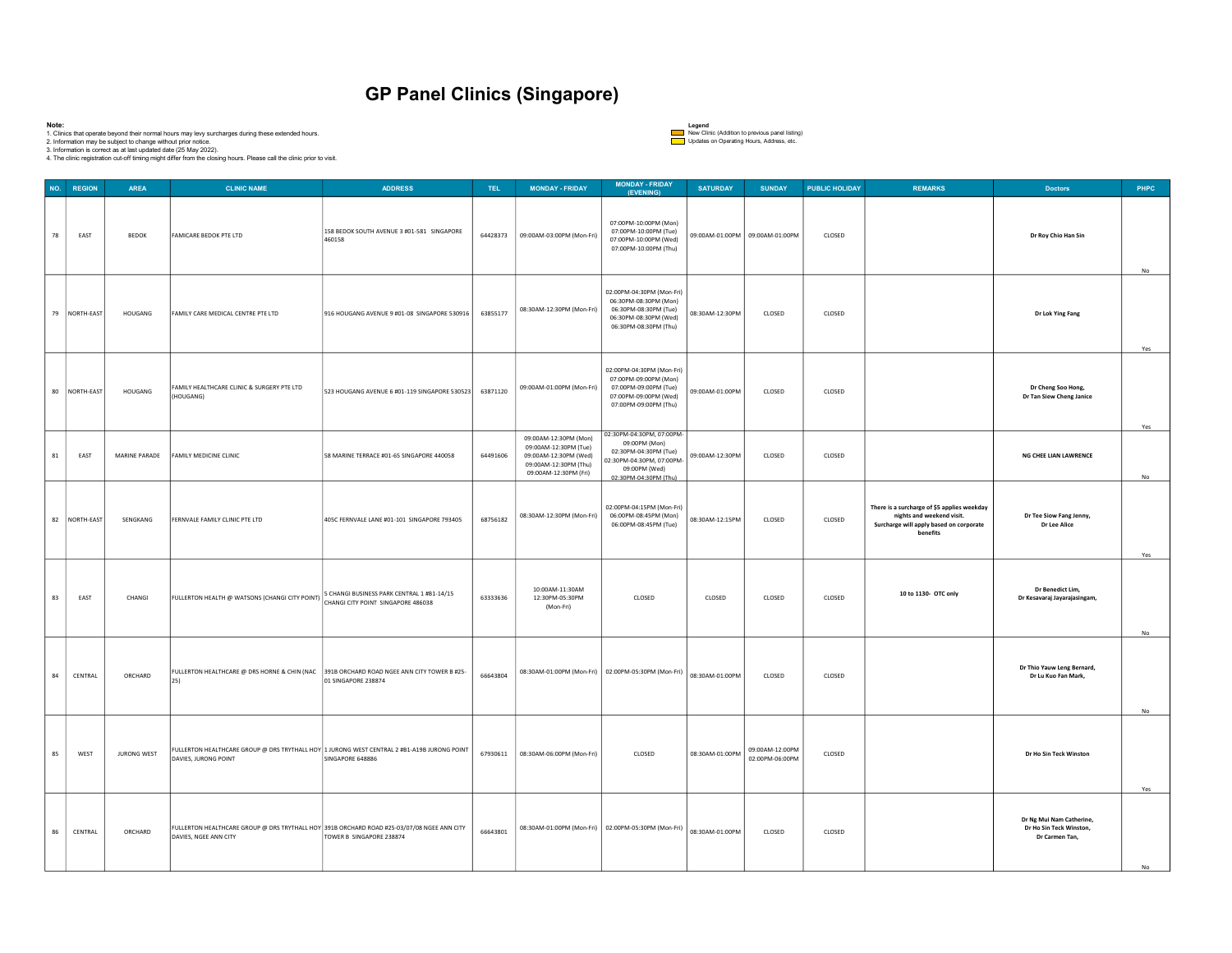| Note: |                 | 2. Information may be subject to change without prior notice.<br>3. Information is correct as at last updated date (25 May 2022). | 1. Clinics that operate beyond their normal hours may levy surcharges during these extended hours.<br>4. The clinic registration cut-off timing might differ from the closing hours. Please call the clinic prior to visit. | <b>GP Panel Clinics (Singapore)</b>                                                                                    |          |                                                                                                                           |                                                                                                                                            | Legend<br>Updates on Operating Hours, Address, etc. | New Clinic (Addition to previous panel listing) |                       |                                                                                                                                 |                                                                       |           |
|-------|-----------------|-----------------------------------------------------------------------------------------------------------------------------------|-----------------------------------------------------------------------------------------------------------------------------------------------------------------------------------------------------------------------------|------------------------------------------------------------------------------------------------------------------------|----------|---------------------------------------------------------------------------------------------------------------------------|--------------------------------------------------------------------------------------------------------------------------------------------|-----------------------------------------------------|-------------------------------------------------|-----------------------|---------------------------------------------------------------------------------------------------------------------------------|-----------------------------------------------------------------------|-----------|
|       | NO. REGION      | <b>AREA</b>                                                                                                                       | <b>CLINIC NAME</b>                                                                                                                                                                                                          | <b>ADDRESS</b>                                                                                                         | TEL.     | <b>MONDAY - FRIDAY</b>                                                                                                    | <b>MONDAY - FRIDAY</b><br>(EVENING)                                                                                                        | <b>SATURDAY</b>                                     | <b>SUNDAY</b>                                   | <b>PUBLIC HOLIDAY</b> | <b>REMARKS</b>                                                                                                                  | <b>Doctors</b>                                                        | PHPC      |
| 78    | EAST            | <b>BEDOK</b>                                                                                                                      | FAMICARE BEDOK PTE LTD                                                                                                                                                                                                      | 158 BEDOK SOUTH AVENUE 3 #01-581 SINGAPORE<br>460158                                                                   | 64428373 | 09:00AM-03:00PM (Mon-Fri)                                                                                                 | 07:00PM-10:00PM (Mon)<br>07:00PM-10:00PM (Tue)<br>07:00PM-10:00PM (Wed)<br>07:00PM-10:00PM (Thu)                                           |                                                     | 09:00AM-01:00PM 09:00AM-01:00PM                 | CLOSED                |                                                                                                                                 | Dr Roy Chio Han Sin                                                   | No        |
|       | 79   NORTH-EAST | HOUGANG                                                                                                                           | FAMILY CARE MEDICAL CENTRE PTE LTD                                                                                                                                                                                          | 916 HOUGANG AVENUE 9 #01-08 SINGAPORE 530916                                                                           | 63855177 | 08:30AM-12:30PM (Mon-Fri)                                                                                                 | 02:00PM-04:30PM (Mon-Fri)<br>06:30PM-08:30PM (Mon)<br>06:30PM-08:30PM (Tue)<br>06:30PM-08:30PM (Wed)<br>06:30PM-08:30PM (Thu)              | 08:30AM-12:30PM                                     | CLOSED                                          | CLOSED                |                                                                                                                                 | Dr Lok Ying Fang                                                      | Yes       |
|       | 80   NORTH-EAST | HOUGANG                                                                                                                           | AMILY HEALTHCARE CLINIC & SURGERY PTE LTD<br>(HOUGANG)                                                                                                                                                                      | 523 HOUGANG AVENUE 6 #01-119 SINGAPORE 530523 63871120                                                                 |          | 09:00AM-01:00PM (Mon-Fri)                                                                                                 | 02:00PM-04:30PM (Mon-Fri)<br>07:00PM-09:00PM (Mon)<br>07:00PM-09:00PM (Tue)<br>07:00PM-09:00PM (Wed)<br>07:00PM-09:00PM (Thu)              | 09:00AM-01:00PM                                     | CLOSED                                          | CLOSED                |                                                                                                                                 | Dr Cheng Soo Hong,<br>Dr Tan Siew Cheng Janice                        |           |
| 81    | EAST            | MARINE PARADE                                                                                                                     | FAMILY MEDICINE CLINIC                                                                                                                                                                                                      | 58 MARINE TERRACE #01-65 SINGAPORE 440058                                                                              | 64491606 | 09:00AM-12:30PM (Mon)<br>09:00AM-12:30PM (Tue)<br>09:00AM-12:30PM (Wed)<br>09:00AM-12:30PM (Thu)<br>09:00AM-12:30PM (Fri) | 02:30PM-04:30PM, 07:00PM-<br>09:00PM (Mon)<br>02:30PM-04:30PM (Tue)<br>02:30PM-04:30PM, 07:00PM-<br>09:00PM (Wed)<br>02:30PM-04:30PM (Thu) | 09:00AM-12:30PM                                     | CLOSED                                          | CLOSED                |                                                                                                                                 | NG CHEE LIAN LAWRENCE                                                 | Yes<br>No |
| 82    | NORTH-EAST      | SENGKANG                                                                                                                          | FERNVALE FAMILY CLINIC PTE LTD                                                                                                                                                                                              | 405C FERNVALE LANE #01-101 SINGAPORE 793405                                                                            | 68756182 | 08:30AM-12:30PM (Mon-Fri)                                                                                                 | 02:00PM-04:15PM (Mon-Fri)<br>06:00PM-08:45PM (Mon)<br>06:00PM-08:45PM (Tue)                                                                | 08:30AM-12:15PM                                     | CLOSED                                          | CLOSED                | There is a surcharge of \$5 applies weekday<br>nights and weekend visit.<br>Surcharge will apply based on corporate<br>benefits | Dr Tee Siow Fang Jenny,<br><b>Dr Lee Alice</b>                        | Yes       |
| 83    | EAST            | CHANGI                                                                                                                            | FULLERTON HEALTH @ WATSONS (CHANGI CITY POINT) SCHANGI BUSINESS PARK CENTRAL 1 #B1-14/15                                                                                                                                    |                                                                                                                        | 63333636 | 10:00AM-11:30AM<br>12:30PM-05:30PM<br>(Mon-Fri)                                                                           | CLOSED                                                                                                                                     | CLOSED                                              | CLOSED                                          | CLOSED                | 10 to 1130- OTC only                                                                                                            | Dr Benedict Lim,<br>Dr Kesavaraj Jayarajasingam,                      | No.       |
| 84    | CENTRAL         | ORCHARD                                                                                                                           | 25)                                                                                                                                                                                                                         | FULLERTON HEALTHCARE @ DRS HORNE & CHIN (NAC 391B ORCHARD ROAD NGEE ANN CITY TOWER B #25-<br>01 SINGAPORE 238874       | 66643804 |                                                                                                                           | 08:30AM-01:00PM (Mon-Fri) 02:00PM-05:30PM (Mon-Fri) 08:30AM-01:00PM                                                                        |                                                     | CLOSED                                          | CLOSED                |                                                                                                                                 | Dr Thio Yauw Leng Bernard,<br>Dr Lu Kuo Fan Mark,                     |           |
| 85    | WEST            | JURONG WEST                                                                                                                       | DAVIES, JURONG POINT                                                                                                                                                                                                        | FULLERTON HEALTHCARE GROUP @ DRS TRYTHALL HOY 1 JURONG WEST CENTRAL 2 #B1-A19B JURONG POINT<br>SINGAPORE 648886        |          | 67930611 08:30AM-06:00PM (Mon-Fri)                                                                                        | CLOSED                                                                                                                                     | 08:30AM-01:00PM                                     | 09:00AM-12:00PM<br>02:00PM-06:00PM              | CLOSED                |                                                                                                                                 | Dr Ho Sin Teck Winston                                                | No        |
| 86    | CENTRAL         | ORCHARD                                                                                                                           | DAVIES, NGEE ANN CITY                                                                                                                                                                                                       | FULLERTON HEALTHCARE GROUP @ DRS TRYTHALL HOY 391B ORCHARD ROAD #25-03/07/08 NGEE ANN CITY<br>TOWER B SINGAPORE 238874 | 66643801 |                                                                                                                           | 08:30AM-01:00PM (Mon-Fri) 02:00PM-05:30PM (Mon-Fri) 08:30AM-01:00PM                                                                        |                                                     | CLOSED                                          | CLOSED                |                                                                                                                                 | Dr Ng Mui Nam Catherine,<br>Dr Ho Sin Teck Winston,<br>Dr Carmen Tan, | Yes       |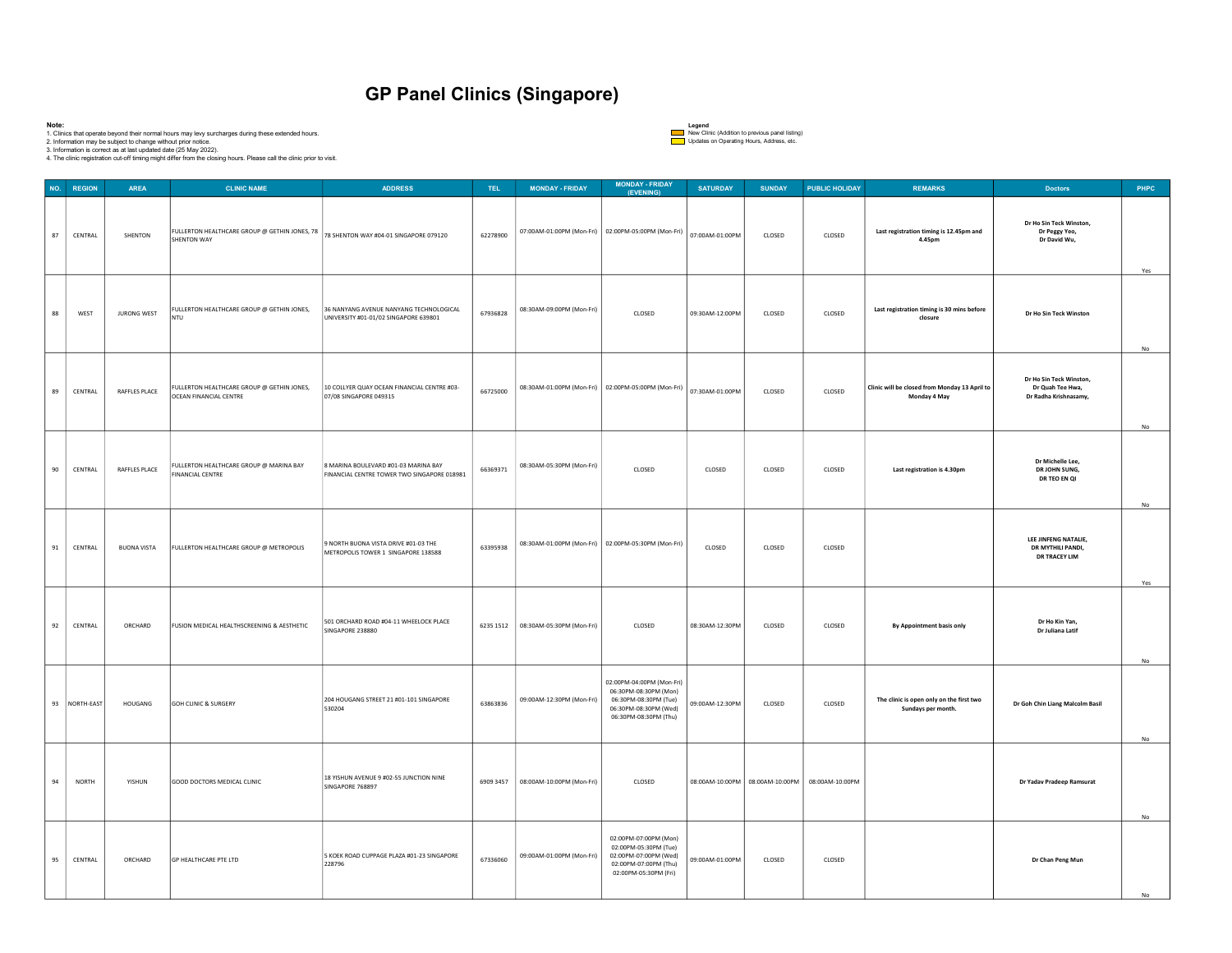| Note:            | 2. Information may be subject to change without prior notice.<br>3. Information is correct as at last updated date (25 May 2022). | 1. Clinics that operate beyond their normal hours may levy surcharges during these extended hours.<br>4. The clinic registration cut-off timing might differ from the closing hours. Please call the clinic prior to visit. | <b>GP Panel Clinics (Singapore)</b>                                                 |          |                                       |                                                                                                                               | Legend<br>Updates on Operating Hours, Address, etc. | New Clinic (Addition to previous panel listing) |                                                 |                                                                |                                                                      |           |
|------------------|-----------------------------------------------------------------------------------------------------------------------------------|-----------------------------------------------------------------------------------------------------------------------------------------------------------------------------------------------------------------------------|-------------------------------------------------------------------------------------|----------|---------------------------------------|-------------------------------------------------------------------------------------------------------------------------------|-----------------------------------------------------|-------------------------------------------------|-------------------------------------------------|----------------------------------------------------------------|----------------------------------------------------------------------|-----------|
| NO. REGION       | AREA                                                                                                                              | <b>CLINIC NAME</b>                                                                                                                                                                                                          | <b>ADDRESS</b>                                                                      | TEL.     | <b>MONDAY - FRIDAY</b>                | <b>MONDAY - FRIDAY</b>                                                                                                        | <b>SATURDAY</b>                                     | <b>SUNDAY</b>                                   | <b>PUBLIC HOLIDAY</b>                           | <b>REMARKS</b>                                                 | <b>Doctors</b>                                                       | PHPC      |
| 87<br>CENTRAL    | SHENTON                                                                                                                           | FULLERTON HEALTHCARE GROUP @ GETHIN JONES, 78 $\vert$ 78 SHENTON WAY #04-01 SINGAPORE 079120<br>SHENTON WAY                                                                                                                 |                                                                                     | 62278900 |                                       | (EVENING)<br>07:00AM-01:00PM (Mon-Fri) 02:00PM-05:00PM (Mon-Fri) 07:00AM-01:00PM                                              |                                                     | CLOSED                                          | CLOSED                                          | Last registration timing is 12.45pm and<br>4.45pm              | Dr Ho Sin Teck Winston,<br>Dr Peggy Yeo,<br>Dr David Wu,             | Yes       |
| 88<br>WEST       | JURONG WEST                                                                                                                       | FULLERTON HEALTHCARE GROUP @ GETHIN JONES,<br>NTU                                                                                                                                                                           | 36 NANYANG AVENUE NANYANG TECHNOLOGICAL<br>UNIVERSITY #01-01/02 SINGAPORE 639801    | 67936828 | 08:30AM-09:00PM (Mon-Fri)             | CLOSED                                                                                                                        | 09:30AM-12:00PM                                     | CLOSED                                          | CLOSED                                          | Last registration timing is 30 mins before<br>closure          | Dr Ho Sin Teck Winston                                               | No        |
| 89<br>CENTRAL    | RAFFLES PLACE                                                                                                                     | ULLERTON HEALTHCARE GROUP @ GETHIN JONES,<br>OCEAN FINANCIAL CENTRE                                                                                                                                                         | 10 COLLYER QUAY OCEAN FINANCIAL CENTRE #03-<br>07/08 SINGAPORE 049315               | 66725000 |                                       | 08:30AM-01:00PM (Mon-Fri)   02:00PM-05:00PM (Mon-Fri)   07:30AM-01:00PM                                                       |                                                     | CLOSED                                          | CLOSED                                          | Clinic will be closed from Monday 13 April to<br>Monday 4 May  | Dr Ho Sin Teck Winston,<br>Dr Quah Tee Hwa,<br>Dr Radha Krishnasamy, | No        |
| CENTRAL<br>90    | RAFFLES PLACE                                                                                                                     | FULLERTON HEALTHCARE GROUP @ MARINA BAY<br><b>FINANCIAL CENTRE</b>                                                                                                                                                          | 8 MARINA BOULEVARD #01-03 MARINA BAY<br>FINANCIAL CENTRE TOWER TWO SINGAPORE 018981 | 66369371 | 08:30AM-05:30PM (Mon-Fri)             | CLOSED                                                                                                                        | CLOSED                                              | CLOSED                                          | CLOSED                                          | Last registration is 4.30pm                                    | Dr Michelle Lee,<br>DR JOHN SUNG,<br>DR TEO EN QI                    | <b>No</b> |
| CENTRAL<br>91    | <b>BUONA VISTA</b>                                                                                                                | FULLERTON HEALTHCARE GROUP @ METROPOLIS                                                                                                                                                                                     | 9 NORTH BUONA VISTA DRIVE #01-03 THE<br>METROPOLIS TOWER 1 SINGAPORE 138588         | 63395938 |                                       | 08:30AM-01:00PM (Mon-Fri) 02:00PM-05:30PM (Mon-Fri)                                                                           | CLOSED                                              | CLOSED                                          | CLOSED                                          |                                                                | LEE JINFENG NATALIE,<br>DR MYTHILI PANDI,<br>DR TRACEY LIM           | Yes       |
| 92<br>CENTRAL    | ORCHARD                                                                                                                           | FUSION MEDICAL HEALTHSCREENING & AESTHETIC                                                                                                                                                                                  | 501 ORCHARD ROAD #04-11 WHEELOCK PLACE<br>SINGAPORE 238880                          |          | 6235 1512   08:30AM-05:30PM (Mon-Fri) | CLOSED                                                                                                                        | 08:30AM-12:30PM                                     | CLOSED                                          | CLOSED                                          | By Appointment basis only                                      | Dr Ho Kin Yan,<br>Dr Juliana Latif                                   | No        |
| 93<br>NORTH-EAST | HOUGANG                                                                                                                           | <b>GOH CLINIC &amp; SURGERY</b>                                                                                                                                                                                             | 204 HOUGANG STREET 21 #01-101 SINGAPORE<br>530204                                   | 63863836 | 09:00AM-12:30PM (Mon-Fri)             | 02:00PM-04:00PM (Mon-Fri)<br>06:30PM-08:30PM (Mon)<br>06:30PM-08:30PM (Tue)<br>06:30PM-08:30PM (Wed)<br>06:30PM-08:30PM (Thu) | 09:00AM-12:30PM                                     | CLOSED                                          | CLOSED                                          | The clinic is open only on the first two<br>Sundays per month. | Dr Goh Chin Liang Malcolm Basil                                      | No        |
| 94<br>NORTH      | YISHUN                                                                                                                            | GOOD DOCTORS MEDICAL CLINIC                                                                                                                                                                                                 | 18 YISHUN AVENUE 9 #02-55 JUNCTION NINE<br>SINGAPORE 768897                         |          | 6909 3457   08:00AM-10:00PM (Mon-Fri) | CLOSED                                                                                                                        |                                                     |                                                 | 08:00AM-10:00PM 08:00AM-10:00PM 08:00AM-10:00PM |                                                                | Dr Yadav Pradeep Ramsurat                                            |           |
| 95<br>CENTRAL    | ORCHARD                                                                                                                           | GP HEALTHCARE PTE LTD                                                                                                                                                                                                       | 5 KOEK ROAD CUPPAGE PLAZA #01-23 SINGAPORE<br>228796                                | 67336060 | 09:00AM-01:00PM (Mon-Fri)             | 02:00PM-07:00PM (Mon)<br>02:00PM-05:30PM (Tue)<br>02:00PM-07:00PM (Wed)<br>02:00PM-07:00PM (Thu)<br>02:00PM-05:30PM (Fri)     | 09:00AM-01:00PM                                     | CLOSED                                          | CLOSED                                          |                                                                | Dr Chan Peng Mun                                                     | No        |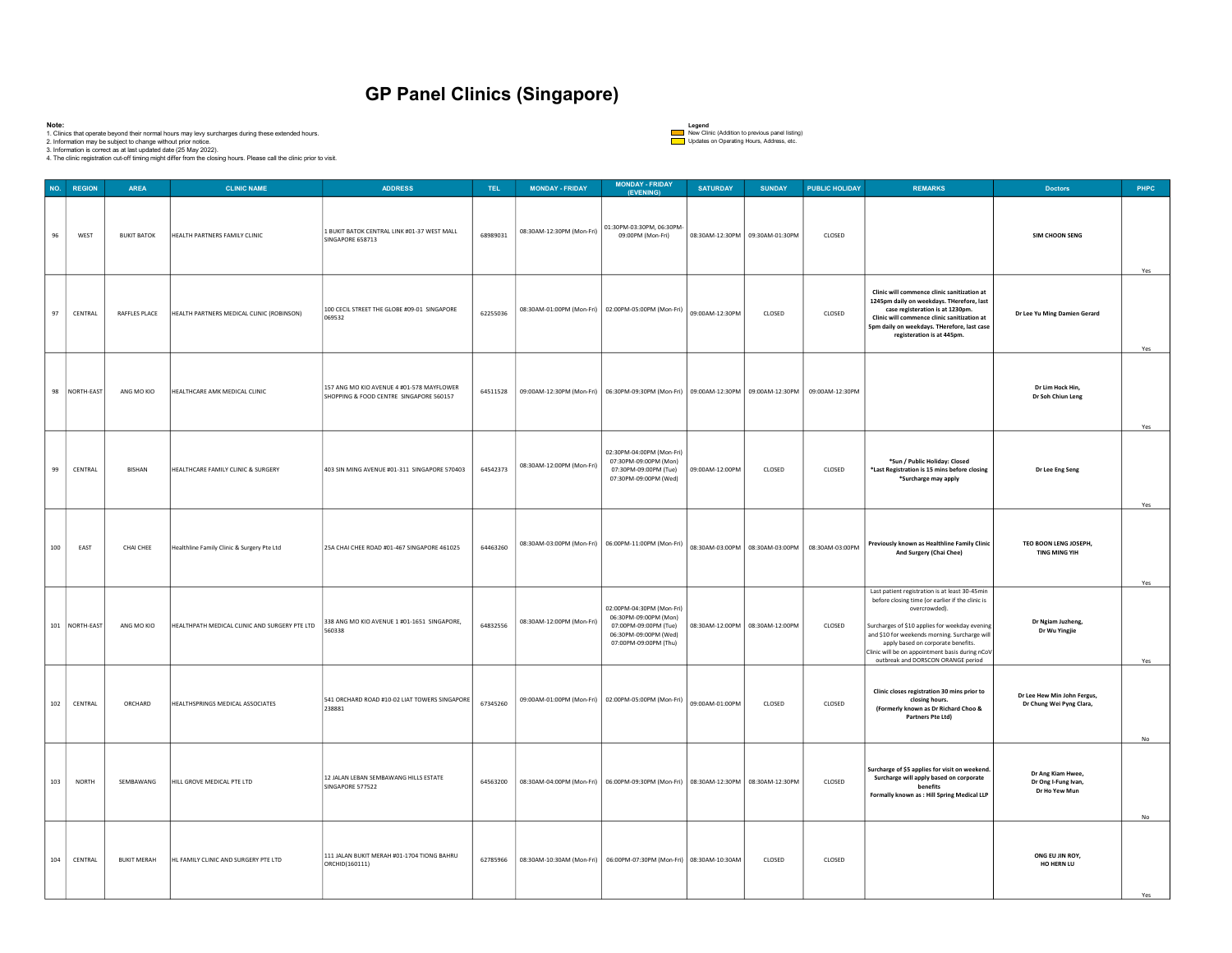| Note: |                | 2. Information may be subject to change without prior notice.<br>3. Information is correct as at last updated date (25 May 2022). | 1. Clinics that operate beyond their normal hours may levy surcharges during these extended hours.<br>4. The clinic registration cut-off timing might differ from the closing hours. Please call the clinic prior to visit. | <b>GP Panel Clinics (Singapore)</b>                                                  |          |                                                                                                              |                                                                                                                               | Legend<br>Updates on Operating Hours, Address, etc. | New Clinic (Addition to previous panel listing) |                                                     |                                                                                                                                                                                                                                                                                                                                                       |                                                           |      |
|-------|----------------|-----------------------------------------------------------------------------------------------------------------------------------|-----------------------------------------------------------------------------------------------------------------------------------------------------------------------------------------------------------------------------|--------------------------------------------------------------------------------------|----------|--------------------------------------------------------------------------------------------------------------|-------------------------------------------------------------------------------------------------------------------------------|-----------------------------------------------------|-------------------------------------------------|-----------------------------------------------------|-------------------------------------------------------------------------------------------------------------------------------------------------------------------------------------------------------------------------------------------------------------------------------------------------------------------------------------------------------|-----------------------------------------------------------|------|
|       | NO. REGION     | <b>AREA</b>                                                                                                                       | <b>CLINIC NAME</b>                                                                                                                                                                                                          | <b>ADDRESS</b>                                                                       | TEL.     | <b>MONDAY - FRIDAY</b>                                                                                       | <b>MONDAY - FRIDAY</b><br>(EVENING)                                                                                           | <b>SATURDAY</b>                                     | <b>SUNDAY</b>                                   | <b>PUBLIC HOLIDAY</b>                               | <b>REMARKS</b>                                                                                                                                                                                                                                                                                                                                        | <b>Doctors</b>                                            | PHPC |
| 96    | WEST           | <b>BUKIT BATOK</b>                                                                                                                | HEALTH PARTNERS FAMILY CLINIC                                                                                                                                                                                               | 1 BUKIT BATOK CENTRAL LINK #01-37 WEST MALL<br>SINGAPORE 658713                      | 68989031 | 08:30AM-12:30PM (Mon-Fri)                                                                                    | 01:30PM-03:30PM, 06:30PM-<br>09:00PM (Mon-Fri)                                                                                | 08:30AM-12:30PM 09:30AM-01:30PM                     |                                                 | CLOSED                                              |                                                                                                                                                                                                                                                                                                                                                       | SIM CHOON SENG                                            | Yes  |
| 97    | CENTRAL        | RAFFLES PLACE                                                                                                                     | HEALTH PARTNERS MEDICAL CLINIC (ROBINSON)                                                                                                                                                                                   | 100 CECIL STREET THE GLOBE #09-01 SINGAPORE<br>069532                                | 62255036 |                                                                                                              | 08:30AM-01:00PM (Mon-Fri)   02:00PM-05:00PM (Mon-Fri)                                                                         | 09:00AM-12:30PM                                     | CLOSED                                          | CLOSED                                              | Clinic will commence clinic sanitization at<br>1245pm daily on weekdays. THerefore, last<br>case registeration is at 1230pm.<br>Clinic will commence clinic sanitization at<br>5pm daily on weekdays. THerefore, last case<br>registeration is at 445pm.                                                                                              | Dr Lee Yu Ming Damien Gerard                              | Yes  |
|       | 98 NORTH-EAST  | ANG MO KIO                                                                                                                        | HEALTHCARE AMK MEDICAL CLINIC                                                                                                                                                                                               | 157 ANG MO KIO AVENUE 4 #01-578 MAYFLOWER<br>SHOPPING & FOOD CENTRE SINGAPORE 560157 |          | 64511528 09:00AM-12:30PM (Mon-Fri) 06:30PM-09:30PM (Mon-Fri) 09:00AM-12:30PM 09:00AM-12:30PM 09:00AM-12:30PM |                                                                                                                               |                                                     |                                                 |                                                     |                                                                                                                                                                                                                                                                                                                                                       | Dr Lim Hock Hin.<br>Dr Soh Chiun Leng                     | Yes  |
| 99    | CENTRAL        | <b>BISHAN</b>                                                                                                                     | HEALTHCARE FAMILY CLINIC & SURGERY                                                                                                                                                                                          | 403 SIN MING AVENUE #01-311 SINGAPORE 570403                                         | 64542373 | 08:30AM-12:00PM (Mon-Fri)                                                                                    | 02:30PM-04:00PM (Mon-Fri)<br>07:30PM-09:00PM (Mon)<br>07:30PM-09:00PM (Tue)<br>07:30PM-09:00PM (Wed)                          | 09:00AM-12:00PM                                     | CLOSED                                          | CLOSED                                              | *Sun / Public Holiday: Closed<br>*Last Registration is 15 mins before closing<br>*Surcharge may apply                                                                                                                                                                                                                                                 | Dr Lee Eng Seng                                           | Yes  |
| 100   | EAST           | CHAI CHEE                                                                                                                         | Healthline Family Clinic & Surgery Pte Ltd                                                                                                                                                                                  | 25A CHAI CHEE ROAD #01-467 SINGAPORE 461025                                          | 64463260 |                                                                                                              | 08:30AM-03:00PM (Mon-Fri) 06:00PM-11:00PM (Mon-Fri)                                                                           |                                                     |                                                 | 08:30AM-03:00PM   08:30AM-03:00PM   08:30AM-03:00PM | Previously known as Healthline Family Clinic<br>And Surgery (Chai Chee)                                                                                                                                                                                                                                                                               | TEO BOON LENG JOSEPH,<br>TING MING YIH                    | Yes  |
|       | 101 NORTH-EAST | ANG MO KIO                                                                                                                        | HEALTHPATH MEDICAL CLINIC AND SURGERY PTE LTD                                                                                                                                                                               | 338 ANG MO KIO AVENUE 1 #01-1651 SINGAPORE,<br>560338                                | 64832556 | 08:30AM-12:00PM (Mon-Fri)                                                                                    | 02:00PM-04:30PM (Mon-Fri)<br>06:30PM-09:00PM (Mon)<br>07:00PM-09:00PM (Tue)<br>06:30PM-09:00PM (Wed)<br>07:00PM-09:00PM (Thu) |                                                     | 08:30AM-12:00PM 08:30AM-12:00PM                 | CLOSED                                              | Last patient registration is at least 30-45min<br>before closing time (or earlier if the clinic is<br>overcrowded).<br>Surcharges of \$10 applies for weekday evening<br>and \$10 for weekends morning. Surcharge will<br>apply based on corporate benefits.<br>Clinic will be on appointment basis during nCoV<br>outbreak and DORSCON ORANGE period | Dr Ngiam Juzheng,<br>Dr Wu Yingjie                        | Yes  |
| 102   | CENTRAL        | ORCHARD                                                                                                                           | HEALTHSPRINGS MEDICAL ASSOCIATES                                                                                                                                                                                            | 541 ORCHARD ROAD #10-02 LIAT TOWERS SINGAPORE<br>238881                              | 67345260 |                                                                                                              | 09:00AM-01:00PM (Mon-Fri) 02:00PM-05:00PM (Mon-Fri)                                                                           | 09:00AM-01:00PM                                     | CLOSED                                          | CLOSED                                              | Clinic closes registration 30 mins prior to<br>closing hours.<br>(Formerly known as Dr Richard Choo &<br>Partners Pte Ltd)                                                                                                                                                                                                                            | Dr Lee Hew Min John Fergus,<br>Dr Chung Wei Pyng Clara,   | No   |
| 103   | NORTH          | SEMBAWANG                                                                                                                         | HILL GROVE MEDICAL PTE LTD                                                                                                                                                                                                  | 12 JALAN LEBAN SEMBAWANG HILLS ESTATE<br>SINGAPORE 577522                            | 64563200 |                                                                                                              | 08:30AM-04:00PM (Mon-Fri)   06:00PM-09:30PM (Mon-Fri)   08:30AM-12:30PM   08:30AM-12:30PM                                     |                                                     |                                                 | CLOSED                                              | Surcharge of \$5 applies for visit on weekend.<br>Surcharge will apply based on corporate<br>benefits<br>Formally known as : Hill Spring Medical LLP                                                                                                                                                                                                  | Dr Ang Kiam Hwee,<br>Dr Ong I-Fung Ivan,<br>Dr Ho Yew Mun | No   |
| 104   | CENTRAL        | <b>BUKIT MERAH</b>                                                                                                                | HL FAMILY CLINIC AND SURGERY PTE LTD                                                                                                                                                                                        | 111 JALAN BUKIT MERAH #01-1704 TIONG BAHRU<br>ORCHID(160111)                         | 62785966 |                                                                                                              | 08:30AM-10:30AM (Mon-Fri) 06:00PM-07:30PM (Mon-Fri) 08:30AM-10:30AM                                                           |                                                     | CLOSED                                          | CLOSED                                              |                                                                                                                                                                                                                                                                                                                                                       | ONG EU JIN ROY,<br>HO HERN LU                             |      |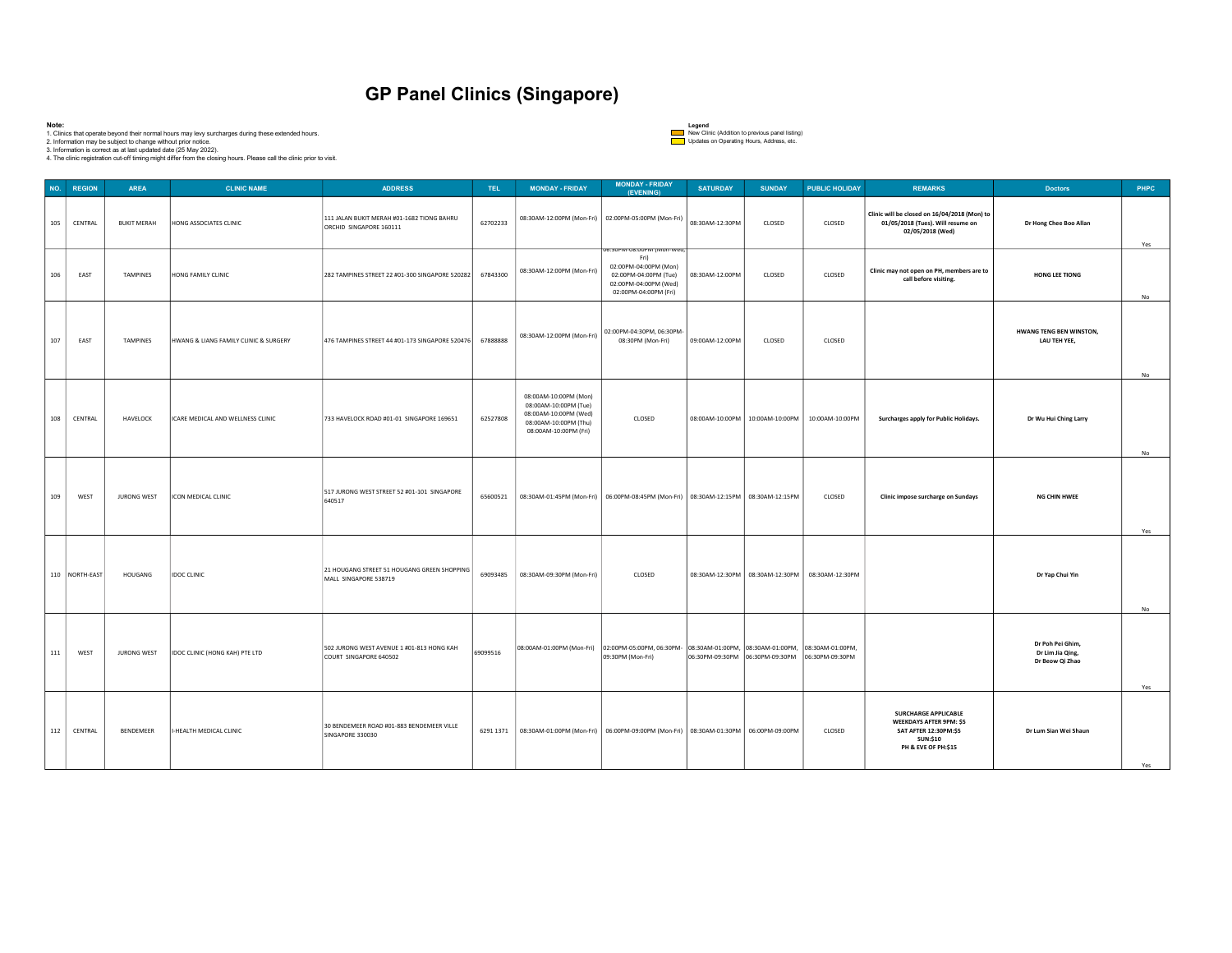| Note:   |                  | 2. Information may be subject to change without prior notice.<br>3. Information is correct as at last updated date (25 May 2022). | 1. Clinics that operate beyond their normal hours may levy surcharges during these extended hours.<br>4. The clinic registration cut-off timing might differ from the closing hours. Please call the clinic prior to visit. | <b>GP Panel Clinics (Singapore)</b>                                   |          |                                                                                                                           |                                                                                                                                             | Legend<br>New Clinic (Addition to previous panel listing)<br>Updates on Operating Hours, Address, etc. |               |                                                     |                                                                                                                           |                                                         |           |
|---------|------------------|-----------------------------------------------------------------------------------------------------------------------------------|-----------------------------------------------------------------------------------------------------------------------------------------------------------------------------------------------------------------------------|-----------------------------------------------------------------------|----------|---------------------------------------------------------------------------------------------------------------------------|---------------------------------------------------------------------------------------------------------------------------------------------|--------------------------------------------------------------------------------------------------------|---------------|-----------------------------------------------------|---------------------------------------------------------------------------------------------------------------------------|---------------------------------------------------------|-----------|
|         | NO. REGION       | <b>AREA</b>                                                                                                                       | <b>CLINIC NAME</b>                                                                                                                                                                                                          | <b>ADDRESS</b>                                                        | TEL.     | <b>MONDAY - FRIDAY</b>                                                                                                    | <b>MONDAY - FRIDAY</b><br>(EVENING)                                                                                                         | <b>SATURDAY</b>                                                                                        | <b>SUNDAY</b> | <b>PUBLIC HOLIDAY</b>                               | <b>REMARKS</b>                                                                                                            | <b>Doctors</b>                                          | PHPC      |
| $105\,$ | CENTRAL          | <b>BUKIT MERAH</b>                                                                                                                | HONG ASSOCIATES CLINIC                                                                                                                                                                                                      | 111 JALAN BUKIT MERAH #01-1682 TIONG BAHRU<br>ORCHID SINGAPORE 160111 | 62702233 |                                                                                                                           | 08:30AM-12:00PM (Mon-Fri) 02:00PM-05:00PM (Mon-Fri)                                                                                         | 08:30AM-12:30PM                                                                                        | CLOSED        | CLOSED                                              | Clinic will be closed on 16/04/2018 (Mon) to<br>01/05/2018 (Tues). Will resume on<br>02/05/2018 (Wed)                     | Dr Hong Chee Boo Allan                                  | Yes       |
| 106     | EAST             | TAMPINES                                                                                                                          | HONG FAMILY CLINIC                                                                                                                                                                                                          | 282 TAMPINES STREET 22 #01-300 SINGAPORE 520282                       | 67843300 | 08:30AM-12:00PM (Mon-Fri)                                                                                                 | .surivi-us.uurivi (iviuii-vveu)<br>Fri)<br>02:00PM-04:00PM (Mon)<br>02:00PM-04:00PM (Tue)<br>02:00PM-04:00PM (Wed)<br>02:00PM-04:00PM (Fri) | 08:30AM-12:00PM                                                                                        | CLOSED        | CLOSED                                              | Clinic may not open on PH, members are to<br>call before visiting.                                                        | HONG LEE TIONG                                          | No        |
| 107     | EAST             | TAMPINES                                                                                                                          | HWANG & LIANG FAMILY CLINIC & SURGERY                                                                                                                                                                                       | 476 TAMPINES STREET 44 #01-173 SINGAPORE 520476                       | 67888888 | 08:30AM-12:00PM (Mon-Fri)                                                                                                 | 02:00PM-04:30PM, 06:30PM-<br>08:30PM (Mon-Fri)                                                                                              | 09:00AM-12:00PM                                                                                        | CLOSED        | CLOSED                                              |                                                                                                                           | HWANG TENG BEN WINSTON,<br>LAU TEH YEE,                 | No        |
| 108     | CENTRAL          | HAVELOCK                                                                                                                          | ICARE MEDICAL AND WELLNESS CLINIC                                                                                                                                                                                           | 733 HAVELOCK ROAD #01-01 SINGAPORE 169651                             | 62527808 | 08:00AM-10:00PM (Mon)<br>08:00AM-10:00PM (Tue)<br>08:00AM-10:00PM (Wed)<br>08:00AM-10:00PM (Thu)<br>08:00AM-10:00PM (Fri) | CLOSED                                                                                                                                      |                                                                                                        |               | 08:00AM-10:00PM   10:00AM-10:00PM   10:00AM-10:00PM | Surcharges apply for Public Holidays.                                                                                     | Dr Wu Hui Ching Larry                                   | <b>No</b> |
| 109     | WEST             | JURONG WEST                                                                                                                       | ICON MEDICAL CLINIC                                                                                                                                                                                                         | 517 JURONG WEST STREET 52 #01-101 SINGAPORE<br>640517                 | 65600521 | 08:30AM-01:45PM (Mon-Fri) 06:00PM-08:45PM (Mon-Fri) 08:30AM-12:15PM 08:30AM-12:15PM                                       |                                                                                                                                             |                                                                                                        |               | CLOSED                                              | Clinic impose surcharge on Sundays                                                                                        | NG CHIN HWEE                                            |           |
|         | 110   NORTH-EAST | HOUGANG                                                                                                                           | <b>IDOC CLINIC</b>                                                                                                                                                                                                          | 21 HOUGANG STREET 51 HOUGANG GREEN SHOPPING<br>MALL SINGAPORE 538719  |          | 69093485   08:30AM-09:30PM (Mon-Fri)                                                                                      | CLOSED                                                                                                                                      |                                                                                                        |               | 08:30AM-12:30PM 08:30AM-12:30PM 08:30AM-12:30PM     |                                                                                                                           | Dr Yap Chui Yin                                         | Yes       |
| $111\,$ | WEST             | <b>JURONG WEST</b>                                                                                                                | IDOC CLINIC (HONG KAH) PTE LTD                                                                                                                                                                                              | 502 JURONG WEST AVENUE 1 #01-813 HONG KAH<br>COURT SINGAPORE 640502   | 69099516 | 08:00AM-01:00PM (Mon-Fri)  02:00PM-05:00PM, 06:30PM-  08:30AM-01:00PM,  08:30AM-01:00PM,  08:30AM-01:00PM,                | 09:30PM (Mon-Fri)                                                                                                                           | 06:30PM-09:30PM 06:30PM-09:30PM 06:30PM-09:30PM                                                        |               |                                                     |                                                                                                                           | Dr Poh Pei Ghim,<br>Dr Lim Jia Qing,<br>Dr Beow Qi Zhao | No.       |
| 112     | CENTRAL          | BENDEMEER                                                                                                                         | I-HEALTH MEDICAL CLINIC                                                                                                                                                                                                     | 30 BENDEMEER ROAD #01-883 BENDEMEER VILLE<br>SINGAPORE 330030         |          | 6291 1371   08:30AM-01:00PM (Mon-Fri)   06:00PM-09:00PM (Mon-Fri)   08:30AM-01:30PM   06:00PM-09:00PM                     |                                                                                                                                             |                                                                                                        |               | CLOSED                                              | <b>SURCHARGE APPLICABLE</b><br>WEEKDAYS AFTER 9PM: \$5<br>SAT AFTER 12:30PM:\$5<br><b>SUN:\$10</b><br>PH & EVE OF PH:\$15 | Dr Lum Sian Wei Shaun                                   | Yes       |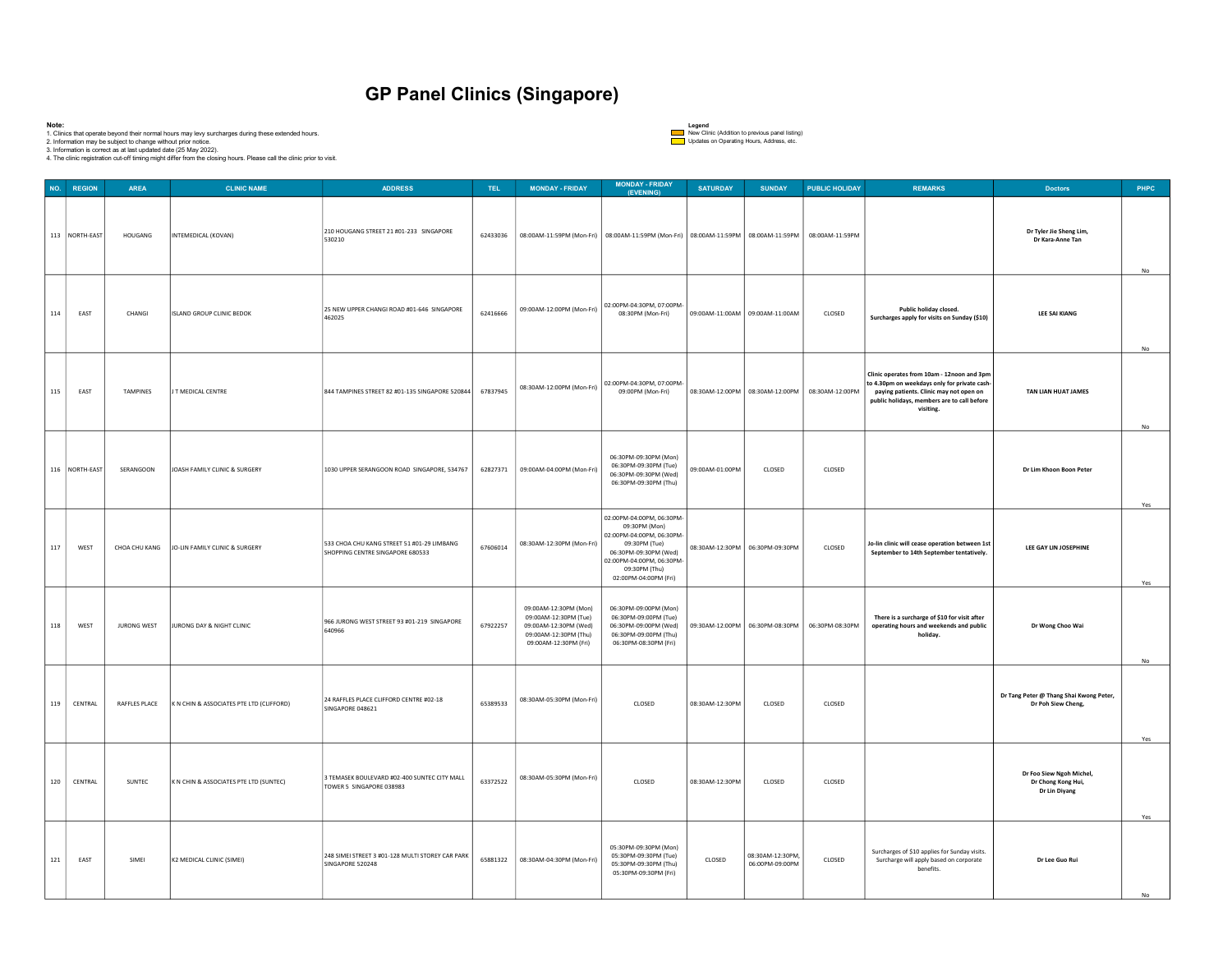| Note:      |                  | 2. Information may be subject to change without prior notice.<br>3. Information is correct as at last updated date (25 May 2022). | 1. Clinics that operate beyond their normal hours may levy surcharges during these extended hours.<br>4. The clinic registration cut-off timing might differ from the closing hours. Please call the clinic prior to visit. | <b>GP Panel Clinics (Singapore)</b>                                            |                  |                                                                                                                           |                                                                                                                                                                                          | Legend<br>Updates on Operating Hours, Address, etc. | New Clinic (Addition to previous panel listing) |                                                 |                                                                                                                                                                                                   |                                                                 |            |
|------------|------------------|-----------------------------------------------------------------------------------------------------------------------------------|-----------------------------------------------------------------------------------------------------------------------------------------------------------------------------------------------------------------------------|--------------------------------------------------------------------------------|------------------|---------------------------------------------------------------------------------------------------------------------------|------------------------------------------------------------------------------------------------------------------------------------------------------------------------------------------|-----------------------------------------------------|-------------------------------------------------|-------------------------------------------------|---------------------------------------------------------------------------------------------------------------------------------------------------------------------------------------------------|-----------------------------------------------------------------|------------|
| NO. REGION | 113 NORTH-EAST   | <b>AREA</b><br>HOUGANG                                                                                                            | <b>CLINIC NAME</b><br>INTEMEDICAL (KOVAN)                                                                                                                                                                                   | <b>ADDRESS</b><br>210 HOUGANG STREET 21 #01-233 SINGAPORE<br>530210            | TEL.<br>62433036 | <b>MONDAY - FRIDAY</b>                                                                                                    | <b>MONDAY - FRIDAY</b><br>(EVENING)<br>08:00AM-11:59PM (Mon-Fri) 08:00AM-11:59PM (Mon-Fri) 08:00AM-11:59PM 08:00AM-11:59PM 08:00AM-11:59PM                                               | <b>SATURDAY</b>                                     | <b>SUNDAY</b>                                   | <b>PUBLIC HOLIDAY</b>                           | <b>REMARKS</b>                                                                                                                                                                                    | <b>Doctors</b><br>Dr Tyler Jie Sheng Lim,<br>Dr Kara-Anne Tan   | PHPC<br>No |
| 114        | EAST             | CHANGI                                                                                                                            | <b>ISLAND GROUP CLINIC BEDOK</b>                                                                                                                                                                                            | 25 NEW UPPER CHANGI ROAD #01-646 SINGAPORE<br>462025                           | 62416666         | 09:00AM-12:00PM (Mon-Fri)                                                                                                 | 02:00PM-04:30PM, 07:00PM-<br>08:30PM (Mon-Fri)                                                                                                                                           |                                                     | 09:00AM-11:00AM 09:00AM-11:00AM                 | CLOSED                                          | Public holiday closed.<br>Surcharges apply for visits on Sunday (\$10)                                                                                                                            | <b>LEE SAI KIANG</b>                                            |            |
| 115        | EAST             | TAMPINES                                                                                                                          | J T MEDICAL CENTRE                                                                                                                                                                                                          | 844 TAMPINES STREET 82 #01-135 SINGAPORE 520844 67837945                       |                  | 08:30AM-12:00PM (Mon-Fri)                                                                                                 | 02:00PM-04:30PM, 07:00PM-<br>09:00PM (Mon-Fri)                                                                                                                                           |                                                     |                                                 | 08:30AM-12:00PM 08:30AM-12:00PM 08:30AM-12:00PM | Clinic operates from 10am - 12noon and 3pm<br>to 4.30pm on weekdays only for private cash-<br>paying patients. Clinic may not open on<br>public holidays, members are to call before<br>visiting. | TAN LIAN HUAT JAMES                                             | No<br>No.  |
|            | 116   NORTH-EAST | SERANGOON                                                                                                                         | JOASH FAMILY CLINIC & SURGERY                                                                                                                                                                                               | 1030 UPPER SERANGOON ROAD SINGAPORE, 534767                                    |                  | 62827371 09:00AM-04:00PM (Mon-Fri)                                                                                        | 06:30PM-09:30PM (Mon)<br>06:30PM-09:30PM (Tue)<br>06:30PM-09:30PM (Wed)<br>06:30PM-09:30PM (Thu)                                                                                         | 09:00AM-01:00PM                                     | CLOSED                                          | CLOSED                                          |                                                                                                                                                                                                   | Dr Lim Khoon Boon Peter                                         | Yes        |
| 117        | WEST             | CHOA CHU KANG                                                                                                                     | JO-LIN FAMILY CLINIC & SURGERY                                                                                                                                                                                              | 533 CHOA CHU KANG STREET 51 #01-29 LIMBANG<br>SHOPPING CENTRE SINGAPORE 680533 | 67606014         | 08:30AM-12:30PM (Mon-Fri)                                                                                                 | 02:00PM-04:00PM, 06:30PM-<br>09:30PM (Mon)<br>02:00PM-04:00PM, 06:30PM-<br>09:30PM (Tue)<br>06:30PM-09:30PM (Wed)<br>02:00PM-04:00PM, 06:30PM-<br>09:30PM (Thu)<br>02:00PM-04:00PM (Fri) |                                                     | 08:30AM-12:30PM 06:30PM-09:30PM                 | CLOSED                                          | Jo-lin clinic will cease operation between 1st<br>September to 14th September tentatively.                                                                                                        | LEE GAY LIN JOSEPHINE                                           | Yes        |
| 118        | WEST             | JURONG WEST                                                                                                                       | JURONG DAY & NIGHT CLINIC                                                                                                                                                                                                   | 966 JURONG WEST STREET 93 #01-219 SINGAPORE<br>640966                          | 67922257         | 09:00AM-12:30PM (Mon)<br>09:00AM-12:30PM (Tue)<br>09:00AM-12:30PM (Wed)<br>09:00AM-12:30PM (Thu)<br>09:00AM-12:30PM (Fri) | 06:30PM-09:00PM (Mon)<br>06:30PM-09:00PM (Tue)<br>06:30PM-09:00PM (Wed)<br>06:30PM-09:00PM (Thu)<br>06:30PM-08:30PM (Fri)                                                                |                                                     | 09:30AM-12:00PM 06:30PM-08:30PM 06:30PM-08:30PM |                                                 | There is a surcharge of \$10 for visit after<br>operating hours and weekends and public<br>holiday.                                                                                               | Dr Wong Choo Wai                                                | No         |
| 119        | CENTRAL          | RAFFLES PLACE                                                                                                                     | K N CHIN & ASSOCIATES PTE LTD (CLIFFORD)                                                                                                                                                                                    | 24 RAFFLES PLACE CLIFFORD CENTRE #02-18<br>SINGAPORE 048621                    | 65389533         | 08:30AM-05:30PM (Mon-Fri)                                                                                                 | CLOSED                                                                                                                                                                                   | 08:30AM-12:30PM                                     | CLOSED                                          | CLOSED                                          |                                                                                                                                                                                                   | Dr Tang Peter @ Thang Shai Kwong Peter,<br>Dr Poh Siew Cheng,   | Yes        |
| 120        | CENTRAL          | SUNTEC                                                                                                                            | K N CHIN & ASSOCIATES PTE LTD (SUNTEC)                                                                                                                                                                                      | 3 TEMASEK BOULEVARD #02-400 SUNTEC CITY MALL<br>TOWER 5 SINGAPORE 038983       | 63372522         | 08:30AM-05:30PM (Mon-Fri)                                                                                                 | CLOSED                                                                                                                                                                                   | 08:30AM-12:30PM                                     | CLOSED                                          | CLOSED                                          |                                                                                                                                                                                                   | Dr Foo Siew Ngoh Michel,<br>Dr Chong Kong Hui,<br>Dr Lin Diyang | Yes        |
| 121        | EAST             | SIMEI                                                                                                                             | K2 MEDICAL CLINIC (SIMEI)                                                                                                                                                                                                   | 248 SIMEI STREET 3 #01-128 MULTI STOREY CAR PARK<br>SINGAPORE 520248           | 65881322         | 08:30AM-04:30PM (Mon-Fri)                                                                                                 | 05:30PM-09:30PM (Mon)<br>05:30PM-09:30PM (Tue)<br>05:30PM-09:30PM (Thu)<br>05:30PM-09:30PM (Fri)                                                                                         | CLOSED                                              | 08:30AM-12:30PM,<br>06:00PM-09:00PM             | CLOSED                                          | Surcharges of \$10 applies for Sunday visits.<br>Surcharge will apply based on corporate<br>benefits.                                                                                             | Dr Lee Guo Rui                                                  |            |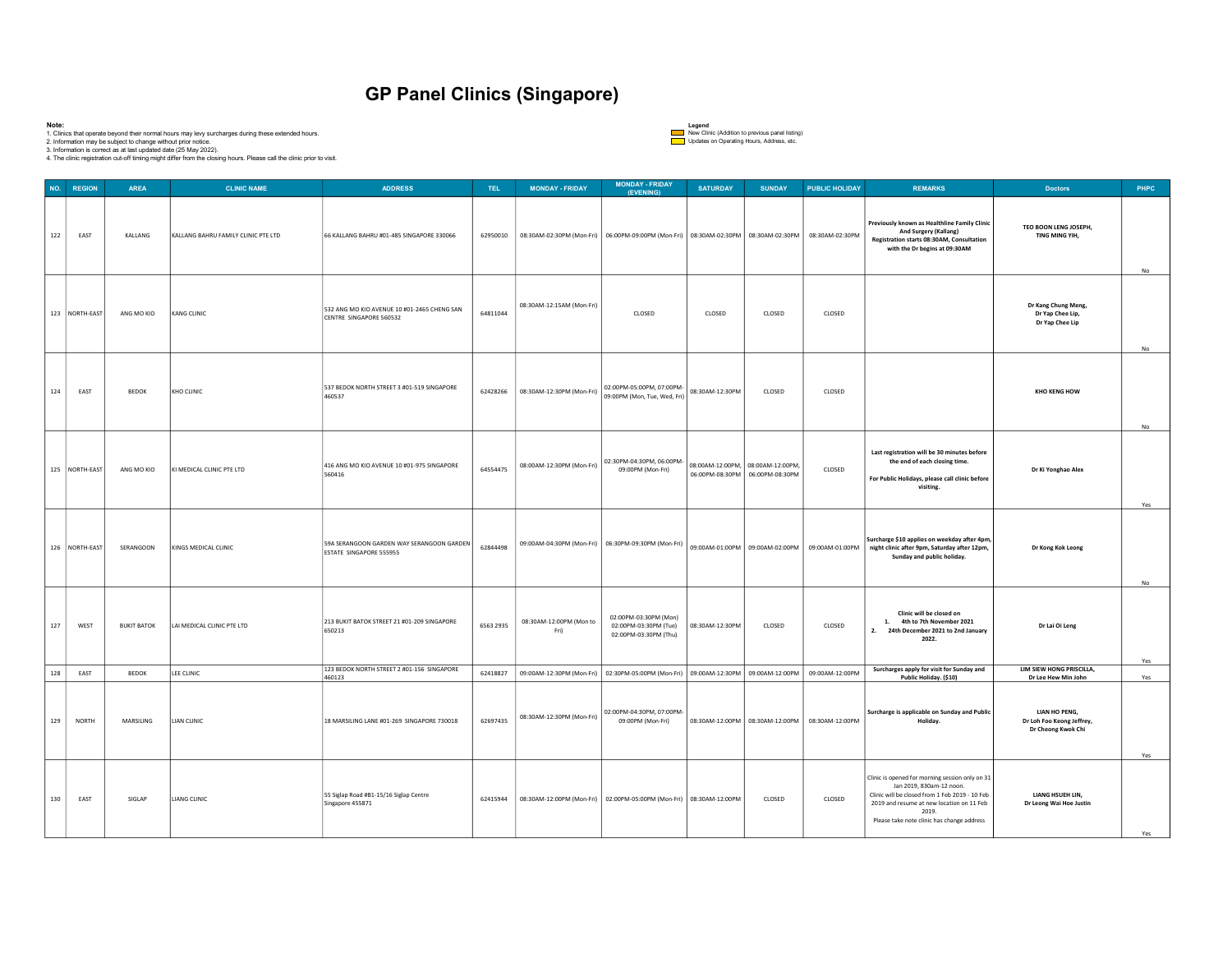| Note: |                | 2. Information may be subject to change without prior notice.<br>3. Information is correct as at last updated date (25 May 2022). | 1. Clinics that operate beyond their normal hours may levy surcharges during these extended hours.<br>4. The clinic registration cut-off timing might differ from the closing hours. Please call the clinic prior to visit. | <b>GP Panel Clinics (Singapore)</b>                                    |           |                                 |                                                                                                                                           | Legend<br>Updates on Operating Hours, Address, etc.                  | New Clinic (Addition to previous panel listing) |                                                 |                                                                                                                                                                                                                                   |                                                                  |            |
|-------|----------------|-----------------------------------------------------------------------------------------------------------------------------------|-----------------------------------------------------------------------------------------------------------------------------------------------------------------------------------------------------------------------------|------------------------------------------------------------------------|-----------|---------------------------------|-------------------------------------------------------------------------------------------------------------------------------------------|----------------------------------------------------------------------|-------------------------------------------------|-------------------------------------------------|-----------------------------------------------------------------------------------------------------------------------------------------------------------------------------------------------------------------------------------|------------------------------------------------------------------|------------|
|       | NO. REGION     | <b>AREA</b>                                                                                                                       | <b>CLINIC NAME</b>                                                                                                                                                                                                          | <b>ADDRESS</b>                                                         | TEL.      | <b>MONDAY - FRIDAY</b>          | <b>MONDAY - FRIDAY</b><br>(EVENING)                                                                                                       | <b>SATURDAY</b>                                                      | <b>SUNDAY</b>                                   | <b>PUBLIC HOLIDAY</b>                           | <b>REMARKS</b>                                                                                                                                                                                                                    | <b>Doctors</b>                                                   | PHPC       |
| 122   | EAST           | KALLANG                                                                                                                           | KALLANG BAHRU FAMILY CLINIC PTE LTD                                                                                                                                                                                         | 66 KALLANG BAHRU #01-485 SINGAPORE 330066                              | 62950010  |                                 | 08:30AM-02:30PM (Mon-Fri) 06:00PM-09:00PM (Mon-Fri) 08:30AM-02:30PM 08:30AM-02:30PM 08:30AM-02:30PM                                       |                                                                      |                                                 |                                                 | Previously known as Healthline Family Clinic<br>And Surgery (Kallang)<br>Registration starts 08:30AM, Consultation<br>with the Dr begins at 09:30AM                                                                               | TEO BOON LENG JOSEPH,<br>TING MING YIH,                          |            |
|       | 123 NORTH-EAST | ANG MO KIO                                                                                                                        | KANG CLINIC                                                                                                                                                                                                                 | 532 ANG MO KIO AVENUE 10 #01-2465 CHENG SAN<br>CENTRE SINGAPORE 560532 | 64811044  | 08:30AM-12:15AM (Mon-Fri)       | CLOSED                                                                                                                                    | CLOSED                                                               | CLOSED                                          | CLOSED                                          |                                                                                                                                                                                                                                   | Dr Kang Chung Meng,<br>Dr Yap Chee Lip,<br>Dr Yap Chee Lip       | No<br>No   |
| 124   | EAST           | <b>BEDOK</b>                                                                                                                      | KHO CLINIC                                                                                                                                                                                                                  | 537 BEDOK NORTH STREET 3 #01-519 SINGAPORE<br>460537                   |           |                                 | 02:00PM-05:00PM, 07:00PM-<br>62428266 08:30AM-12:30PM (Mon-Fri) 02:00PM-05:00PM, 07:00PM-<br>99:00PM (Mon, Tue, Wed, Fri) 08:30AM-12:30PM |                                                                      | CLOSED                                          | CLOSED                                          |                                                                                                                                                                                                                                   | <b>KHO KENG HOW</b>                                              | No.        |
|       | 125 NORTH-EAST | ANG MO KIO                                                                                                                        | KI MEDICAL CLINIC PTE LTD                                                                                                                                                                                                   | 416 ANG MO KIO AVENUE 10 #01-975 SINGAPORE<br>560416                   | 64554475  | 08:00AM-12:30PM (Mon-Fri)       | 02:30PM-04:30PM, 06:00PM-<br>09:00PM (Mon-Fri)                                                                                            | 08:00AM-12:00PM, 08:00AM-12:00PM,<br>06:00PM-08:30PM 06:00PM-08:30PM |                                                 | CLOSED                                          | Last registration will be 30 minutes before<br>the end of each closing time.<br>For Public Holidays, please call clinic before<br>visiting.                                                                                       | Dr Ki Yonghao Alex                                               | Yes        |
|       | 126 NORTH-EAST | SERANGOON                                                                                                                         | KINGS MEDICAL CLINIC                                                                                                                                                                                                        | 59A SERANGOON GARDEN WAY SERANGOON GARDEN<br>ESTATE SINGAPORE 555955   | 62844498  |                                 | 09:00AM-04:30PM (Mon-Fri) 06:30PM-09:30PM (Mon-Fri)                                                                                       |                                                                      |                                                 | 09:00AM-01:00PM 09:00AM-02:00PM 09:00AM-01:00PM | Surcharge \$10 applies on weekday after 4pm,<br>night clinic after 9pm, Saturday after 12pm,<br>Sunday and public holiday.                                                                                                        | Dr Kong Kok Leong                                                |            |
| 127   | WEST           | <b>BUKIT BATOK</b>                                                                                                                | LAI MEDICAL CLINIC PTE LTD                                                                                                                                                                                                  | 213 BUKIT BATOK STREET 21 #01-209 SINGAPORE<br>650213                  | 6563 2935 | 08:30AM-12:00PM (Mon to<br>Fri) | 02:00PM-03:30PM (Mon)<br>02:00PM-03:30PM (Tue)<br>02:00PM-03:30PM (Thu)                                                                   | 08:30AM-12:30PM                                                      | CLOSED                                          | CLOSED                                          | Clinic will be closed on<br>1. 4th to 7th November 2021<br>2. 24th December 2021 to 2nd January<br>2022.                                                                                                                          | Dr Lai Oi Leng                                                   | No.<br>Yes |
| 128   | EAST           | <b>BEDOK</b>                                                                                                                      | LEE CLINIC                                                                                                                                                                                                                  | 123 BEDOK NORTH STREET 2 #01-156 SINGAPORE<br>460123                   | 62418827  |                                 | 09:00AM-12:30PM (Mon-Fri) 02:30PM-05:00PM (Mon-Fri) 09:00AM-12:30PM 09:00AM-12:00PM                                                       |                                                                      |                                                 | 09:00AM-12:00PM                                 | Surcharges apply for visit for Sunday and<br>Public Holiday. (\$10)                                                                                                                                                               | LIM SIEW HONG PRISCILLA,<br>Dr Lee Hew Min John                  | Yes        |
| 129   | NORTH          | MARSILING                                                                                                                         | LIAN CLINIC                                                                                                                                                                                                                 | 18 MARSILING LANE #01-269 SINGAPORE 730018                             | 62697435  | 08:30AM-12:30PM (Mon-Fri)       | 02:00PM-04:30PM, 07:00PM-<br>09:00PM (Mon-Fri)                                                                                            |                                                                      | 08:30AM-12:00PM 08:30AM-12:00PM 08:30AM-12:00PM |                                                 | Surcharge is applicable on Sunday and Public<br>Holiday.                                                                                                                                                                          | LIAN HO PENG,<br>Dr Loh Foo Keong Jeffrey,<br>Dr Cheong Kwok Chi | Yes        |
| 130   | EAST           | SIGLAP                                                                                                                            | LIANG CLINIC                                                                                                                                                                                                                | 55 Siglap Road #B1-15/16 Siglap Centre<br>Singapore 455871             |           |                                 | 62415944 08:30AM-12:00PM (Mon-Fri) 02:00PM-05:00PM (Mon-Fri) 08:30AM-12:00PM                                                              |                                                                      | CLOSED                                          | CLOSED                                          | Clinic is opened for morning session only on 31<br>Jan 2019, 830am-12 noon.<br>Clinic will be closed from 1 Feb 2019 - 10 Feb<br>2019 and resume at new location on 11 Feb<br>2019.<br>Please take note clinic has change address | LIANG HSUEH LIN,<br>Dr Leong Wai Hoe Justin                      | Yes        |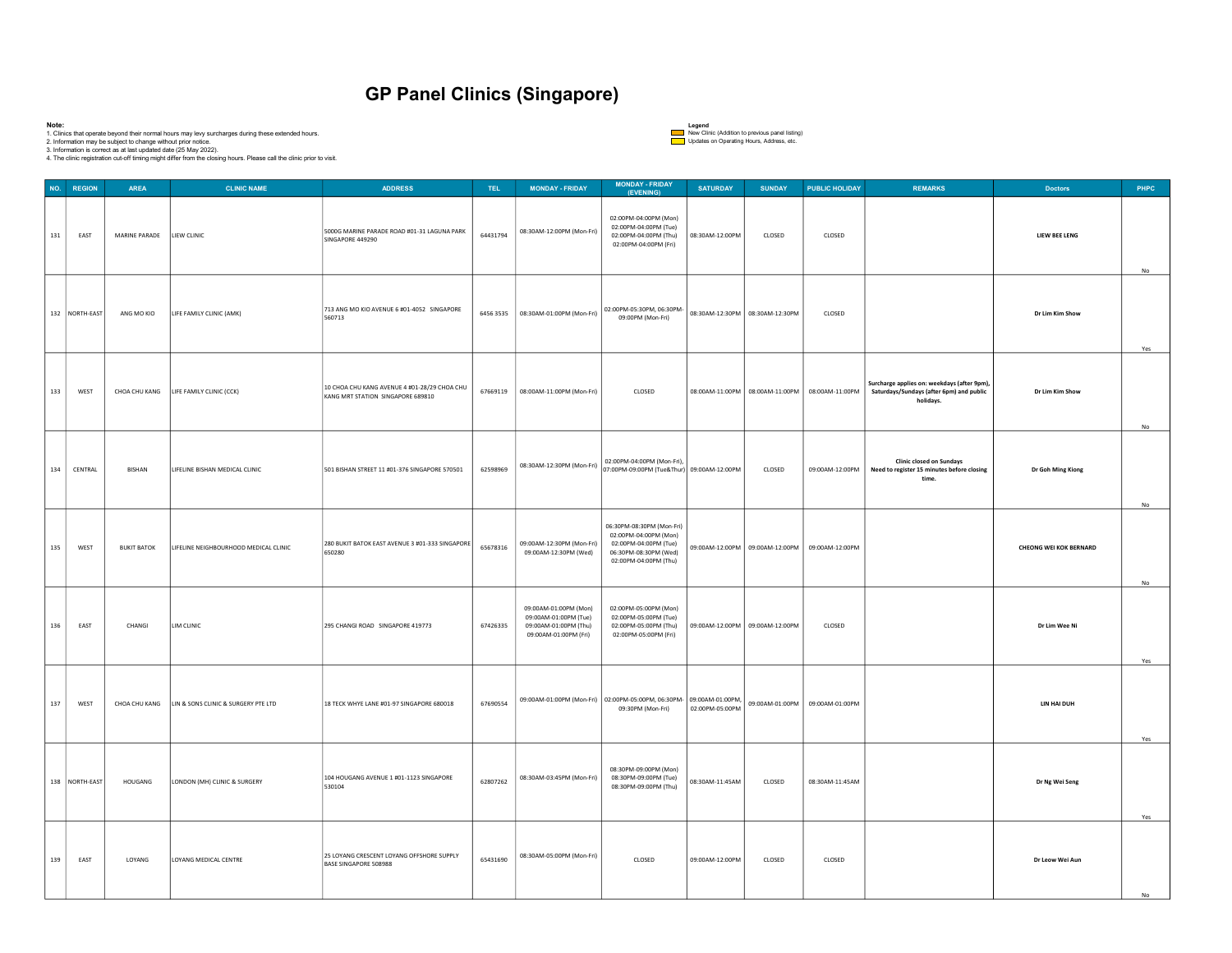| Note:          | 2. Information may be subject to change without prior notice.<br>3. Information is correct as at last updated date (25 May 2022). | 1. Clinics that operate beyond their normal hours may levy surcharges during these extended hours.<br>4. The clinic registration cut-off timing might differ from the closing hours. Please call the clinic prior to visit. | <b>GP Panel Clinics (Singapore)</b>                                               |           |                                                                                                  |                                                                                                                                                                                          | Legend<br>Updates on Operating Hours, Address, etc. | New Clinic (Addition to previous panel listing) |                                                 |                                                                                                      |                               |            |
|----------------|-----------------------------------------------------------------------------------------------------------------------------------|-----------------------------------------------------------------------------------------------------------------------------------------------------------------------------------------------------------------------------|-----------------------------------------------------------------------------------|-----------|--------------------------------------------------------------------------------------------------|------------------------------------------------------------------------------------------------------------------------------------------------------------------------------------------|-----------------------------------------------------|-------------------------------------------------|-------------------------------------------------|------------------------------------------------------------------------------------------------------|-------------------------------|------------|
| NO. REGION     | <b>AREA</b>                                                                                                                       | <b>CLINIC NAME</b>                                                                                                                                                                                                          | <b>ADDRESS</b>                                                                    | TEL.      | <b>MONDAY - FRIDAY</b>                                                                           | <b>MONDAY - FRIDAY</b><br>(EVENING)                                                                                                                                                      | <b>SATURDAY</b>                                     | <b>SUNDAY</b>                                   | PUBLIC HOLIDAY                                  | REMARKS                                                                                              | <b>Doctors</b>                | PHPC       |
| 131<br>EAST    | MARINE PARADE                                                                                                                     | LIEW CLINIC                                                                                                                                                                                                                 | 5000G MARINE PARADE ROAD #01-31 LAGUNA PARK<br>SINGAPORE 449290                   | 64431794  | 08:30AM-12:00PM (Mon-Fri)                                                                        | 02:00PM-04:00PM (Mon)<br>02:00PM-04:00PM (Tue)<br>02:00PM-04:00PM (Thu)<br>02:00PM-04:00PM (Fri)                                                                                         | 08:30AM-12:00PM                                     | CLOSED                                          | CLOSED                                          |                                                                                                      | LIEW BEE LENG                 | No         |
| 132 NORTH-EAST | ANG MO KIO                                                                                                                        | LIFE FAMILY CLINIC (AMK)                                                                                                                                                                                                    | 713 ANG MO KIO AVENUE 6 #01-4052 SINGAPORE<br>560713                              | 6456 3535 | 08:30AM-01:00PM (Mon-Fri)                                                                        | 02:00PM-05:30PM, 06:30PM-<br>09:00PM (Mon-Fri)                                                                                                                                           |                                                     | 08:30AM-12:30PM 08:30AM-12:30PM                 | CLOSED                                          |                                                                                                      | Dr Lim Kim Show               | Yes        |
| 133<br>WEST    |                                                                                                                                   | CHOA CHU KANG   LIFE FAMILY CLINIC (CCK)                                                                                                                                                                                    | 10 CHOA CHU KANG AVENUE 4 #01-28/29 CHOA CHU<br>KANG MRT STATION SINGAPORE 689810 |           | 67669119   08:00AM-11:00PM (Mon-Fri)                                                             | CLOSED                                                                                                                                                                                   |                                                     |                                                 | 08:00AM-11:00PM 08:00AM-11:00PM 08:00AM-11:00PM | Surcharge applies on: weekdays (after 9pm),<br>Saturdays/Sundays (after 6pm) and public<br>holidays. | Dr Lim Kim Show               |            |
| CENTRAL<br>134 | <b>BISHAN</b>                                                                                                                     | LIFELINE BISHAN MEDICAL CLINIC                                                                                                                                                                                              | 501 BISHAN STREET 11 #01-376 SINGAPORE 570501                                     | 62598969  |                                                                                                  | 02:00PM-04:00PM (Mon-Fri),<br>$\begin{array}{ c c c c c c c } \hline \text{08:30AM-12:30PM (Mon-Fri) }&\text{07:00PM-09:00PM (Tue&Thur) }&\text{09:00AM-12:00PM }&\\ \hline \end{array}$ |                                                     | CLOSED                                          | 09:00AM-12:00PM                                 | <b>Clinic closed on Sundays</b><br>Need to register 15 minutes before closing<br>time.               | Dr Goh Ming Kiong             | No<br>$No$ |
| 135<br>WEST    | <b>BUKIT BATOK</b>                                                                                                                | LIFELINE NEIGHBOURHOOD MEDICAL CLINIC                                                                                                                                                                                       | 280 BUKIT BATOK EAST AVENUE 3 #01-333 SINGAPORE<br>650280                         | 65678316  | 09:00AM-12:30PM (Mon-Fri)<br>09:00AM-12:30PM (Wed)                                               | 06:30PM-08:30PM (Mon-Fri)<br>02:00PM-04:00PM (Mon)<br>02:00PM-04:00PM (Tue)<br>06:30PM-08:30PM (Wed)<br>02:00PM-04:00PM (Thu)                                                            |                                                     | 09:00AM-12:00PM 09:00AM-12:00PM 09:00AM-12:00PM |                                                 |                                                                                                      | <b>CHEONG WEI KOK BERNARD</b> |            |
| 136<br>EAST    | CHANGI                                                                                                                            | LIM CLINIC                                                                                                                                                                                                                  | 295 CHANGI ROAD SINGAPORE 419773                                                  | 67426335  | 09:00AM-01:00PM (Mon)<br>09:00AM-01:00PM (Tue)<br>09:00AM-01:00PM (Thu)<br>09:00AM-01:00PM (Fri) | 02:00PM-05:00PM (Mon)<br>02:00PM-05:00PM (Tue)<br>02:00PM-05:00PM (Thu)<br>02:00PM-05:00PM (Fri)                                                                                         |                                                     | 09:00AM-12:00PM 09:00AM-12:00PM                 | CLOSED                                          |                                                                                                      | Dr Lim Wee Ni                 | No.<br>Yes |
| 137<br>WEST    | CHOA CHU KANG                                                                                                                     | LIN & SONS CLINIC & SURGERY PTE LTD                                                                                                                                                                                         | 18 TECK WHYE LANE #01-97 SINGAPORE 680018                                         | 67690554  |                                                                                                  | 09:00AM-01:00PM (Mon-Fri) 02:00PM-05:00PM, 06:30PM- 09:00AM-01:00PM,<br>09:30PM (Mon-Fri)                                                                                                | 02:00PM-05:00PM                                     |                                                 | 09:00AM-01:00PM 09:00AM-01:00PM                 |                                                                                                      | <b>LIN HAI DUH</b>            |            |
| 138 NORTH-EAST | HOUGANG                                                                                                                           | LONDON (MH) CLINIC & SURGERY                                                                                                                                                                                                | 104 HOUGANG AVENUE 1 #01-1123 SINGAPORE<br>530104                                 | 62807262  | 08:30AM-03:45PM (Mon-Fri)                                                                        | 08:30PM-09:00PM (Mon)<br>08:30PM-09:00PM (Tue)<br>08:30PM-09:00PM (Thu)                                                                                                                  | 08:30AM-11:45AM                                     | CLOSED                                          | 08:30AM-11:45AM                                 |                                                                                                      | Dr Ng Wei Seng                | Yes        |
| 139<br>EAST    | LOYANG                                                                                                                            | LOYANG MEDICAL CENTRE                                                                                                                                                                                                       | 25 LOYANG CRESCENT LOYANG OFFSHORE SUPPLY<br>BASE SINGAPORE 508988                | 65431690  | 08:30AM-05:00PM (Mon-Fri)                                                                        | CLOSED                                                                                                                                                                                   | 09:00AM-12:00PM                                     | CLOSED                                          | CLOSED                                          |                                                                                                      | Dr Leow Wei Aun               | Yes        |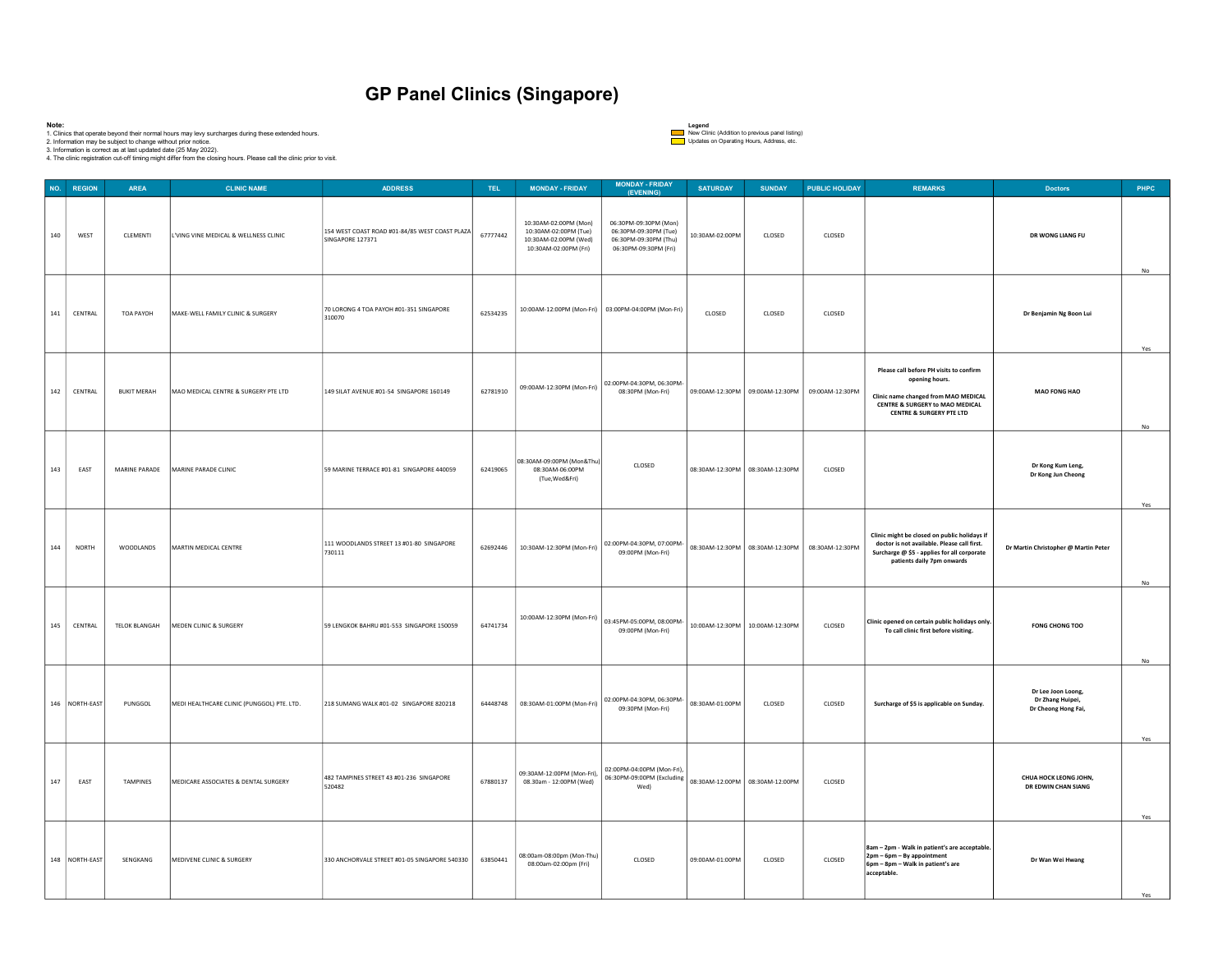| Note:      |                  | 2. Information may be subject to change without prior notice.<br>3. Information is correct as at last updated date (25 May 2022). | 1. Clinics that operate beyond their normal hours may levy surcharges during these extended hours.<br>4. The clinic registration cut-off timing might differ from the closing hours. Please call the clinic prior to visit. | <b>GP Panel Clinics (Singapore)</b>                                |            |                                                                                                  |                                                                                                  | Legend<br>Updates on Operating Hours, Address, etc. | New Clinic (Addition to previous panel listing) |                |                                                                                                                                                                             |                                                               |            |
|------------|------------------|-----------------------------------------------------------------------------------------------------------------------------------|-----------------------------------------------------------------------------------------------------------------------------------------------------------------------------------------------------------------------------|--------------------------------------------------------------------|------------|--------------------------------------------------------------------------------------------------|--------------------------------------------------------------------------------------------------|-----------------------------------------------------|-------------------------------------------------|----------------|-----------------------------------------------------------------------------------------------------------------------------------------------------------------------------|---------------------------------------------------------------|------------|
| NO. REGION |                  | <b>AREA</b>                                                                                                                       | <b>CLINIC NAME</b>                                                                                                                                                                                                          | <b>ADDRESS</b>                                                     | <b>TEL</b> | <b>MONDAY - FRIDAY</b>                                                                           | <b>MONDAY - FRIDAY</b><br>(EVENING)                                                              | <b>SATURDAY</b>                                     | <b>SUNDAY</b>                                   | PUBLIC HOLIDAY | <b>REMARKS</b>                                                                                                                                                              | <b>Doctors</b>                                                | PHPC       |
| 140        | WEST             | CLEMENTI                                                                                                                          | L'VING VINE MEDICAL & WELLNESS CLINIC                                                                                                                                                                                       | 154 WEST COAST ROAD #01-84/85 WEST COAST PLAZA<br>SINGAPORE 127371 | 67777442   | 10:30AM-02:00PM (Mon)<br>10:30AM-02:00PM (Tue)<br>10:30AM-02:00PM (Wed)<br>10:30AM-02:00PM (Fri) | 06:30PM-09:30PM (Mon)<br>06:30PM-09:30PM (Tue)<br>06:30PM-09:30PM (Thu)<br>06:30PM-09:30PM (Fri) | 10:30AM-02:00PM                                     | CLOSED                                          | CLOSED         |                                                                                                                                                                             | DR WONG LIANG FU                                              | No         |
| $141\,$    | CENTRAL          | TOA PAYOH                                                                                                                         | MAKE-WELL FAMILY CLINIC & SURGERY                                                                                                                                                                                           | 70 LORONG 4 TOA PAYOH #01-351 SINGAPORE<br>310070                  | 62534235   |                                                                                                  | 10:00AM-12:00PM (Mon-Fri) 03:00PM-04:00PM (Mon-Fri)                                              | CLOSED                                              | CLOSED                                          | CLOSED         |                                                                                                                                                                             | Dr Benjamin Ng Boon Lui                                       | Yes        |
| $142\,$    | CENTRAL          | <b>BUKIT MERAH</b>                                                                                                                | MAO MEDICAL CENTRE & SURGERY PTE LTD                                                                                                                                                                                        | 149 SILAT AVENUE #01-54 SINGAPORE 160149                           | 62781910   | 09:00AM-12:30PM (Mon-Fri)                                                                        | 02:00PM-04:30PM, 06:30PM-<br>08:30PM (Mon-Fri)                                                   |                                                     | 09:00AM-12:30PM 09:00AM-12:30PM 09:00AM-12:30PM |                | Please call before PH visits to confirm<br>opening hours.<br>Clinic name changed from MAO MEDICAL<br>CENTRE & SURGERY to MAO MEDICAL<br><b>CENTRE &amp; SURGERY PTE LTD</b> | <b>MAO FONG HAO</b>                                           |            |
| 143        | EAST             | MARINE PARADE                                                                                                                     | MARINE PARADE CLINIC                                                                                                                                                                                                        | 59 MARINE TERRACE #01-81 SINGAPORE 440059                          | 62419065   | 08:30AM-09:00PM (Mon&Thu)<br>08:30AM-06:00PM<br>(Tue,Wed&Fri)                                    | CLOSED                                                                                           |                                                     | 08:30AM-12:30PM 08:30AM-12:30PM                 | CLOSED         |                                                                                                                                                                             | Dr Kong Kum Leng,<br>Dr Kong Jun Cheong                       | No         |
| 144        | <b>NORTH</b>     | WOODLANDS                                                                                                                         | MARTIN MEDICAL CENTRE                                                                                                                                                                                                       | 111 WOODLANDS STREET 13 #01-80 SINGAPORE<br>730111                 | 62692446   | 10:30AM-12:30PM (Mon-Fri)                                                                        | 02:00PM-04:30PM, 07:00PM-<br>09:00PM (Mon-Fri)                                                   |                                                     | 08:30AM-12:30PM 08:30AM-12:30PM 08:30AM-12:30PM |                | Clinic might be closed on public holidays if<br>doctor is not available. Please call first.<br>Surcharge @ \$5 - applies for all corporate<br>patients daily 7pm onwards    | Dr Martin Christopher @ Martin Peter                          | Yes<br>No. |
| 145        | CENTRAL          | <b>TELOK BLANGAH</b>                                                                                                              | MEDEN CLINIC & SURGERY                                                                                                                                                                                                      | 59 LENGKOK BAHRU #01-553 SINGAPORE 150059                          | 64741734   | 10:00AM-12:30PM (Mon-Fri)                                                                        | 03:45PM-05:00PM, 08:00PM-<br>09:00PM (Mon-Fri)                                                   |                                                     | 10:00AM-12:30PM 10:00AM-12:30PM                 | CLOSED         | Clinic opened on certain public holidays only.<br>To call clinic first before visiting.                                                                                     | <b>FONG CHONG TOO</b>                                         | No         |
|            | 146   NORTH-EAST | PUNGGOL                                                                                                                           | MEDI HEALTHCARE CLINIC (PUNGGOL) PTE. LTD.                                                                                                                                                                                  | 218 SUMANG WALK #01-02 SINGAPORE 820218                            | 64448748   | 08:30AM-01:00PM (Mon-Fri)                                                                        | 02:00PM-04:30PM, 06:30PM-<br>09:30PM (Mon-Fri)                                                   | 08:30AM-01:00PM                                     | CLOSED                                          | CLOSED         | Surcharge of \$5 is applicable on Sunday.                                                                                                                                   | Dr Lee Joon Loong,<br>Dr Zhang Huipei,<br>Dr Cheong Hong Fai, | Yes        |
| 147        | EAST             | TAMPINES                                                                                                                          | MEDICARE ASSOCIATES & DENTAL SURGERY                                                                                                                                                                                        | 482 TAMPINES STREET 43 #01-236 SINGAPORE<br>520482                 | 67880137   | 09:30AM-12:00PM (Mon-Fri),<br>08.30am - 12:00PM (Wed)                                            | 02:00PM-04:00PM (Mon-Fri),<br>06:30PM-09:00PM (Excluding<br>Wed)                                 | 08:30AM-12:00PM 08:30AM-12:00PM                     |                                                 | CLOSED         |                                                                                                                                                                             | CHUA HOCK LEONG JOHN,<br>DR EDWIN CHAN SIANG                  |            |
|            | 148   NORTH-EAST | SENGKANG                                                                                                                          | MEDIVENE CLINIC & SURGERY                                                                                                                                                                                                   | 330 ANCHORVALE STREET #01-05 SINGAPORE 540330                      | 63850441   | 08:00am-08:00pm (Mon-Thu)<br>08:00am-02:00pm (Fri)                                               | CLOSED                                                                                           | 09:00AM-01:00PM                                     | CLOSED                                          | CLOSED         | 8am - 2pm - Walk in patient's are acceptable.<br>2pm - 6pm - By appointment<br>6pm - 8pm - Walk in patient's are<br>acceptable.                                             | Dr Wan Wei Hwang                                              | Yes        |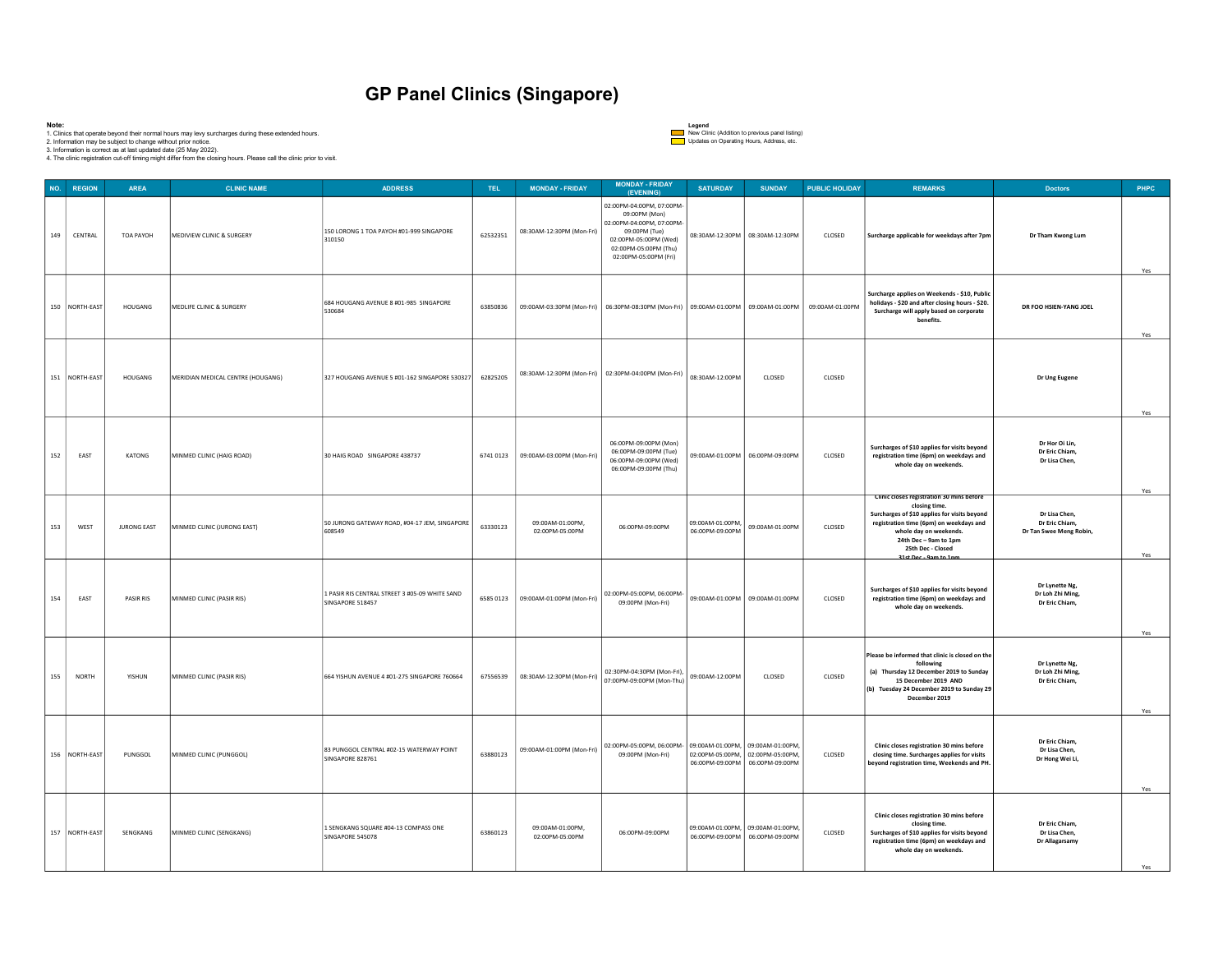| Note:   |                  | 2. Information may be subject to change without prior notice.<br>3. Information is correct as at last updated date (25 May 2022). | 1. Clinics that operate beyond their normal hours may levy surcharges during these extended hours.<br>4. The clinic registration cut-off timing might differ from the closing hours. Please call the clinic prior to visit. | <b>GP Panel Clinics (Singapore)</b>                                |            |                                     |                                                                                                                                                                    | Legend<br>New Clinic (Addition to previous panel listing)<br>Updates on Operating Hours, Address, etc. |                                 |                |                                                                                                                                                                                                                                                         |                                                            |            |
|---------|------------------|-----------------------------------------------------------------------------------------------------------------------------------|-----------------------------------------------------------------------------------------------------------------------------------------------------------------------------------------------------------------------------|--------------------------------------------------------------------|------------|-------------------------------------|--------------------------------------------------------------------------------------------------------------------------------------------------------------------|--------------------------------------------------------------------------------------------------------|---------------------------------|----------------|---------------------------------------------------------------------------------------------------------------------------------------------------------------------------------------------------------------------------------------------------------|------------------------------------------------------------|------------|
|         | NO. REGION       | AREA                                                                                                                              | <b>CLINIC NAME</b>                                                                                                                                                                                                          | <b>ADDRESS</b>                                                     | <b>TEL</b> | <b>MONDAY - FRIDAY</b>              | <b>MONDAY - FRIDAY</b><br>(EVENING)                                                                                                                                | <b>SATURDAY</b>                                                                                        | <b>SUNDAY</b>                   | PUBLIC HOLIDAY | <b>REMARKS</b>                                                                                                                                                                                                                                          | <b>Doctors</b>                                             | PHPC       |
| 149     | CENTRAL          | TOA PAYOH                                                                                                                         | MEDIVIEW CLINIC & SURGERY                                                                                                                                                                                                   | 150 LORONG 1 TOA PAYOH #01-999 SINGAPORE<br>310150                 | 62532351   | 08:30AM-12:30PM (Mon-Fri)           | 02:00PM-04:00PM, 07:00PM<br>09:00PM (Mon)<br>02:00PM-04:00PM, 07:00PM-<br>09:00PM (Tue)<br>02:00PM-05:00PM (Wed)<br>02:00PM-05:00PM (Thu)<br>02:00PM-05:00PM (Fri) |                                                                                                        | 08:30AM-12:30PM 08:30AM-12:30PM | CLOSED         | Surcharge applicable for weekdays after 7pm                                                                                                                                                                                                             | Dr Tham Kwong Lum                                          | Yes        |
|         | 150   NORTH-EAST | HOUGANG                                                                                                                           | MEDLIFE CLINIC & SURGERY                                                                                                                                                                                                    | 684 HOUGANG AVENUE 8 #01-985 SINGAPORE<br>530684                   | 63850836   |                                     | 09:00AM-03:30PM (Mon-Fri)   06:30PM-08:30PM (Mon-Fri)   09:00AM-01:00PM   09:00AM-01:00PM   09:00AM-01:00PM                                                        |                                                                                                        |                                 |                | Surcharge applies on Weekends - \$10, Public<br>holidays - \$20 and after closing hours - \$20.<br>Surcharge will apply based on corporate<br>benefits.                                                                                                 | DR FOO HSIEN-YANG JOEL                                     | Yes        |
|         | 151   NORTH-EAST | HOUGANG                                                                                                                           | MERIDIAN MEDICAL CENTRE (HOUGANG)                                                                                                                                                                                           | 327 HOUGANG AVENUE 5 #01-162 SINGAPORE 530327                      | 62825205   |                                     | 08:30AM-12:30PM (Mon-Fri) 02:30PM-04:00PM (Mon-Fri)                                                                                                                | 08:30AM-12:00PM                                                                                        | CLOSED                          | CLOSED         |                                                                                                                                                                                                                                                         | Dr Ung Eugene                                              |            |
| $152\,$ | EAST             | KATONG                                                                                                                            | MINMED CLINIC (HAIG ROAD)                                                                                                                                                                                                   | 30 HAIG ROAD SINGAPORE 438737                                      |            | 6741 0123 09:00AM-03:00PM (Mon-Fri) | 06:00PM-09:00PM (Mon)<br>06:00PM-09:00PM (Tue)<br>06:00PM-09:00PM (Wed)<br>06:00PM-09:00PM (Thu)                                                                   | 09:00AM-01:00PM 06:00PM-09:00PM                                                                        |                                 | CLOSED         | Surcharges of \$10 applies for visits beyond<br>registration time (6pm) on weekdays and<br>whole day on weekends.                                                                                                                                       | Dr Hor Oi Lin,<br>Dr Eric Chiam,<br>Dr Lisa Chen,          | Yes<br>Yes |
| 153     | WEST             | <b>JURONG EAST</b>                                                                                                                | MINMED CLINIC (JURONG EAST)                                                                                                                                                                                                 | 50 JURONG GATEWAY ROAD, #04-17 JEM, SINGAPORE<br>608549            | 63330123   | 09:00AM-01:00PM,<br>02:00PM-05:00PM | 06:00PM-09:00PM                                                                                                                                                    | 09:00AM-01:00PM,<br>06:00PM-09:00PM                                                                    | 09:00AM-01:00PM                 | CLOSED         | Clinic closes registration 30 mins before<br>closing time.<br>Surcharges of \$10 applies for visits beyond<br>registration time (6pm) on weekdays and<br>whole day on weekends.<br>24th Dec - 9am to 1pm<br>25th Dec - Closed<br>31 et Der - 9am to 1nm | Dr Lisa Chen,<br>Dr Eric Chiam,<br>Dr Tan Swee Meng Robin, | Yes        |
| 154     | EAST             | PASIR RIS                                                                                                                         | MINMED CLINIC (PASIR RIS)                                                                                                                                                                                                   | 1 PASIR RIS CENTRAL STREET 3 #05-09 WHITE SAND<br>SINGAPORE 518457 | 6585 0123  | 09:00AM-01:00PM (Mon-Fri)           | 02:00PM-05:00PM, 06:00PM-<br>09:00PM (Mon-Fri)                                                                                                                     |                                                                                                        | 09:00AM-01:00PM 09:00AM-01:00PM | CLOSED         | Surcharges of \$10 applies for visits beyond<br>registration time (6pm) on weekdays and<br>whole day on weekends.                                                                                                                                       | Dr Lynette Ng,<br>Dr Loh Zhi Ming,<br>Dr Eric Chiam,       | Yes        |
| 155     | NORTH            | YISHUN                                                                                                                            | MINMED CLINIC (PASIR RIS)                                                                                                                                                                                                   | 664 YISHUN AVENUE 4 #01-275 SINGAPORE 760664                       | 67556539   | 08:30AM-12:30PM (Mon-Fri)           | 02:30PM-04:30PM (Mon-Fri),<br>07:00PM-09:00PM (Mon-Thu)                                                                                                            | 09:00AM-12:00PM                                                                                        | CLOSED                          | CLOSED         | Please be informed that clinic is closed on the<br>following<br>(a) Thursday 12 December 2019 to Sunday<br>15 December 2019 AND<br>(b) Tuesday 24 December 2019 to Sunday 29<br>December 2019                                                           | Dr Lynette Ng,<br>Dr Loh Zhi Ming,<br>Dr Eric Chiam,       | Yes        |
|         | 156   NORTH-EAST | PUNGGOL                                                                                                                           | MINMED CLINIC (PUNGGOL)                                                                                                                                                                                                     | 83 PUNGGOL CENTRAL #02-15 WATERWAY POINT<br>SINGAPORE 828761       | 63880123   | 09:00AM-01:00PM (Mon-Fri)           | 02:00PM-05:00PM, 06:00PM- 09:00AM-01:00PM, 09:00AM-01:00PM,<br>09:00PM (Mon-Fri)                                                                                   | 02:00PM-05:00PM, 02:00PM-05:00PM,<br>06:00PM-09:00PM 06:00PM-09:00PM                                   |                                 | CLOSED         | Clinic closes registration 30 mins before<br>closing time. Surcharges applies for visits<br>beyond registration time, Weekends and PH.                                                                                                                  | Dr Eric Chiam,<br>Dr Lisa Chen,<br>Dr Hong Wei Li,         |            |
|         | 157 NORTH-EAST   | SENGKANG                                                                                                                          | MINMED CLINIC (SENGKANG)                                                                                                                                                                                                    | 1 SENGKANG SQUARE #04-13 COMPASS ONE<br>SINGAPORE 545078           | 63860123   | 09:00AM-01:00PM,<br>02:00PM-05:00PM | 06:00PM-09:00PM                                                                                                                                                    | 09:00AM-01:00PM, 09:00AM-01:00PM,<br>06:00PM-09:00PM 06:00PM-09:00PM                                   |                                 | CLOSED         | Clinic closes registration 30 mins before<br>closing time.<br>Surcharges of \$10 applies for visits beyond<br>registration time (6pm) on weekdays and<br>whole day on weekends.                                                                         | Dr Eric Chiam,<br>Dr Lisa Chen,<br>Dr Allagarsamy          | Yes        |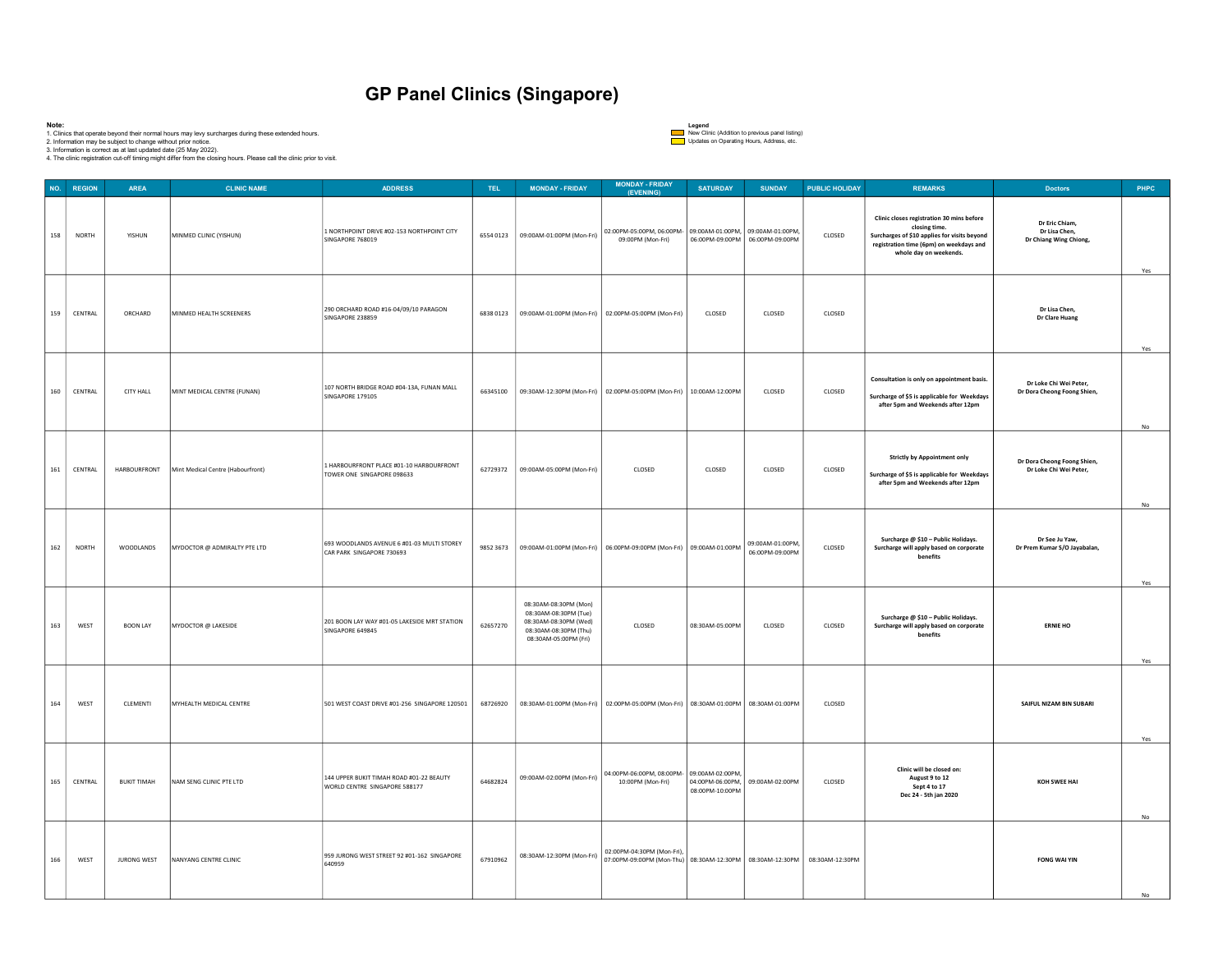| Note:<br>NO. REGION | 2. Information may be subject to change without prior notice.<br>3. Information is correct as at last updated date (25 May 2022).<br><b>AREA</b> | 1. Clinics that operate beyond their normal hours may levy surcharges during these extended hours.<br>4. The clinic registration cut-off timing might differ from the closing hours. Please call the clinic prior to visit.<br><b>CLINIC NAME</b> | <b>GP Panel Clinics (Singapore)</b><br><b>ADDRESS</b>                     | TEL.      | <b>MONDAY - FRIDAY</b>                                                                                                    | <b>MONDAY - FRIDAY</b>                                                                                                                                                                                                             | Legend<br>Updates on Operating Hours, Address, etc.<br><b>SATURDAY</b> | New Clinic (Addition to previous panel listing)<br><b>SUNDAY</b> | <b>PUBLIC HOLIDAY</b> | <b>REMARKS</b>                                                                                                                                                                  | <b>Doctors</b>                                            | PHPC |
|---------------------|--------------------------------------------------------------------------------------------------------------------------------------------------|---------------------------------------------------------------------------------------------------------------------------------------------------------------------------------------------------------------------------------------------------|---------------------------------------------------------------------------|-----------|---------------------------------------------------------------------------------------------------------------------------|------------------------------------------------------------------------------------------------------------------------------------------------------------------------------------------------------------------------------------|------------------------------------------------------------------------|------------------------------------------------------------------|-----------------------|---------------------------------------------------------------------------------------------------------------------------------------------------------------------------------|-----------------------------------------------------------|------|
| 158<br>NORTH        | YISHUN                                                                                                                                           | MINMED CLINIC (YISHUN)                                                                                                                                                                                                                            | 1 NORTHPOINT DRIVE #02-153 NORTHPOINT CITY<br>SINGAPORE 768019            | 6554 0123 |                                                                                                                           | (EVENING)<br>$\Big \begin{array}{cc} 09:00AM-01:00PM\ (Mon-Fri) \end{array}\Big \begin{array}{cc} 02:00PM-05:00PM\ 06:00PM\end{array}\Big \begin{array}{cc} 09:00AM-01:00PM\ 09:00AM-01:00PM\end{array}\Big $<br>09:00PM (Mon-Fri) |                                                                        | 06:00PM-09:00PM 06:00PM-09:00PM                                  | CLOSED                | Clinic closes registration 30 mins before<br>closing time.<br>Surcharges of \$10 applies for visits beyond<br>registration time (6pm) on weekdays and<br>whole day on weekends. | Dr Eric Chiam,<br>Dr Lisa Chen,<br>Dr Chiang Wing Chiong, | Yes  |
| CENTRAL<br>159      | ORCHARD                                                                                                                                          | MINMED HEALTH SCREENERS                                                                                                                                                                                                                           | 290 ORCHARD ROAD #16-04/09/10 PARAGON<br>SINGAPORE 238859                 | 6838 0123 |                                                                                                                           | 09:00AM-01:00PM (Mon-Fri) 02:00PM-05:00PM (Mon-Fri)                                                                                                                                                                                | CLOSED                                                                 | CLOSED                                                           | CLOSED                |                                                                                                                                                                                 | Dr Lisa Chen,<br>Dr Clare Huang                           | Yes  |
| 160<br>CENTRAL      | <b>CITY HALL</b>                                                                                                                                 | MINT MEDICAL CENTRE (FUNAN)                                                                                                                                                                                                                       | 107 NORTH BRIDGE ROAD #04-13A, FUNAN MALL<br>SINGAPORE 179105             |           |                                                                                                                           | 66345100 09:30AM-12:30PM (Mon-Fri) 02:00PM-05:00PM (Mon-Fri) 10:00AM-12:00PM                                                                                                                                                       |                                                                        | CLOSED                                                           | CLOSED                | Consultation is only on appointment basis.<br>Surcharge of \$5 is applicable for Weekdays<br>after 5pm and Weekends after 12pm                                                  | Dr Loke Chi Wei Peter,<br>Dr Dora Cheong Foong Shien,     |      |
| CENTRAL<br>161      | HARBOURFRONT                                                                                                                                     | Mint Medical Centre (Habourfront)                                                                                                                                                                                                                 | 1 HARBOURFRONT PLACE #01-10 HARBOURFRONT<br>TOWER ONE SINGAPORE 098633    |           | 62729372 09:00AM-05:00PM (Mon-Fri)                                                                                        | CLOSED                                                                                                                                                                                                                             | CLOSED                                                                 | CLOSED                                                           | CLOSED                | <b>Strictly by Appointment only</b><br>Surcharge of \$5 is applicable for Weekdays<br>after 5pm and Weekends after 12pm                                                         | Dr Dora Cheong Foong Shien,<br>Dr Loke Chi Wei Peter,     | No   |
| 162<br><b>NORTH</b> | WOODLANDS                                                                                                                                        | MYDOCTOR @ ADMIRALTY PTE LTD                                                                                                                                                                                                                      | 693 WOODLANDS AVENUE 6 #01-03 MULTI STOREY<br>CAR PARK SINGAPORE 730693   | 9852 3673 |                                                                                                                           | 09:00AM-01:00PM (Mon-Fri) 06:00PM-09:00PM (Mon-Fri) 09:00AM-01:00PM                                                                                                                                                                |                                                                        | 09:00AM-01:00PM,<br>06:00PM-09:00PM                              | CLOSED                | Surcharge @ \$10 - Public Holidays.<br>Surcharge will apply based on corporate<br>benefits                                                                                      | Dr See Ju Yaw,<br>Dr Prem Kumar S/O Jayabalan,            | No   |
| WEST<br>163         | <b>BOON LAY</b>                                                                                                                                  | MYDOCTOR @ LAKESIDE                                                                                                                                                                                                                               | 201 BOON LAY WAY #01-05 LAKESIDE MRT STATION<br>SINGAPORE 649845          | 62657270  | 08:30AM-08:30PM (Mon)<br>08:30AM-08:30PM (Tue)<br>08:30AM-08:30PM (Wed)<br>08:30AM-08:30PM (Thu)<br>08:30AM-05:00PM (Fri) | CLOSED                                                                                                                                                                                                                             | 08:30AM-05:00PM                                                        | CLOSED                                                           | CLOSED                | Surcharge @ \$10 - Public Holidays.<br>Surcharge will apply based on corporate<br>benefits                                                                                      | <b>ERNIE HO</b>                                           | Yes  |
| 164<br>WEST         | CLEMENTI                                                                                                                                         | MYHEALTH MEDICAL CENTRE                                                                                                                                                                                                                           | 501 WEST COAST DRIVE #01-256 SINGAPORE 120501                             | 68726920  |                                                                                                                           | 08:30AM-01:00PM (Mon-Fri)   02:00PM-05:00PM (Mon-Fri)   08:30AM-01:00PM   08:30AM-01:00PM                                                                                                                                          |                                                                        |                                                                  | CLOSED                |                                                                                                                                                                                 | SAIFUL NIZAM BIN SUBARI                                   | Yes  |
| 165<br>CENTRAL      | <b>BUKIT TIMAH</b>                                                                                                                               | NAM SENG CLINIC PTE LTD                                                                                                                                                                                                                           | 144 UPPER BUKIT TIMAH ROAD #01-22 BEAUTY<br>WORLD CENTRE SINGAPORE 588177 | 64682824  |                                                                                                                           | 09:00 AM-02:00 PM (Mon-Fri) 04:00 PM-06:00 PM, 08:00 PM- 09:00 AM-02:00 PM,<br>10:00PM (Mon-Fri)                                                                                                                                   | 08:00PM-10:00PM                                                        | 04:00PM-06:00PM, 09:00AM-02:00PM                                 | CLOSED                | Clinic will be closed on:<br>August 9 to 12<br>Sept 4 to 17<br>Dec 24 - 5th jan 2020                                                                                            | <b>KOH SWEE HAI</b>                                       | Yes  |
| WEST<br>166         | JURONG WEST                                                                                                                                      | NANYANG CENTRE CLINIC                                                                                                                                                                                                                             | 959 JURONG WEST STREET 92 #01-162 SINGAPORE<br>640959                     | 67910962  | 08:30AM-12:30PM (Mon-Fri)                                                                                                 | 02:00PM-04:30PM (Mon-Fri),<br>07:00PM-09:00PM (Mon-Thu) 08:30AM-12:30PM 08:30AM-12:30PM 08:30AM-12:30PM                                                                                                                            |                                                                        |                                                                  |                       |                                                                                                                                                                                 | <b>FONG WAI YIN</b>                                       | No   |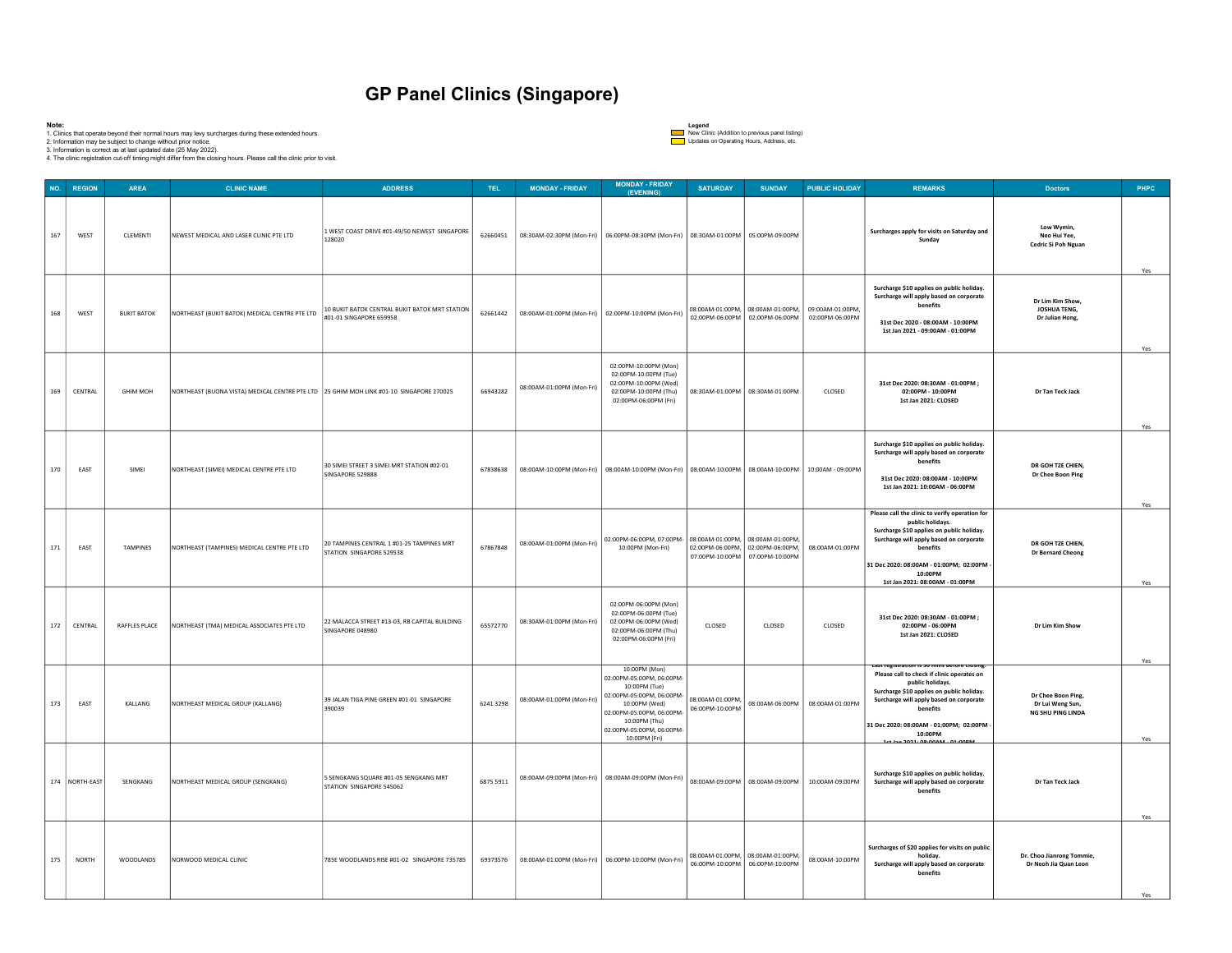| Note:             |                | 2. Information may be subject to change without prior notice.<br>3. Information is correct as at last updated date (25 May 2022). | 1. Clinics that operate beyond their normal hours may levy surcharges during these extended hours.<br>4. The clinic registration cut-off timing might differ from the closing hours. Please call the clinic prior to visit. | <b>GP Panel Clinics (Singapore)</b>                                       |                        |                           |                                                                                                                                                                                                                                                                                                                                                          | Legend<br>Updates on Operating Hours, Address, etc. | New Clinic (Addition to previous panel listing)                      |                                     |                                                                                                                                                                                                                                                                                     |                                                                     |            |
|-------------------|----------------|-----------------------------------------------------------------------------------------------------------------------------------|-----------------------------------------------------------------------------------------------------------------------------------------------------------------------------------------------------------------------------|---------------------------------------------------------------------------|------------------------|---------------------------|----------------------------------------------------------------------------------------------------------------------------------------------------------------------------------------------------------------------------------------------------------------------------------------------------------------------------------------------------------|-----------------------------------------------------|----------------------------------------------------------------------|-------------------------------------|-------------------------------------------------------------------------------------------------------------------------------------------------------------------------------------------------------------------------------------------------------------------------------------|---------------------------------------------------------------------|------------|
| NO. REGION<br>167 | WEST           | <b>AREA</b><br>CLEMENTI                                                                                                           | <b>CLINIC NAME</b><br>NEWEST MEDICAL AND LASER CLINIC PTE LTD                                                                                                                                                               | <b>ADDRESS</b><br>1 WEST COAST DRIVE #01-49/50 NEWEST SINGAPORE<br>128020 | <b>TEL</b><br>62660451 | <b>MONDAY - FRIDAY</b>    | <b>MONDAY - FRIDAY</b><br>(EVENING)<br>08:30AM-02:30PM (Mon-Fri) 06:00PM-08:30PM (Mon-Fri) 08:30AM-01:00PM 05:00PM-09:00PM                                                                                                                                                                                                                               | <b>SATURDAY</b>                                     | <b>SUNDAY</b>                                                        | <b>PUBLIC HOLIDAY</b>               | <b>REMARKS</b><br>Surcharges apply for visits on Saturday and<br>Sunday                                                                                                                                                                                                             | <b>Doctors</b><br>Low Wymin,<br>Neo Hui Yee,<br>Cedric Si Poh Nguan | PHPC       |
| 168               | WEST           | <b>BUKIT BATOK</b>                                                                                                                | NORTHEAST (BUKIT BATOK) MEDICAL CENTRE PTE LTD                                                                                                                                                                              | 10 BUKIT BATOK CENTRAL BUKIT BATOK MRT STATION<br>#01-01 SINGAPORE 659958 | 62661442               |                           | 08:00AM-01:00PM (Mon-Fri) 02:00PM-10:00PM (Mon-Fri)                                                                                                                                                                                                                                                                                                      |                                                     | 08:00AM-01:00PM, 08:00AM-01:00PM,<br>02:00PM-06:00PM 02:00PM-06:00PM | 09:00AM-01:00PM,<br>02:00PM-06:00PM | Surcharge \$10 applies on public holiday.<br>Surcharge will apply based on corporate<br>benefits<br>31st Dec 2020 - 08:00AM - 10:00PM<br>1st Jan 2021 - 09:00AM - 01:00PM                                                                                                           | Dr Lim Kim Show,<br>JOSHUA TENG,<br>Dr Julian Hong,                 | Yes<br>Yes |
| 169               | CENTRAL        | GHIM MOH                                                                                                                          | NORTHEAST (BUONA VISTA) MEDICAL CENTRE PTE LTD   25 GHIM MOH LINK #01-10 SINGAPORE 270025                                                                                                                                   |                                                                           | 66943282               | 08:00AM-01:00PM (Mon-Fri) | 02:00PM-10:00PM (Mon)<br>02:00PM-10:00PM (Tue)<br>02:00PM-10:00PM (Wed)<br>02:00PM-10:00PM (Thu)<br>02:00PM-06:00PM (Fri)                                                                                                                                                                                                                                |                                                     | 08:30AM-01:00PM 08:30AM-01:00PM                                      | CLOSED                              | 31st Dec 2020: 08:30AM - 01:00PM;<br>02:00PM - 10:00PM<br>1st Jan 2021: CLOSED                                                                                                                                                                                                      | Dr Tan Teck Jack                                                    | Yes        |
| 170               | EAST           | SIMEI                                                                                                                             | NORTHEAST (SIMEI) MEDICAL CENTRE PTE LTD                                                                                                                                                                                    | 30 SIMEI STREET 3 SIMEI MRT STATION #02-01<br>SINGAPORE 529888            | 67838638               |                           | 08:00AM-10:00PM (Mon-Fri) 08:00AM-10:00PM (Mon-Fri) 08:00AM-10:00PM 08:00AM-10:00PM 10:00AM - 09:00PM                                                                                                                                                                                                                                                    |                                                     |                                                                      |                                     | Surcharge \$10 applies on public holiday.<br>Surcharge will apply based on corporate<br>benefits<br>31st Dec 2020: 08:00AM - 10:00PM<br>1st Jan 2021: 10:00AM - 06:00PM                                                                                                             | DR GOH TZE CHIEN,<br>Dr Chee Boon Ping                              | Yes        |
| 171               | EAST           | TAMPINES                                                                                                                          | NORTHEAST (TAMPINES) MEDICAL CENTRE PTE LTD                                                                                                                                                                                 | 20 TAMPINES CENTRAL 1 #01-25 TAMPINES MRT<br>STATION SINGAPORE 529538     | 67867848               | 08:00AM-01:00PM (Mon-Fri) | 02:00PM-06:00PM, 07:00PM- 08:00AM-01:00PM, 08:00AM-01:00PM,<br>10:00PM (Mon-Fri)                                                                                                                                                                                                                                                                         |                                                     | 02:00PM-06:00PM, 02:00PM-06:00PM,<br>07:00PM-10:00PM 07:00PM-10:00PM | 08:00AM-01:00PM                     | Please call the clinic to verify operation for<br>public holidays.<br>Surcharge \$10 applies on public holiday.<br>Surcharge will apply based on corporate<br>benefits<br>31 Dec 2020: 08:00AM - 01:00PM; 02:00PM<br>10:00PM<br>1st Jan 2021: 08:00AM - 01:00PM                     | DR GOH TZE CHIEN,<br><b>Dr Bernard Cheong</b>                       | Yes        |
| 172               | CENTRAL        | RAFFLES PLACE                                                                                                                     | NORTHEAST (TMA) MEDICAL ASSOCIATES PTE LTD                                                                                                                                                                                  | 22 MALACCA STREET #13-03, RB CAPITAL BUILDING<br>SINGAPORE 048980         | 65572770               | 08:30AM-01:00PM (Mon-Fri) | 02:00PM-06:00PM (Mon)<br>02:00PM-06:00PM (Tue)<br>02:00PM-06:00PM (Wed)<br>02:00PM-06:00PM (Thu)<br>02:00PM-06:00PM (Fri)                                                                                                                                                                                                                                | CLOSED                                              | CLOSED                                                               | CLOSED                              | 31st Dec 2020: 08:30AM - 01:00PM;<br>02:00PM - 06:00PM<br>1st Jan 2021: CLOSED                                                                                                                                                                                                      | Dr Lim Kim Show                                                     |            |
| 173               | EAST           | KALLANG                                                                                                                           | NORTHEAST MEDICAL GROUP (KALLANG)                                                                                                                                                                                           | 39 JALAN TIGA PINE GREEN #01-01 SINGAPORE<br>390039                       | 6241 3298              |                           | 10:00PM (Mon)<br>02:00PM-05:00PM, 06:00PM-<br>10:00PM (Tue)<br>08:00AM-01:00PM (Mon-Fri) 02:00PM-05:00PM, 06:00PM-<br>10:00PM (Wed)<br>02:00PM-05:00PM, 06:00PM-<br>10:00PM (Thu)<br>02:00PM-05:00PM, 06:00PM-<br>10:00PM (Fri)                                                                                                                          | 08:00AM-01:00PM,<br>06:00PM-10:00PM                 | 08:00AM-06:00PM 08:00AM-01:00PM                                      |                                     | cast registration is so mins before closing<br>Please call to check if clinic operates on<br>public holidays.<br>Surcharge \$10 applies on public holiday.<br>Surcharge will apply based on corporate<br>benefits<br>31 Dec 2020: 08:00AM - 01:00PM; 02:00PM<br>10:00PM<br>بمعممهما | Dr Chee Boon Ping,<br>Dr Lui Weng Sun,<br>NG SHU PING LINDA         | Yes<br>Yes |
|                   | 174 NORTH-EAST | SENGKANG                                                                                                                          | NORTHEAST MEDICAL GROUP (SENGKANG)                                                                                                                                                                                          | 5 SENGKANG SQUARE #01-05 SENGKANG MRT<br>STATION SINGAPORE 545062         | 6875 5911              |                           | $\mid 08:00\text{AM-09}:00\text{PM (Mon-Fri)} \mid 08:00\text{AM-09}:00\text{PM (Mon-Fri)} \mid 08:00\text{AM-09}:00\text{PM} \mid 08:00\text{AM-09}:00\text{PM} \mid 08:00\text{AM-09}:00\text{PM} \mid 08:00\text{AM-09}:00\text{PM} \mid 08:00\text{AM-09}:00\text{PM} \mid 08:00\text{AM-09}:00\text{PM} \mid 08:00\text{AM-09}:00\text{PM} \mid 08$ |                                                     |                                                                      | 10:00AM-09:00PM                     | Surcharge \$10 applies on public holiday.<br>Surcharge will apply based on corporate<br>benefits                                                                                                                                                                                    | Dr Tan Teck Jack                                                    | Yes        |
| 175               | NORTH          | WOODLANDS                                                                                                                         | NORWOOD MEDICAL CLINIC                                                                                                                                                                                                      | 785E WOODLANDS RISE #01-02 SINGAPORE 735785                               | 69373576               |                           | 08:00AM-01:00PM (Mon-Fri) 06:00PM-10:00PM (Mon-Fri)                                                                                                                                                                                                                                                                                                      |                                                     | 08:00AM-01:00PM, 08:00AM-01:00PM,<br>06:00PM-10:00PM 06:00PM-10:00PM | 08:00AM-10:00PM                     | Surcharges of \$20 applies for visits on public<br>holiday.<br>Surcharge will apply based on corporate<br>benefits                                                                                                                                                                  | Dr. Choo Jianrong Tommie,<br>Dr Neoh Jia Quan Leon                  |            |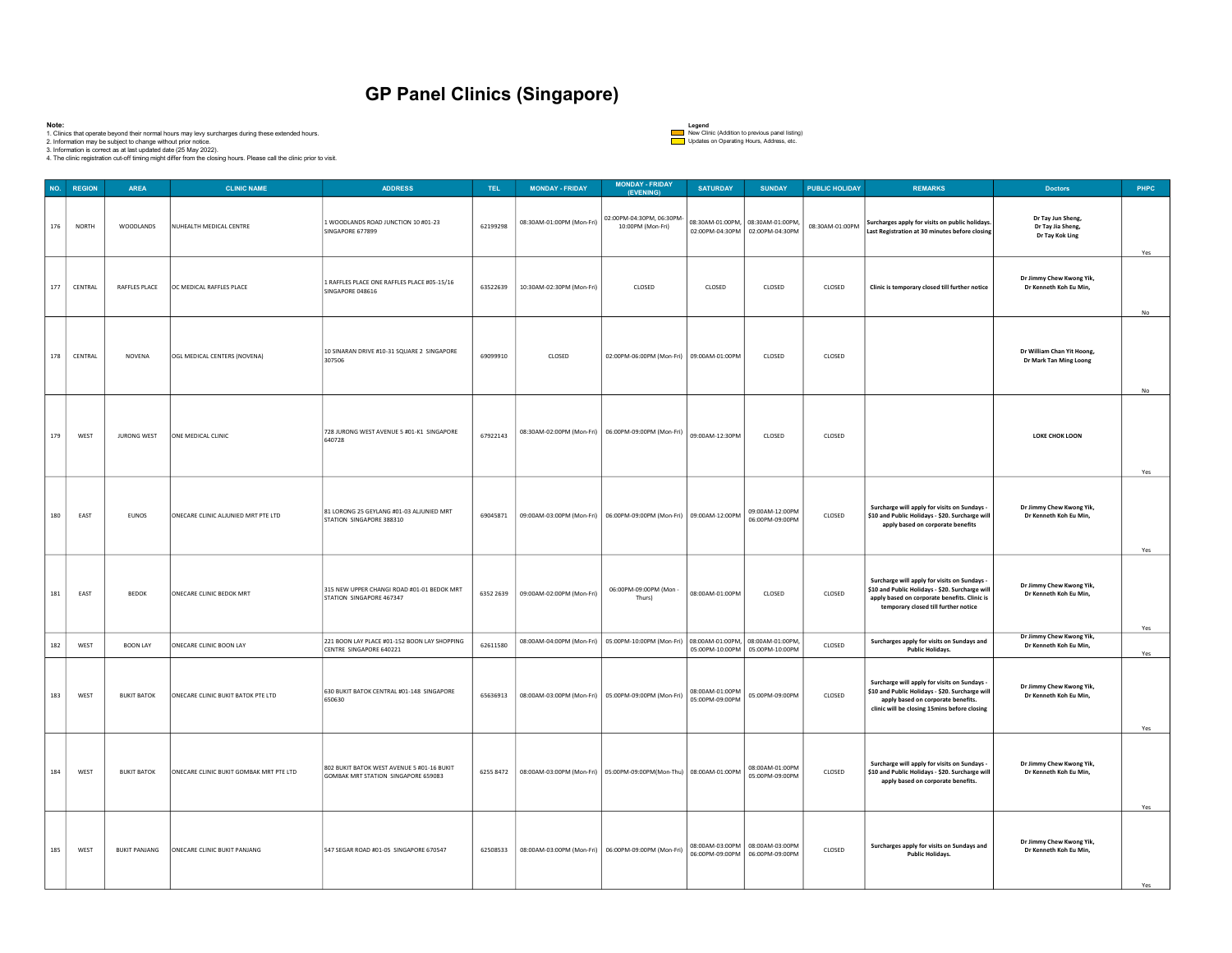| Note: | NO. REGION   | 2. Information may be subject to change without prior notice.<br>3. Information is correct as at last updated date (25 May 2022).<br><b>AREA</b> | 1. Clinics that operate beyond their normal hours may levy surcharges during these extended hours.<br>4. The clinic registration cut-off timing might differ from the closing hours. Please call the clinic prior to visit.<br><b>CLINIC NAME</b> | <b>GP Panel Clinics (Singapore)</b><br><b>ADDRESS</b>                             | <b>TEL</b> | <b>MONDAY - FRIDAY</b>              | <b>MONDAY - FRIDAY</b><br>(EVENING)                                                         | Legend<br>Updates on Operating Hours, Address, etc.<br><b>SATURDAY</b> | New Clinic (Addition to previous panel listing)<br><b>SUNDAY</b>     | PUBLIC HOLIDAY  | <b>REMARKS</b>                                                                                                                                                                          | <b>Doctors</b>                                            | PHPC       |
|-------|--------------|--------------------------------------------------------------------------------------------------------------------------------------------------|---------------------------------------------------------------------------------------------------------------------------------------------------------------------------------------------------------------------------------------------------|-----------------------------------------------------------------------------------|------------|-------------------------------------|---------------------------------------------------------------------------------------------|------------------------------------------------------------------------|----------------------------------------------------------------------|-----------------|-----------------------------------------------------------------------------------------------------------------------------------------------------------------------------------------|-----------------------------------------------------------|------------|
| 176   | <b>NORTH</b> | WOODLANDS                                                                                                                                        | NUHEALTH MEDICAL CENTRE                                                                                                                                                                                                                           | 1 WOODLANDS ROAD JUNCTION 10 #01-23<br>SINGAPORE 677899                           | 62199298   | 08:30AM-01:00PM (Mon-Fri)           | 02:00PM-04:30PM, 06:30PM-<br>10:00PM (Mon-Fri)                                              |                                                                        | 08:30AM-01:00PM, 08:30AM-01:00PM,<br>02:00PM-04:30PM 02:00PM-04:30PM | 08:30AM-01:00PM | Surcharges apply for visits on public holidays.<br>Last Registration at 30 minutes before closing                                                                                       | Dr Tay Jun Sheng,<br>Dr Tay Jia Sheng,<br>Dr Tay Kok Ling |            |
| 177   | CENTRAL      | RAFFLES PLACE                                                                                                                                    | OC MEDICAL RAFFLES PLACE                                                                                                                                                                                                                          | 1 RAFFLES PLACE ONE RAFFLES PLACE #05-15/16<br>SINGAPORE 048616                   | 63522639   | 10:30AM-02:30PM (Mon-Fri)           | CLOSED                                                                                      | CLOSED                                                                 | CLOSED                                                               | CLOSED          | Clinic is temporary closed till further notice                                                                                                                                          | Dr Jimmy Chew Kwong Yik,<br>Dr Kenneth Koh Eu Min,        | Yes<br>No  |
| 178   | CENTRAL      | NOVENA                                                                                                                                           | OGL MEDICAL CENTERS (NOVENA)                                                                                                                                                                                                                      | 10 SINARAN DRIVE #10-31 SQUARE 2 SINGAPORE<br>307506                              | 69099910   | CLOSED                              | 02:00PM-06:00PM (Mon-Fri) 09:00AM-01:00PM                                                   |                                                                        | CLOSED                                                               | CLOSED          |                                                                                                                                                                                         | Dr William Chan Yit Hoong,<br>Dr Mark Tan Ming Loong      |            |
| 179   | WEST         | JURONG WEST                                                                                                                                      | ONE MEDICAL CLINIC                                                                                                                                                                                                                                | 728 JURONG WEST AVENUE 5 #01-K1 SINGAPORE<br>640728                               | 67922143   |                                     | 08:30AM-02:00PM (Mon-Fri)   06:00PM-09:00PM (Mon-Fri)                                       | 09:00AM-12:30PM                                                        | CLOSED                                                               | CLOSED          |                                                                                                                                                                                         | <b>LOKE CHOK LOON</b>                                     | No.        |
| 180   | EAST         | EUNOS                                                                                                                                            | ONECARE CLINIC ALJUNIED MRT PTE LTD                                                                                                                                                                                                               | 81 LORONG 25 GEYLANG #01-03 ALJUNIED MRT<br>STATION SINGAPORE 388310              |            |                                     |                                                                                             |                                                                        | 09:00AM-12:00PM<br>06:00PM-09:00PM                                   | CLOSED          | Surcharge will apply for visits on Sundays -<br>\$10 and Public Holidays - \$20. Surcharge will<br>apply based on corporate benefits                                                    | Dr Jimmy Chew Kwong Yik,<br>Dr Kenneth Koh Eu Min,        | Yes<br>Yes |
| 181   | EAST         | <b>BEDOK</b>                                                                                                                                     | ONECARE CLINIC BEDOK MRT                                                                                                                                                                                                                          | 315 NEW UPPER CHANGI ROAD #01-01 BEDOK MRT<br>STATION SINGAPORE 467347            |            | 6352 2639 09:00AM-02:00PM (Mon-Fri) | 06:00PM-09:00PM (Mon-<br>Thurs)                                                             | 08:00AM-01:00PM                                                        | CLOSED                                                               | CLOSED          | Surcharge will apply for visits on Sundays -<br>\$10 and Public Holidays - \$20. Surcharge will<br>apply based on corporate benefits. Clinic is<br>temporary closed till further notice | Dr Jimmy Chew Kwong Yik,<br>Dr Kenneth Koh Eu Min,        |            |
| 182   | WEST         | <b>BOON LAY</b>                                                                                                                                  | ONECARE CLINIC BOON LAY                                                                                                                                                                                                                           | 221 BOON LAY PLACE #01-152 BOON LAY SHOPPING<br>CENTRE SINGAPORE 640221           | 62611580   |                                     | 08:00AM-04:00PM (Mon-Fri)   05:00PM-10:00PM (Mon-Fri)   08:00AM-01:00PM,   08:00AM-01:00PM, |                                                                        | 05:00PM-10:00PM 05:00PM-10:00PM                                      | CLOSED          | Surcharges apply for visits on Sundays and<br><b>Public Holidays.</b>                                                                                                                   | Dr Jimmy Chew Kwong Yik,<br>Dr Kenneth Koh Eu Min,        | Yes<br>Yes |
| 183   | WEST         | <b>BUKIT BATOK</b>                                                                                                                               | ONECARE CLINIC BUKIT BATOK PTE LTD                                                                                                                                                                                                                | 630 BUKIT BATOK CENTRAL #01-148 SINGAPORE<br>650630                               |            |                                     | 65636913   08:00AM-03:00PM (Mon-Fri)   05:00PM-09:00PM (Mon-Fri)                            | 08:00AM-01:00PM<br>05:00PM-09:00PM                                     | 05:00PM-09:00PM                                                      | CLOSED          | Surcharge will apply for visits on Sundays -<br>\$10 and Public Holidays - \$20. Surcharge will<br>apply based on corporate benefits.<br>clinic will be closing 15mins before closing   | Dr Jimmy Chew Kwong Yik,<br>Dr Kenneth Koh Eu Min,        | Yes        |
| 184   | WEST         | <b>BUKIT BATOK</b>                                                                                                                               | ONECARE CLINIC BUKIT GOMBAK MRT PTE LTD                                                                                                                                                                                                           | 802 BUKIT BATOK WEST AVENUE 5 #01-16 BUKIT<br>GOMBAK MRT STATION SINGAPORE 659083 |            |                                     | 6255 8472  08:00AM-03:00PM (Mon-Fri)  05:00PM-09:00PM (Mon-Thu)  08:00AM-01:00PM            |                                                                        | 08:00AM-01:00PM<br>05:00PM-09:00PM                                   | CLOSED          | Surcharge will apply for visits on Sundays -<br>\$10 and Public Holidays - \$20. Surcharge will<br>apply based on corporate benefits.                                                   | Dr Jimmy Chew Kwong Yik,<br>Dr Kenneth Koh Eu Min,        | Yes        |
| 185   | WEST         | <b>BUKIT PANJANG</b>                                                                                                                             | ONECARE CLINIC BUKIT PANJANG                                                                                                                                                                                                                      | 547 SEGAR ROAD #01-05 SINGAPORE 670547                                            |            |                                     | 62508533 08:00AM-03:00PM (Mon-Fri) 06:00PM-09:00PM (Mon-Fri)                                |                                                                        | 08:00AM-03:00PM 08:00AM-03:00PM<br>06:00PM-09:00PM   06:00PM-09:00PM | CLOSED          | Surcharges apply for visits on Sundays and<br><b>Public Holidays.</b>                                                                                                                   | Dr Jimmy Chew Kwong Yik,<br>Dr Kenneth Koh Eu Min,        |            |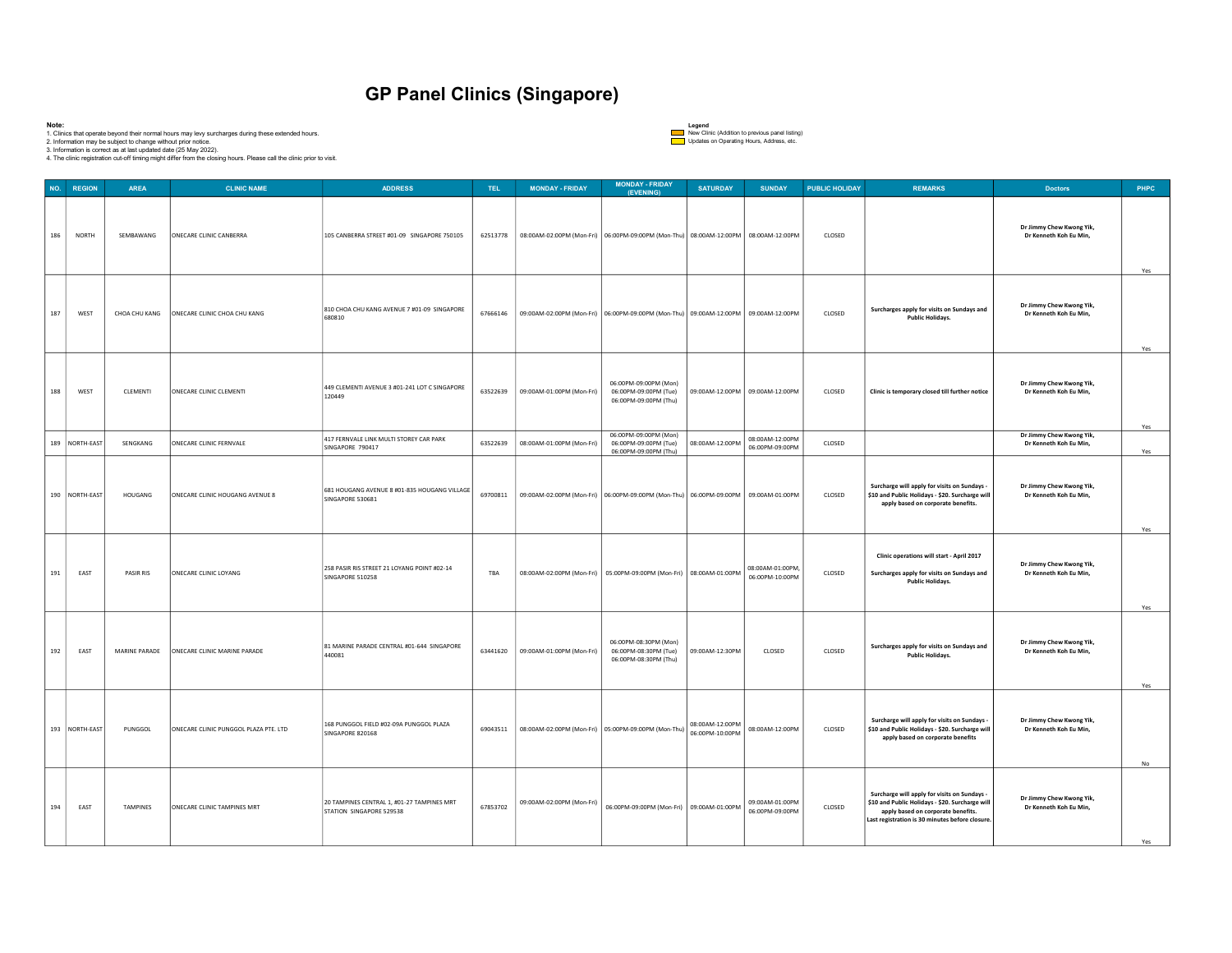| Note: |                | 2. Information may be subject to change without prior notice.<br>3. Information is correct as at last updated date (25 May 2022). | 1. Clinics that operate beyond their normal hours may levy surcharges during these extended hours.<br>4. The clinic registration cut-off timing might differ from the closing hours. Please call the clinic prior to visit. | <b>GP Panel Clinics (Singapore)</b>                                    |            |                           |                                                                                                              | Legend<br>Updates on Operating Hours, Address, etc. | New Clinic (Addition to previous panel listing) |                       |                                                                                                                                                                                          |                                                    |           |
|-------|----------------|-----------------------------------------------------------------------------------------------------------------------------------|-----------------------------------------------------------------------------------------------------------------------------------------------------------------------------------------------------------------------------|------------------------------------------------------------------------|------------|---------------------------|--------------------------------------------------------------------------------------------------------------|-----------------------------------------------------|-------------------------------------------------|-----------------------|------------------------------------------------------------------------------------------------------------------------------------------------------------------------------------------|----------------------------------------------------|-----------|
|       | NO. REGION     | <b>AREA</b>                                                                                                                       | <b>CLINIC NAME</b>                                                                                                                                                                                                          | <b>ADDRESS</b>                                                         | <b>TEL</b> | <b>MONDAY - FRIDAY</b>    | <b>MONDAY - FRIDAY</b><br>(EVENING)                                                                          | <b>SATURDAY</b>                                     | <b>SUNDAY</b>                                   | <b>PUBLIC HOLIDAY</b> | REMARKS                                                                                                                                                                                  | <b>Doctors</b>                                     | PHPC      |
| 186   | NORTH          | SEMBAWANG                                                                                                                         | ONECARE CLINIC CANBERRA                                                                                                                                                                                                     | 105 CANBERRA STREET #01-09 SINGAPORE 750105                            | 62513778   |                           | 08:00AM-02:00PM (Mon-Fri)   06:00PM-09:00PM (Mon-Thu)   08:00AM-12:00PM   08:00AM-12:00PM                    |                                                     |                                                 | CLOSED                |                                                                                                                                                                                          | Dr Jimmy Chew Kwong Yik,<br>Dr Kenneth Koh Eu Min, | Yes       |
| 187   | WEST           | CHOA CHU KANG                                                                                                                     | ONECARE CLINIC CHOA CHU KANG                                                                                                                                                                                                | 810 CHOA CHU KANG AVENUE 7 #01-09 SINGAPORE<br>680810                  | 67666146   |                           | 09:00AM-02:00PM (Mon-Fri)   06:00PM-09:00PM (Mon-Thu)   09:00AM-12:00PM   09:00AM-12:00PM                    |                                                     |                                                 | CLOSED                | Surcharges apply for visits on Sundays and<br><b>Public Holidays.</b>                                                                                                                    | Dr Jimmy Chew Kwong Yik,<br>Dr Kenneth Koh Eu Min, | Yes       |
| 188   | WEST           | CLEMENTI                                                                                                                          | ONECARE CLINIC CLEMENTI                                                                                                                                                                                                     | 149 CLEMENTI AVENUE 3 #01-241 LOT C SINGAPORE<br>120449                | 63522639   | 09:00AM-01:00PM (Mon-Fri) | 06:00PM-09:00PM (Mon)<br>06:00PM-09:00PM (Tue)<br>06:00PM-09:00PM (Thu)                                      |                                                     | 09:00AM-12:00PM 09:00AM-12:00PM                 | CLOSED                | Clinic is temporary closed till further notice                                                                                                                                           | Dr Jimmy Chew Kwong Yik,<br>Dr Kenneth Koh Eu Min, | Yes       |
|       | 189 NORTH-EAST | SENGKANG                                                                                                                          | ONECARE CLINIC FERNVALE                                                                                                                                                                                                     | 417 FERNVALE LINK MULTI STOREY CAR PARK<br>SINGAPORE 790417            | 63522639   | 08:00AM-01:00PM (Mon-Fri) | 06:00PM-09:00PM (Mon)<br>06:00PM-09:00PM (Tue)                                                               | 08:00AM-12:00PM                                     | 08:00AM-12:00PM<br>06:00PM-09:00PM              | CLOSED                |                                                                                                                                                                                          | Dr Jimmy Chew Kwong Yik,<br>Dr Kenneth Koh Eu Min, |           |
|       | 190 NORTH-EAST | HOUGANG                                                                                                                           | ONECARE CLINIC HOUGANG AVENUE 8                                                                                                                                                                                             | 681 HOUGANG AVENUE 8 #01-835 HOUGANG VILLAGE<br>SINGAPORE 530681       | 69700811   |                           | 06:00PM-09:00PM (Thu)<br>09:00AM-02:00PM (Mon-Fri) 06:00PM-09:00PM (Mon-Thu) 06:00PM-09:00PM 09:00AM-01:00PM |                                                     |                                                 | CLOSED                | Surcharge will apply for visits on Sundays -<br>\$10 and Public Holidays - \$20. Surcharge will<br>apply based on corporate benefits.                                                    | Dr Jimmy Chew Kwong Yik,<br>Dr Kenneth Koh Eu Min, | Yes       |
| 191   | EAST           | PASIR RIS                                                                                                                         | ONECARE CLINIC LOYANG                                                                                                                                                                                                       | 258 PASIR RIS STREET 21 LOYANG POINT #02-14<br>SINGAPORE 510258        | TBA        |                           | 08:00AM-02:00PM (Mon-Fri) 05:00PM-09:00PM (Mon-Fri) 08:00AM-01:00PM                                          |                                                     | 08:00AM-01:00PM,<br>06:00PM-10:00PM             | CLOSED                | Clinic operations will start - April 2017<br>Surcharges apply for visits on Sundays and<br><b>Public Holidays.</b>                                                                       | Dr Jimmy Chew Kwong Yik,<br>Dr Kenneth Koh Eu Min, | Yes       |
| 192   | EAST           | MARINE PARADE                                                                                                                     | ONECARE CLINIC MARINE PARADE                                                                                                                                                                                                | 81 MARINE PARADE CENTRAL #01-644 SINGAPORE<br>440081                   | 63441620   | 09:00AM-01:00PM (Mon-Fri) | 06:00PM-08:30PM (Mon)<br>06:00PM-08:30PM (Tue)<br>06:00PM-08:30PM (Thu)                                      | 09:00AM-12:30PM                                     | CLOSED                                          | CLOSED                | Surcharges apply for visits on Sundays and<br><b>Public Holidays.</b>                                                                                                                    | Dr Jimmy Chew Kwong Yik,<br>Dr Kenneth Koh Eu Min, | Yes       |
|       | 193 NORTH-EAST | PUNGGOL                                                                                                                           | ONECARE CLINIC PUNGGOL PLAZA PTE. LTD                                                                                                                                                                                       | 168 PUNGGOL FIELD #02-09A PUNGGOL PLAZA<br>SINGAPORE 820168            | 69043511   |                           | 08:00AM-02:00PM (Mon-Fri) 05:00PM-09:00PM (Mon-Thu)                                                          | 08:00AM-12:00PM<br>06:00PM-10:00PM                  | 08:00AM-12:00PM                                 | CLOSED                | Surcharge will apply for visits on Sundays -<br>\$10 and Public Holidays - \$20. Surcharge will<br>apply based on corporate benefits                                                     | Dr Jimmy Chew Kwong Yik,<br>Dr Kenneth Koh Eu Min, | Yes       |
| 194   | EAST           | TAMPINES                                                                                                                          | ONECARE CLINIC TAMPINES MRT                                                                                                                                                                                                 | 20 TAMPINES CENTRAL 1, #01-27 TAMPINES MRT<br>STATION SINGAPORE 529538 | 67853702   | 09:00AM-02:00PM (Mon-Fri) | 06:00PM-09:00PM (Mon-Fri) 09:00AM-01:00PM                                                                    |                                                     | 09:00AM-01:00PM<br>06:00PM-09:00PM              | CLOSED                | Surcharge will apply for visits on Sundays -<br>\$10 and Public Holidays - \$20. Surcharge will<br>apply based on corporate benefits.<br>Last registration is 30 minutes before closure. | Dr Jimmy Chew Kwong Yik,<br>Dr Kenneth Koh Eu Min, | No<br>Yes |

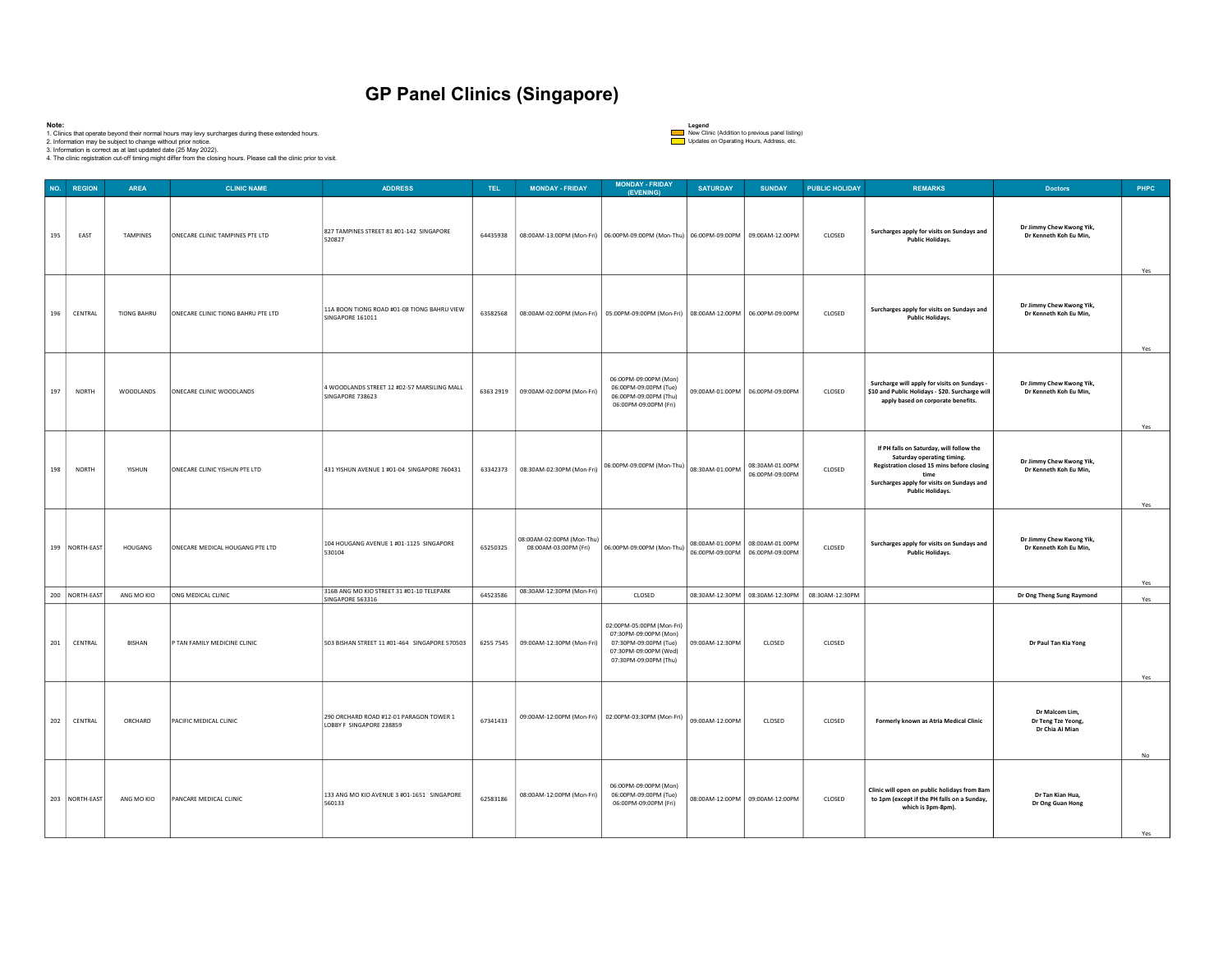| Note:       |                | 2. Information may be subject to change without prior notice.<br>3. Information is correct as at last updated date (25 May 2022). | 1. Clinics that operate beyond their normal hours may levy surcharges during these extended hours.<br>4. The clinic registration cut-off timing might differ from the closing hours. Please call the clinic prior to visit. | <b>GP Panel Clinics (Singapore)</b>                                  |          |                                                    |                                                                                                                               | Legend<br>Updates on Operating Hours, Address, etc. | New Clinic (Addition to previous panel listing)                    |                |                                                                                                                                                                                                       |                                                         |            |
|-------------|----------------|-----------------------------------------------------------------------------------------------------------------------------------|-----------------------------------------------------------------------------------------------------------------------------------------------------------------------------------------------------------------------------|----------------------------------------------------------------------|----------|----------------------------------------------------|-------------------------------------------------------------------------------------------------------------------------------|-----------------------------------------------------|--------------------------------------------------------------------|----------------|-------------------------------------------------------------------------------------------------------------------------------------------------------------------------------------------------------|---------------------------------------------------------|------------|
| NO. REGION  |                | <b>AREA</b>                                                                                                                       | <b>CLINIC NAME</b>                                                                                                                                                                                                          | <b>ADDRESS</b>                                                       | TEL.     | <b>MONDAY - FRIDAY</b>                             | <b>MONDAY - FRIDAY</b><br>(EVENING)                                                                                           | <b>SATURDAY</b>                                     | <b>SUNDAY</b>                                                      | PUBLIC HOLIDAY | <b>REMARKS</b>                                                                                                                                                                                        | <b>Doctors</b>                                          | PHPC       |
| 195         | EAST           | TAMPINES                                                                                                                          | ONECARE CLINIC TAMPINES PTE LTD                                                                                                                                                                                             | 827 TAMPINES STREET 81 #01-142 SINGAPORE<br>520827                   | 64435938 |                                                    | 08:00AM-13:00PM (Mon-Fri) 06:00PM-09:00PM (Mon-Thu) 06:00PM-09:00PM 09:00AM-12:00PM                                           |                                                     |                                                                    | CLOSED         | Surcharges apply for visits on Sundays and<br><b>Public Holidays.</b>                                                                                                                                 | Dr Jimmy Chew Kwong Yik,<br>Dr Kenneth Koh Eu Min,      |            |
| 196         | CENTRAL        | TIONG BAHRU                                                                                                                       | ONECARE CLINIC TIONG BAHRU PTE LTD                                                                                                                                                                                          | 11A BOON TIONG ROAD #01-08 TIONG BAHRU VIEW<br>SINGAPORE 161011      | 63582568 |                                                    | 08:00AM-02:00PM (Mon-Fri) 05:00PM-09:00PM (Mon-Fri) 08:00AM-12:00PM 06:00PM-09:00PM                                           |                                                     |                                                                    | CLOSED         | Surcharges apply for visits on Sundays and<br><b>Public Holidays.</b>                                                                                                                                 | Dr Jimmy Chew Kwong Yik,<br>Dr Kenneth Koh Eu Min,      | Yes<br>Yes |
| 197         | NORTH          | WOODLANDS                                                                                                                         | ONECARE CLINIC WOODLANDS                                                                                                                                                                                                    | 4 WOODLANDS STREET 12 #02-57 MARSILING MALL<br>SINGAPORE 738623      |          | 6363 2919 09:00AM-02:00PM (Mon-Fri)                | 06:00PM-09:00PM (Mon)<br>06:00PM-09:00PM (Tue)<br>06:00PM-09:00PM (Thu)<br>06:00PM-09:00PM (Fri)                              |                                                     | 09:00AM-01:00PM 06:00PM-09:00PM                                    | CLOSED         | Surcharge will apply for visits on Sundays -<br>\$10 and Public Holidays - \$20. Surcharge will<br>apply based on corporate benefits.                                                                 | Dr Jimmy Chew Kwong Yik,<br>Dr Kenneth Koh Eu Min,      | Yes        |
| 198         | NORTH          | YISHUN                                                                                                                            | ONECARE CLINIC YISHUN PTE LTD                                                                                                                                                                                               | 431 YISHUN AVENUE 1 #01-04 SINGAPORE 760431                          |          | 63342373 08:30AM-02:30PM (Mon-Fri)                 | 06:00PM-09:00PM (Mon-Thu)                                                                                                     | 08:30AM-01:00PM                                     | 08:30AM-01:00PM<br>06:00PM-09:00PM                                 | CLOSED         | If PH falls on Saturday, will follow the<br>Saturday operating timing.<br>Registration closed 15 mins before closing<br>time<br>Surcharges apply for visits on Sundays and<br><b>Public Holidays.</b> | Dr Jimmy Chew Kwong Yik,<br>Dr Kenneth Koh Eu Min,      | Yes        |
|             | 199 NORTH-EAST | HOUGANG                                                                                                                           | ONECARE MEDICAL HOUGANG PTE LTD                                                                                                                                                                                             | 104 HOUGANG AVENUE 1 #01-1125 SINGAPORE<br>530104                    | 65250325 | 08:00AM-02:00PM (Mon-Thu)<br>08:00AM-03:00PM (Fri) | 06:00PM-09:00PM (Mon-Thu)                                                                                                     |                                                     | 08:00AM-01:00PM 08:00AM-01:00PM<br>06:00PM-09:00PM 06:00PM-09:00PM | CLOSED         | Surcharges apply for visits on Sundays and<br><b>Public Holidays.</b>                                                                                                                                 | Dr Jimmy Chew Kwong Yik,<br>Dr Kenneth Koh Eu Min,      | Yes        |
|             | 200 NORTH-EAST | ANG MO KIO                                                                                                                        | ONG MEDICAL CLINIC                                                                                                                                                                                                          | 316B ANG MO KIO STREET 31 #01-10 TELEPARK<br><b>SINGAPORE 563316</b> | 64523586 | 08:30AM-12:30PM (Mon-Fri)                          | CLOSED                                                                                                                        |                                                     | 08:30AM-12:30PM   08:30AM-12:30PM   08:30AM-12:30PM                |                |                                                                                                                                                                                                       | Dr Ong Theng Sung Raymond                               | Yes        |
| ${\bf 201}$ | CENTRAL        | <b>BISHAN</b>                                                                                                                     | P TAN FAMILY MEDICINE CLINIC                                                                                                                                                                                                | 503 BISHAN STREET 11 #01-464 SINGAPORE 570503                        |          | 6255 7545   09:00AM-12:30PM (Mon-Fri)              | 02:00PM-05:00PM (Mon-Fri)<br>07:30PM-09:00PM (Mon)<br>07:30PM-09:00PM (Tue)<br>07:30PM-09:00PM (Wed)<br>07:30PM-09:00PM (Thu) | 09:00AM-12:30PM                                     | CLOSED                                                             | CLOSED         |                                                                                                                                                                                                       | Dr Paul Tan Kia Yong                                    | Yes        |
| 202         | CENTRAL        | ORCHARD                                                                                                                           | PACIFIC MEDICAL CLINIC                                                                                                                                                                                                      | 290 ORCHARD ROAD #12-01 PARAGON TOWER 1<br>LOBBY F SINGAPORE 238859  | 67341433 |                                                    | 09:00AM-12:00PM (Mon-Fri) 02:00PM-03:30PM (Mon-Fri)                                                                           | 09:00AM-12:00PM                                     | CLOSED                                                             | CLOSED         | Formerly known as Atria Medical Clinic                                                                                                                                                                | Dr Malcom Lim,<br>Dr Teng Tze Yeong,<br>Dr Chia Ai Mian | No.        |
|             | 203 NORTH-EAST | ANG MO KIO                                                                                                                        | PANCARE MEDICAL CLINIC                                                                                                                                                                                                      | 133 ANG MO KIO AVENUE 3 #01-1651 SINGAPORE<br>560133                 | 62583186 | 08:00AM-12:00PM (Mon-Fri)                          | 06:00PM-09:00PM (Mon)<br>06:00PM-09:00PM (Tue)<br>06:00PM-09:00PM (Fri)                                                       |                                                     | 08:00AM-12:00PM 09:00AM-12:00PM                                    | CLOSED         | Clinic will open on public holidays from 8am<br>to 1pm (except if the PH falls on a Sunday,<br>which is 3pm-8pm).                                                                                     | Dr Tan Kian Hua,<br>Dr Ong Guan Hong                    | Yes        |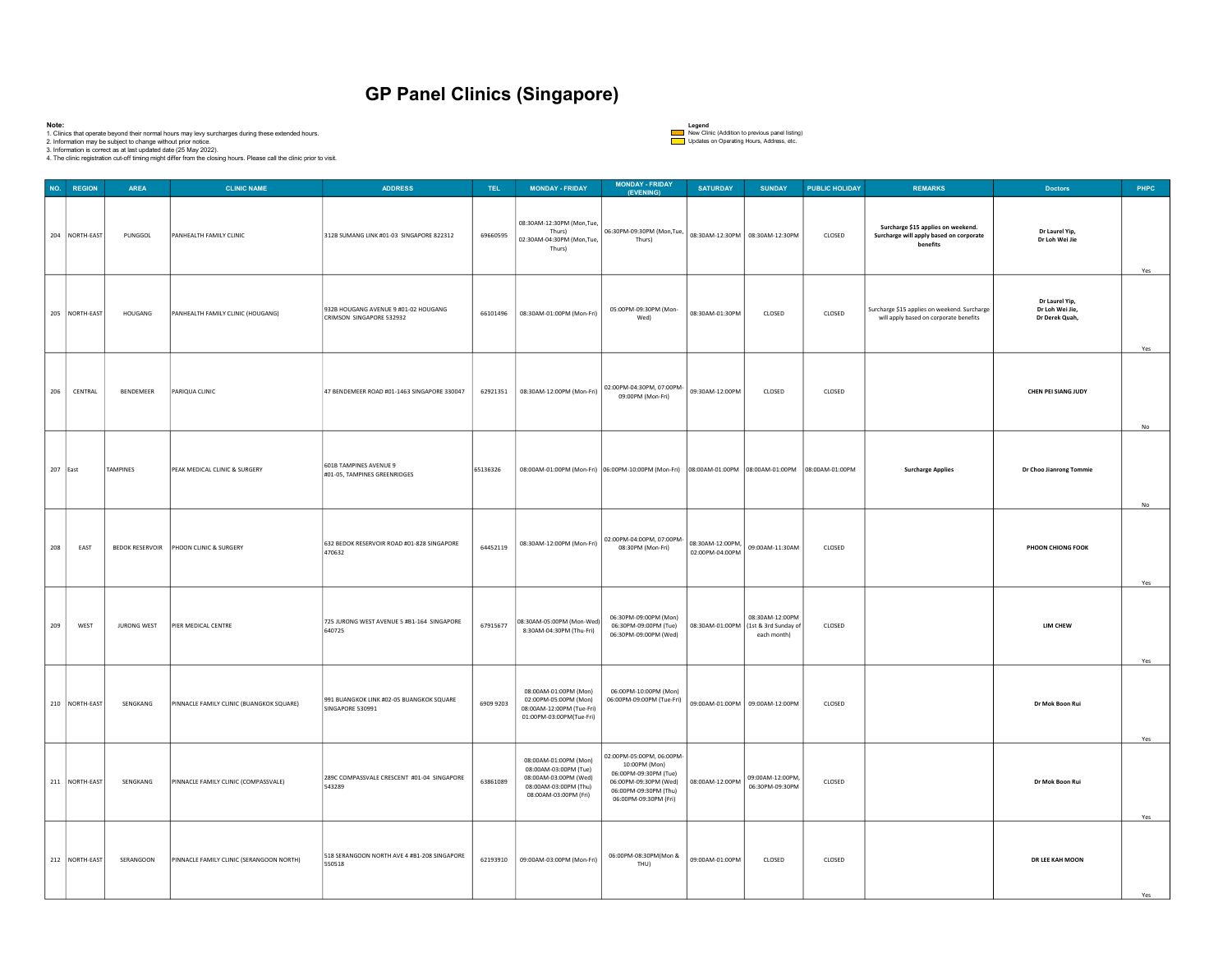| Note:      |                | 2. Information may be subject to change without prior notice.<br>3. Information is correct as at last updated date (25 May 2022). | 1. Clinics that operate beyond their normal hours may levy surcharges during these extended hours.<br>4. The clinic registration cut-off timing might differ from the closing hours. Please call the clinic prior to visit. | <b>GP Panel Clinics (Singapore)</b>                              |           |                                                                                                                           | Legend<br>New Clinic (Addition to previous panel listing)<br>Updates on Operating Hours, Address, etc.                                                            |                                                                        |                |                                                                                           |                                                     |           |
|------------|----------------|-----------------------------------------------------------------------------------------------------------------------------------|-----------------------------------------------------------------------------------------------------------------------------------------------------------------------------------------------------------------------------|------------------------------------------------------------------|-----------|---------------------------------------------------------------------------------------------------------------------------|-------------------------------------------------------------------------------------------------------------------------------------------------------------------|------------------------------------------------------------------------|----------------|-------------------------------------------------------------------------------------------|-----------------------------------------------------|-----------|
|            | NO. REGION     | AREA                                                                                                                              | <b>CLINIC NAME</b>                                                                                                                                                                                                          | <b>ADDRESS</b>                                                   | TEL.      | <b>MONDAY - FRIDAY</b>                                                                                                    | <b>MONDAY - FRIDAY</b><br><b>SATURDAY</b><br>(EVENING)                                                                                                            | <b>SUNDAY</b>                                                          | PUBLIC HOLIDAY | <b>REMARKS</b>                                                                            | <b>Doctors</b>                                      | PHPC      |
|            | 204 NORTH-EAST | PUNGGOL                                                                                                                           | PANHEALTH FAMILY CLINIC                                                                                                                                                                                                     | 312B SUMANG LINK #01-03 SINGAPORE 822312                         | 69660595  | 08:30AM-12:30PM (Mon,Tue)<br>Thurs)<br>02:30AM-04:30PM (Mon,Tue,<br>Thurs)                                                | 06:30PM-09:30PM (Mon,Tue,<br>Thurs)                                                                                                                               | 08:30AM-12:30PM 08:30AM-12:30PM                                        | CLOSED         | Surcharge \$15 applies on weekend.<br>Surcharge will apply based on corporate<br>benefits | Dr Laurel Yip,<br>Dr Loh Wei Jie                    | Yes       |
|            | 205 NORTH-EAST | HOUGANG                                                                                                                           | PANHEALTH FAMILY CLINIC (HOUGANG)                                                                                                                                                                                           | 932B HOUGANG AVENUE 9 #01-02 HOUGANG<br>CRIMSON SINGAPORE 532932 | 66101496  | 08:30AM-01:00PM (Mon-Fri)                                                                                                 | 05:00PM-09:30PM (Mon-<br>08:30AM-01:30PM<br>Wed)                                                                                                                  | CLOSED                                                                 | CLOSED         | Surcharge \$15 applies on weekend. Surcharge<br>will apply based on corporate benefits    | Dr Laurel Yip,<br>Dr Loh Wei Jie,<br>Dr Derek Quah, | Yes       |
| 206        | CENTRAL        | BENDEMEER                                                                                                                         | PARIQUA CLINIC                                                                                                                                                                                                              | 47 BENDEMEER ROAD #01-1463 SINGAPORE 330047                      |           | 62921351 08:30AM-12:00PM (Mon-Fri)                                                                                        | )2:00PM-04:30PM, 07:00PM<br>09:30AM-12:00PM<br>09:00PM (Mon-Fri)                                                                                                  | CLOSED                                                                 | CLOSED         |                                                                                           | CHEN PEI SIANG JUDY                                 |           |
| $207$ East |                | TAMPINES                                                                                                                          | PEAK MEDICAL CLINIC & SURGERY                                                                                                                                                                                               | 601B TAMPINES AVENUE 9<br>#01-05, TAMPINES GREENRIDGES           | 65136326  |                                                                                                                           | 08:00AM-01:00PM (Mon-Fri) 06:00PM-10:00PM (Mon-Fri) 08:00AM-01:00PM 08:00AM-01:00PM 08:00AM-01:00PM                                                               |                                                                        |                | <b>Surcharge Applies</b>                                                                  | Dr Choo Jianrong Tommie                             | No.       |
| 208        | EAST           | <b>BEDOK RESERVOIR</b>                                                                                                            | PHOON CLINIC & SURGERY                                                                                                                                                                                                      | 632 BEDOK RESERVOIR ROAD #01-828 SINGAPORE<br>470632             | 64452119  | 08:30AM-12:00PM (Mon-Fri)                                                                                                 | 02:00PM-04:00PM, 07:00PM-<br>08:30AM-12:00PM,<br>08:30PM (Mon-Fri)<br>02:00PM-04:00PM                                                                             | 09:00AM-11:30AM                                                        | CLOSED         |                                                                                           | PHOON CHIONG FOOK                                   | No<br>Yes |
| 209        | WEST           | JURONG WEST                                                                                                                       | PIER MEDICAL CENTRE                                                                                                                                                                                                         | 725 JURONG WEST AVENUE 5 #B1-164 SINGAPORE<br>640725             | 67915677  | 08:30AM-05:00PM (Mon-Wed)<br>8:30AM-04:30PM (Thu-Fri)                                                                     | 06:30PM-09:00PM (Mon)<br>06:30PM-09:00PM (Tue)<br>06:30PM-09:00PM (Wed)                                                                                           | 08:30AM-12:00PM<br>08:30AM-01:00PM (1st & 3rd Sunday of<br>each month) | CLOSED         |                                                                                           | LIM CHEW                                            | Yes       |
|            | 210 NORTH-EAST | SENGKANG                                                                                                                          | PINNACLE FAMILY CLINIC (BUANGKOK SQUARE)                                                                                                                                                                                    | 991 BUANGKOK LINK #02-05 BUANGKOK SQUARE<br>SINGAPORE 530991     | 6909 9203 | 08:00AM-01:00PM (Mon)<br>02:00PM-05:00PM (Mon)<br>08:00AM-12:00PM (Tue-Fri)<br>01:00PM-03:00PM(Tue-Fri)                   | 06:00PM-10:00PM (Mon)<br>06:00PM-09:00PM (Tue-Fri)                                                                                                                | 09:00AM-01:00PM 09:00AM-12:00PM                                        | CLOSED         |                                                                                           | Dr Mok Boon Rui                                     | Yes       |
|            | 211 NORTH-EAST | SENGKANG                                                                                                                          | PINNACLE FAMILY CLINIC (COMPASSVALE)                                                                                                                                                                                        | 289C COMPASSVALE CRESCENT #01-04 SINGAPORE<br>543289             | 63861089  | 08:00AM-01:00PM (Mon)<br>08:00AM-03:00PM (Tue)<br>08:00AM-03:00PM (Wed)<br>08:00AM-03:00PM (Thu)<br>08:00AM-03:00PM (Fri) | 02:00PM-05:00PM, 06:00PM-<br>10:00PM (Mon)<br>06:00PM-09:30PM (Tue)<br>06:00PM-09:30PM (Wed)<br>08:00AM-12:00PM<br>06:00PM-09:30PM (Thu)<br>06:00PM-09:30PM (Fri) | 09:00AM-12:00PM,<br>06:30PM-09:30PM                                    | CLOSED         |                                                                                           | Dr Mok Boon Rui                                     | Yes       |
|            | 212 NORTH-EAST | SERANGOON                                                                                                                         | PINNACLE FAMILY CLINIC (SERANGOON NORTH)                                                                                                                                                                                    | 518 SERANGOON NORTH AVE 4 #B1-208 SINGAPORE<br>550518            | 62193910  | 09:00AM-03:00PM (Mon-Fri)                                                                                                 | 06:00PM-08:30PM(Mon &<br>09:00AM-01:00PM<br>THU)                                                                                                                  | CLOSED                                                                 | CLOSED         |                                                                                           | DR LEE KAH MOON                                     |           |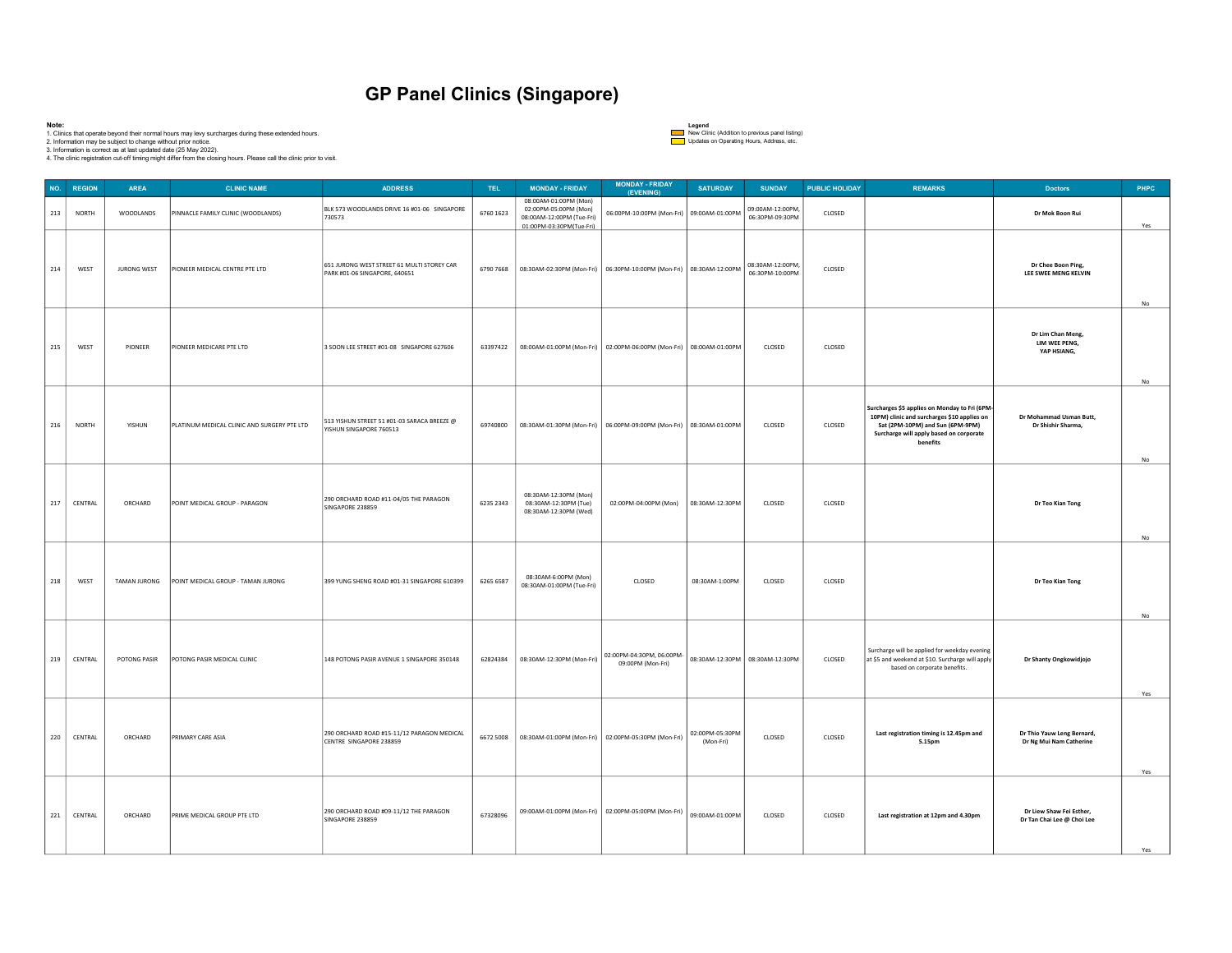| Note: |                                | 2. Information may be subject to change without prior notice.<br>3. Information is correct as at last updated date (25 May 2022). | 1. Clinics that operate beyond their normal hours may levy surcharges during these extended hours.<br>4. The clinic registration cut-off timing might differ from the closing hours. Please call the clinic prior to visit. | <b>GP Panel Clinics (Singapore)</b>                                         |                         |                                                                                                                                   |                                                                                    | Legend<br>Updates on Operating Hours, Address, etc. | New Clinic (Addition to previous panel listing)      |                          |                                                                                                                                                                                         |                                                        |             |
|-------|--------------------------------|-----------------------------------------------------------------------------------------------------------------------------------|-----------------------------------------------------------------------------------------------------------------------------------------------------------------------------------------------------------------------------|-----------------------------------------------------------------------------|-------------------------|-----------------------------------------------------------------------------------------------------------------------------------|------------------------------------------------------------------------------------|-----------------------------------------------------|------------------------------------------------------|--------------------------|-----------------------------------------------------------------------------------------------------------------------------------------------------------------------------------------|--------------------------------------------------------|-------------|
|       |                                |                                                                                                                                   |                                                                                                                                                                                                                             |                                                                             |                         |                                                                                                                                   |                                                                                    |                                                     |                                                      |                          |                                                                                                                                                                                         |                                                        |             |
|       | NO. REGION<br>$213\,$<br>NORTH | <b>AREA</b><br>WOODLANDS                                                                                                          | <b>CLINIC NAME</b><br>PINNACLE FAMILY CLINIC (WOODLANDS)                                                                                                                                                                    | <b>ADDRESS</b><br>BLK 573 WOODLANDS DRIVE 16 #01-06 SINGAPORE<br>730573     | <b>TEL</b><br>6760 1623 | <b>MONDAY - FRIDAY</b><br>08:00AM-01:00PM (Mon)<br>02:00PM-05:00PM (Mon)<br>08:00AM-12:00PM (Tue-Fri)<br>01:00PM-03:30PM(Tue-Fri) | <b>MONDAY - FRIDAY</b><br>(EVENING)<br>06:00PM-10:00PM (Mon-Fri) 09:00AM-01:00PM   | <b>SATURDAY</b>                                     | <b>SUNDAY</b><br>09:00AM-12:00PM,<br>06:30PM-09:30PM | PUBLIC HOLIDAY<br>CLOSED | <b>REMARKS</b>                                                                                                                                                                          | <b>Doctors</b><br>Dr Mok Boon Rui                      | PHPC<br>Yes |
|       | WEST<br>214                    | JURONG WEST                                                                                                                       | PIONEER MEDICAL CENTRE PTE LTD                                                                                                                                                                                              | 651 JURONG WEST STREET 61 MULTI STOREY CAR<br>PARK #01-06 SINGAPORE, 640651 |                         |                                                                                                                                   |                                                                                    |                                                     | 08:30AM-12:00PM,<br>06:30PM-10:00PM                  | CLOSED                   |                                                                                                                                                                                         | Dr Chee Boon Ping,<br>LEE SWEE MENG KELVIN             | No          |
|       | 215<br>WEST                    | PIONEER                                                                                                                           | PIONEER MEDICARE PTE LTD                                                                                                                                                                                                    | 3 SOON LEE STREET #01-08 SINGAPORE 627606                                   |                         |                                                                                                                                   | 63397422   08:00AM-01:00PM (Mon-Fri)   02:00PM-06:00PM (Mon-Fri)   08:00AM-01:00PM |                                                     | CLOSED                                               | CLOSED                   |                                                                                                                                                                                         | Dr Lim Chan Meng,<br>LIM WEE PENG,<br>YAP HSIANG,      |             |
| 216   | NORTH                          | YISHUN                                                                                                                            | PLATINUM MEDICAL CLINIC AND SURGERY PTE LTD                                                                                                                                                                                 | 513 YISHUN STREET 51 #01-03 SARACA BREEZE @<br>YISHUN SINGAPORE 760513      |                         |                                                                                                                                   | 69740800 08:30AM-01:30PM (Mon-Fri) 06:00PM-09:00PM (Mon-Fri) 08:30AM-01:00PM       |                                                     | CLOSED                                               | CLOSED                   | Surcharges \$5 applies on Monday to Fri (6PM-<br>10PM) clinic and surcharges \$10 applies on<br>Sat (2PM-10PM) and Sun (6PM-9PM)<br>Surcharge will apply based on corporate<br>benefits | Dr Mohammad Usman Butt,<br>Dr Shishir Sharma,          | No          |
|       | 217<br>CENTRAL                 | ORCHARD                                                                                                                           | POINT MEDICAL GROUP - PARAGON                                                                                                                                                                                               | 290 ORCHARD ROAD #11-04/05 THE PARAGON<br>SINGAPORE 238859                  | 6235 2343               | 08:30AM-12:30PM (Mon)<br>08:30AM-12:30PM (Tue)<br>08:30AM-12:30PM (Wed)                                                           | 02:00PM-04:00PM (Mon)                                                              | 08:30AM-12:30PM                                     | CLOSED                                               | CLOSED                   |                                                                                                                                                                                         | Dr Teo Kian Tong                                       | No          |
|       | 218<br>WEST                    | TAMAN JURONG                                                                                                                      | POINT MEDICAL GROUP - TAMAN JURONG                                                                                                                                                                                          | 399 YUNG SHENG ROAD #01-31 SINGAPORE 610399                                 | 6265 6587               | 08:30AM-6:00PM (Mon)<br>08:30AM-01:00PM (Tue-Fri)                                                                                 | CLOSED                                                                             | 08:30AM-1:00PM                                      | CLOSED                                               | CLOSED                   |                                                                                                                                                                                         | Dr Teo Kian Tong                                       | No          |
|       | 219<br>CENTRAL                 | POTONG PASIR                                                                                                                      | POTONG PASIR MEDICAL CLINIC                                                                                                                                                                                                 | 148 POTONG PASIR AVENUE 1 SINGAPORE 350148                                  |                         | 62824384   08:30AM-12:30PM (Mon-Fri)                                                                                              | 02:00PM-04:30PM, 06:00PM-<br>09:00PM (Mon-Fri)                                     |                                                     | 08:30AM-12:30PM 08:30AM-12:30PM                      | CLOSED                   | Surcharge will be applied for weekday evening<br>at \$5 and weekend at \$10. Surcharge will apply<br>based on corporate benefits.                                                       | Dr Shanty Ongkowidjojo                                 | No.         |
|       | 220<br>CENTRAL                 | ORCHARD                                                                                                                           | PRIMARY CARE ASIA                                                                                                                                                                                                           | 290 ORCHARD ROAD #15-11/12 PARAGON MEDICAL<br>CENTRE SINGAPORE 238859       |                         |                                                                                                                                   | 6672 5008   08:30AM-01:00PM (Mon-Fri)   02:00PM-05:30PM (Mon-Fri)                  | 02:00PM-05:30PM<br>(Mon-Fri)                        | CLOSED                                               | CLOSED                   | Last registration timing is 12.45pm and<br>5.15pm                                                                                                                                       | Dr Thio Yauw Leng Bernard,<br>Dr Ng Mui Nam Catherine  | Yes<br>Yes  |
|       | 221<br>CENTRAL                 | ORCHARD                                                                                                                           | PRIME MEDICAL GROUP PTE LTD                                                                                                                                                                                                 | 290 ORCHARD ROAD #09-11/12 THE PARAGON<br>SINGAPORE 238859                  | 67328096                |                                                                                                                                   | 09:00AM-01:00PM (Mon-Fri) 02:00PM-05:00PM (Mon-Fri)                                | 09:00AM-01:00PM                                     | CLOSED                                               | CLOSED                   | Last registration at 12pm and 4.30pm                                                                                                                                                    | Dr Liew Shaw Fei Esther,<br>Dr Tan Chai Lee @ Choi Lee | Yes         |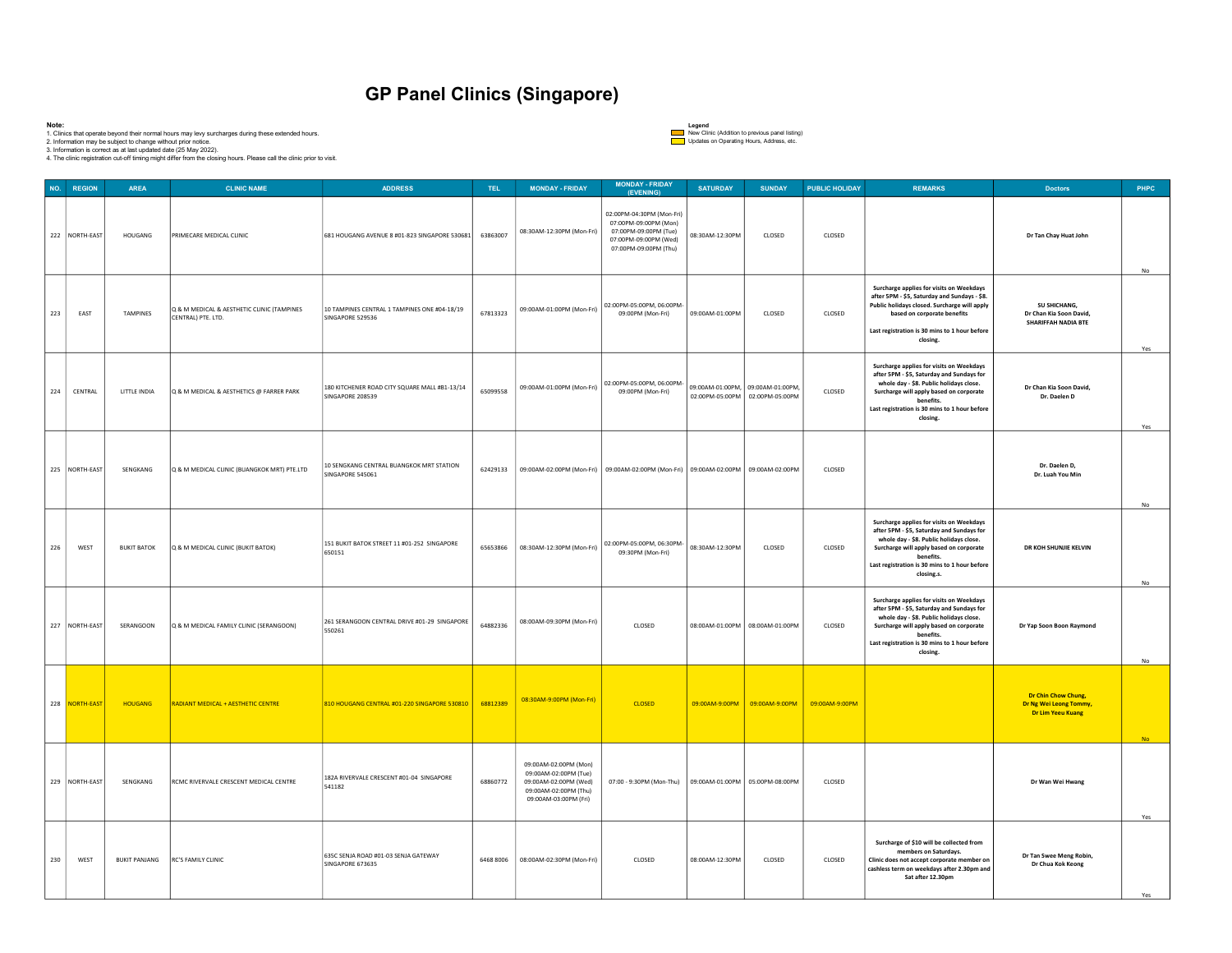| Note:                        |         | 2. Information may be subject to change without prior notice.<br>3. Information is correct as at last updated date (25 May 2022). | 1. Clinics that operate beyond their normal hours may levy surcharges during these extended hours.<br>4. The clinic registration cut-off timing might differ from the closing hours. Please call the clinic prior to visit. | <b>GP Panel Clinics (Singapore)</b>                               |                        |                                                                                                                           | <b>MONDAY - FRIDAY</b>                                                                                                                     | Legend<br>Updates on Operating Hours, Address, etc. | New Clinic (Addition to previous panel listing) |                          |                                                                                                                                                                                                                                                         |                                                                       |            |
|------------------------------|---------|-----------------------------------------------------------------------------------------------------------------------------------|-----------------------------------------------------------------------------------------------------------------------------------------------------------------------------------------------------------------------------|-------------------------------------------------------------------|------------------------|---------------------------------------------------------------------------------------------------------------------------|--------------------------------------------------------------------------------------------------------------------------------------------|-----------------------------------------------------|-------------------------------------------------|--------------------------|---------------------------------------------------------------------------------------------------------------------------------------------------------------------------------------------------------------------------------------------------------|-----------------------------------------------------------------------|------------|
| NO. REGION<br>222 NORTH-EAST |         | AREA<br>HOUGANG                                                                                                                   | <b>CLINIC NAME</b><br>PRIMECARE MEDICAL CLINIC                                                                                                                                                                              | <b>ADDRESS</b><br>681 HOUGANG AVENUE 8 #01-823 SINGAPORE 530681   | <b>TEL</b><br>63863007 | <b>MONDAY - FRIDAY</b><br>08:30AM-12:30PM (Mon-Fri)                                                                       | (EVENING)<br>02:00PM-04:30PM (Mon-Fri)<br>07:00PM-09:00PM (Mon)<br>07:00PM-09:00PM (Tue)<br>07:00PM-09:00PM (Wed)<br>07:00PM-09:00PM (Thu) | <b>SATURDAY</b><br>08:30AM-12:30PM                  | <b>SUNDAY</b><br>CLOSED                         | PUBLIC HOLIDAY<br>CLOSED | <b>REMARKS</b>                                                                                                                                                                                                                                          | <b>Doctors</b><br>Dr Tan Chay Huat John                               | PHPC       |
| 223                          | EAST    | <b>TAMPINES</b>                                                                                                                   | Q & M MEDICAL & AESTHETIC CLINIC (TAMPINES<br>CENTRAL) PTE. LTD.                                                                                                                                                            | 10 TAMPINES CENTRAL 1 TAMPINES ONE #04-18/19<br>SINGAPORE 529536  | 67813323               | 09:00AM-01:00PM (Mon-Fri)                                                                                                 | 02:00PM-05:00PM, 06:00PM-<br>09:00PM (Mon-Fri)                                                                                             | 09:00AM-01:00PM                                     | CLOSED                                          | CLOSED                   | Surcharge applies for visits on Weekdays<br>after 5PM - \$5, Saturday and Sundays - \$8.<br>Public holidays closed. Surcharge will apply<br>based on corporate benefits<br>Last registration is 30 mins to 1 hour before<br>closing.                    | <b>SU SHICHANG,</b><br>Dr Chan Kia Soon David,<br>SHARIFFAH NADIA BTE | No<br>Yes  |
| 224                          | CENTRAL | LITTLE INDIA                                                                                                                      | Q & M MEDICAL & AESTHETICS @ FARRER PARK                                                                                                                                                                                    | 180 KITCHENER ROAD CITY SQUARE MALL #B1-13/14<br>SINGAPORE 208539 | 65099558               | 09:00AM-01:00PM (Mon-Fri)                                                                                                 | 02:00PM-05:00PM, 06:00PM-<br>09:00PM (Mon-Fri)                                                                                             | 02:00PM-05:00PM 02:00PM-05:00PM                     | 09:00AM-01:00PM, 09:00AM-01:00PM,               | CLOSED                   | Surcharge applies for visits on Weekdays<br>after 5PM - \$5, Saturday and Sundays for<br>whole day - \$8. Public holidays close.<br>Surcharge will apply based on corporate<br>benefits.<br>Last registration is 30 mins to 1 hour before<br>closing.   | Dr Chan Kia Soon David,<br>Dr. Daelen D                               | Yes        |
| 225 NORTH-EAST               |         | SENGKANG                                                                                                                          | Q & M MEDICAL CLINIC (BUANGKOK MRT) PTE.LTD                                                                                                                                                                                 | 10 SENGKANG CENTRAL BUANGKOK MRT STATION<br>SINGAPORE 545061      |                        | 62429133 09:00AM-02:00PM (Mon-Fri) 09:00AM-02:00PM (Mon-Fri) 09:00AM-02:00PM 09:00AM-02:00PM                              |                                                                                                                                            |                                                     |                                                 | CLOSED                   |                                                                                                                                                                                                                                                         | Dr. Daelen D,<br>Dr. Luah You Min                                     | No         |
| 226                          | WEST    | <b>BUKIT BATOK</b>                                                                                                                | Q & M MEDICAL CLINIC (BUKIT BATOK)                                                                                                                                                                                          | 151 BUKIT BATOK STREET 11 #01-252 SINGAPORE<br>650151             | 65653866               | 08:30AM-12:30PM (Mon-Fri)                                                                                                 | 02:00PM-05:00PM, 06:30PM-<br>09:30PM (Mon-Fri)                                                                                             | 08:30AM-12:30PM                                     | CLOSED                                          | CLOSED                   | Surcharge applies for visits on Weekdays<br>after 5PM - \$5, Saturday and Sundays for<br>whole day - \$8. Public holidays close.<br>Surcharge will apply based on corporate<br>benefits.<br>Last registration is 30 mins to 1 hour before<br>closing.s. | DR KOH SHUNJIE KELVIN                                                 |            |
| 227   NORTH-EAST             |         | SERANGOON                                                                                                                         | Q & M MEDICAL FAMILY CLINIC (SERANGOON)                                                                                                                                                                                     | 261 SERANGOON CENTRAL DRIVE #01-29 SINGAPORE<br>550261            | 64882336               | 08:00AM-09:30PM (Mon-Fri)                                                                                                 | CLOSED                                                                                                                                     | 08:00AM-01:00PM 08:00AM-01:00PM                     |                                                 | CLOSED                   | Surcharge applies for visits on Weekdays<br>after 5PM - \$5, Saturday and Sundays for<br>whole day - \$8. Public holidays close.<br>Surcharge will apply based on corporate<br>benefits.<br>Last registration is 30 mins to 1 hour before<br>closing.   | Dr Yap Soon Boon Raymond                                              | No.<br>No  |
| 228 NORTH-EAST               |         | <b>HOUGANG</b>                                                                                                                    | <b>RADIANT MEDICAL + AESTHETIC CENTRE</b>                                                                                                                                                                                   | 810 HOUGANG CENTRAL #01-220 SINGAPORE 530810                      | 68812389               | 08:30AM-9:00PM (Mon-Fri)                                                                                                  | <b>CLOSED</b>                                                                                                                              |                                                     | 09:00AM-9:00PM 09:00AM-9:00PM                   | 09:00AM-9:00PM           |                                                                                                                                                                                                                                                         | Dr Chin Chow Chung,<br>Dr Ng Wei Leong Tommy,<br>Dr Lim Yeeu Kuang    | No         |
| 229   NORTH-EAST             |         | SENGKANG                                                                                                                          | RCMC RIVERVALE CRESCENT MEDICAL CENTRE                                                                                                                                                                                      | 182A RIVERVALE CRESCENT #01-04 SINGAPORE<br>541182                | 68860772               | 09:00AM-02:00PM (Mon)<br>09:00AM-02:00PM (Tue)<br>09:00AM-02:00PM (Wed)<br>09:00AM-02:00PM (Thu)<br>09:00AM-03:00PM (Fri) | 07:00 - 9:30PM (Mon-Thu)                                                                                                                   | 09:00AM-01:00PM 05:00PM-08:00PM                     |                                                 | CLOSED                   |                                                                                                                                                                                                                                                         | Dr Wan Wei Hwang                                                      |            |
| 230                          | WEST    | <b>BUKIT PANJANG</b>                                                                                                              | RC'S FAMILY CLINIC                                                                                                                                                                                                          | 635C SENJA ROAD #01-03 SENJA GATEWAY<br>SINGAPORE 673635          | 6468 8006              | 08:00AM-02:30PM (Mon-Fri)                                                                                                 | CLOSED                                                                                                                                     | 08:00AM-12:30PM                                     | CLOSED                                          | CLOSED                   | Surcharge of \$10 will be collected from<br>members on Saturdays.<br>Clinic does not accept corporate member on<br>cashless term on weekdays after 2.30pm and<br>Sat after 12.30pm                                                                      | Dr Tan Swee Meng Robin,<br>Dr Chua Kok Keong                          | Yes<br>Yes |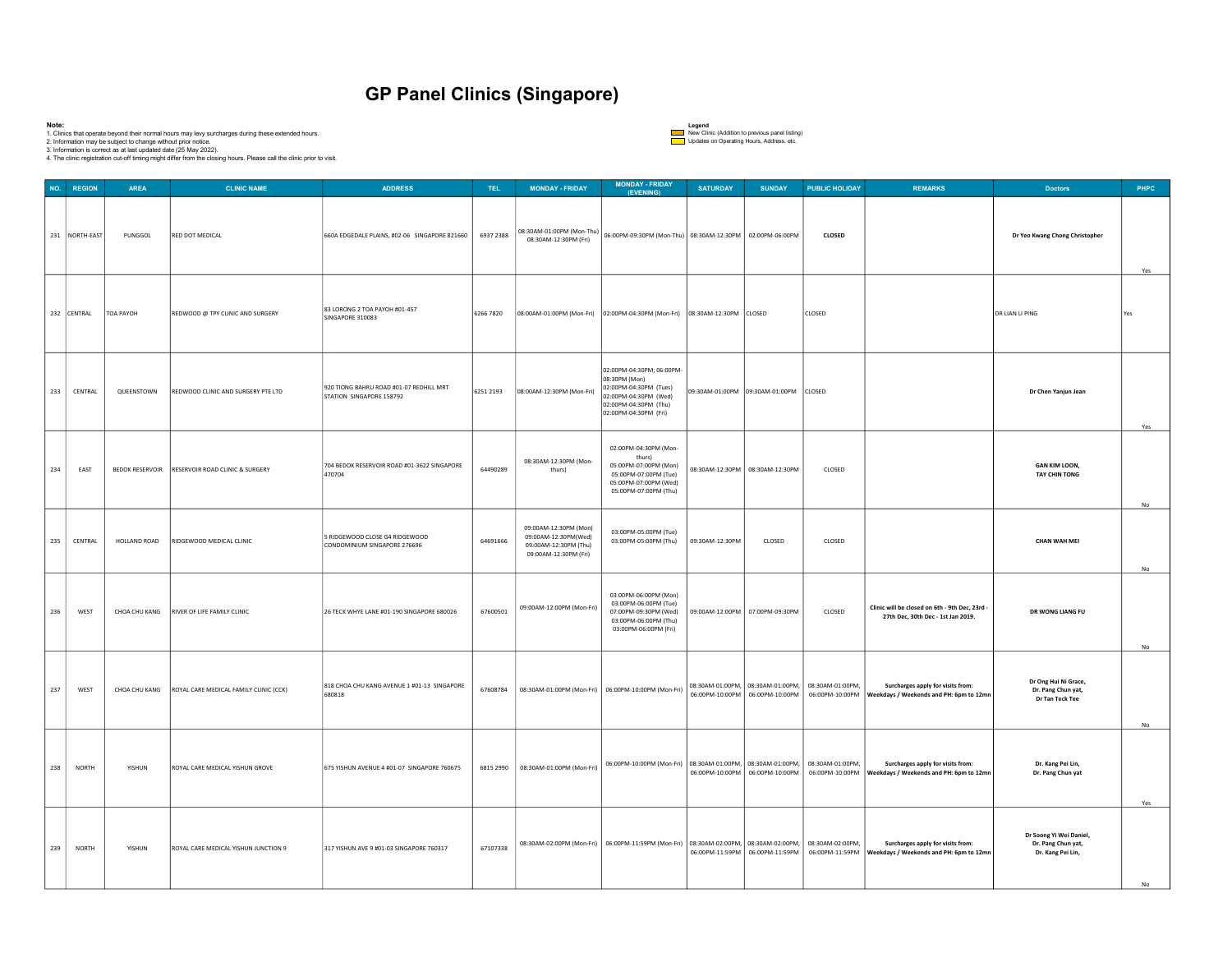| Note:<br>NO. REGION | 2. Information may be subject to change without prior notice.<br>3. Information is correct as at last updated date (25 May 2022).<br><b>AREA</b> | 1. Clinics that operate beyond their normal hours may levy surcharges during these extended hours.<br>4. The clinic registration cut-off timing might differ from the closing hours. Please call the clinic prior to visit.<br><b>CLINIC NAME</b> | <b>GP Panel Clinics (Singapore)</b><br><b>ADDRESS</b>               | TEL.      | <b>MONDAY - FRIDAY</b>                                                                          | <b>MONDAY - FRIDAY</b><br>(EVENING)                                                                                                            | Legend<br>Updates on Operating Hours, Address, etc.<br><b>SATURDAY</b> | New Clinic (Addition to previous panel listing)<br><b>SUNDAY</b>                      | PUBLIC HOLIDAY | <b>REMARKS</b>                                                                                                                     | <b>Doctors</b>                                                     | PHPC  |
|---------------------|--------------------------------------------------------------------------------------------------------------------------------------------------|---------------------------------------------------------------------------------------------------------------------------------------------------------------------------------------------------------------------------------------------------|---------------------------------------------------------------------|-----------|-------------------------------------------------------------------------------------------------|------------------------------------------------------------------------------------------------------------------------------------------------|------------------------------------------------------------------------|---------------------------------------------------------------------------------------|----------------|------------------------------------------------------------------------------------------------------------------------------------|--------------------------------------------------------------------|-------|
| 231 NORTH-EAST      | PUNGGOL                                                                                                                                          | RED DOT MEDICAL                                                                                                                                                                                                                                   | 660A EDGEDALE PLAINS, #02-06 SINGAPORE 821660                       | 69372388  | 08:30AM-01:00PM (Mon-Thu)<br>08:30AM-12:30PM (Fri)                                              | 06:00PM-09:30PM (Mon-Thu) 08:30AM-12:30PM 02:00PM-06:00PM                                                                                      |                                                                        |                                                                                       | CLOSED         |                                                                                                                                    | Dr Yeo Kwang Chong Christopher                                     | Yes   |
| 232 CENTRAL         | TOA PAYOH                                                                                                                                        | REDWOOD @ TPY CLINIC AND SURGERY                                                                                                                                                                                                                  | 83 LORONG 2 TOA PAYOH #01-457<br>SINGAPORE 310083                   | 6266 7820 |                                                                                                 | 08:00AM-01:00PM (Mon-Fri) 02:00PM-04:30PM (Mon-Fri) 08:30AM-12:30PM CLOSED                                                                     |                                                                        |                                                                                       | CLOSED         |                                                                                                                                    | DR LIAN LI PING                                                    | Yes   |
| 233<br>CENTRAL      | QUEENSTOWN                                                                                                                                       | REDWOOD CLINIC AND SURGERY PTE LTD                                                                                                                                                                                                                | 920 TIONG BAHRU ROAD #01-07 REDHILL MRT<br>STATION SINGAPORE 158792 | 6251 2193 | 08:00AM-12:30PM (Mon-Fri)                                                                       | 02:00PM-04:30PM; 06:00PM-<br>08:30PM (Mon)<br>2:00PM-04:30PM (Tues)<br>02:00PM-04:30PM (Wed)<br>02:00PM-04:30PM (Thu)<br>02:00PM-04:30PM (Fri) |                                                                        | 09:30AM-01:00PM 09:30AM-01:00PM CLOSED                                                |                |                                                                                                                                    | Dr Chen Yanjun Jean                                                | Yes   |
| 234<br>EAST         | <b>BEDOK RESERVOIR</b>                                                                                                                           | RESERVOIR ROAD CLINIC & SURGERY                                                                                                                                                                                                                   | 704 BEDOK RESERVOIR ROAD #01-3622 SINGAPORE<br>470704               | 64490289  | 08:30AM-12:30PM (Mon-<br>thurs)                                                                 | 02:00PM-04:30PM (Mon-<br>thurs)<br>05:00PM-07:00PM (Mon)<br>05:00PM-07:00PM (Tue)<br>05:00PM-07:00PM (Wed)<br>05:00PM-07:00PM (Thu)            |                                                                        | 08:30AM-12:30PM 08:30AM-12:30PM                                                       | CLOSED         |                                                                                                                                    | <b>GAN KIM LOON,</b><br>TAY CHIN TONG                              | No.   |
| 235<br>CENTRAL      | HOLLAND ROAD                                                                                                                                     | RIDGEWOOD MEDICAL CLINIC                                                                                                                                                                                                                          | 5 RIDGEWOOD CLOSE G4 RIDGEWOOD<br>CONDOMINIUM SINGAPORE 276696      | 64691666  | 09:00AM-12:30PM (Mon)<br>09:00AM-12:30PM(Wed)<br>09:00AM-12:30PM (Thu)<br>09:00AM-12:30PM (Fri) | 03:00PM-05:00PM (Tue)<br>03:00PM-05:00PM (Thu)                                                                                                 | 09:30AM-12:30PM                                                        | CLOSED                                                                                | CLOSED         |                                                                                                                                    | <b>CHAN WAH MEI</b>                                                | No.   |
| WEST<br>236         | CHOA CHU KANG                                                                                                                                    | RIVER OF LIFE FAMILY CLINIC                                                                                                                                                                                                                       | 26 TECK WHYE LANE #01-190 SINGAPORE 680026                          | 67600501  | 09:00AM-12:00PM (Mon-Fri)                                                                       | 03:00PM-06:00PM (Mon)<br>03:00PM-06:00PM (Tue)<br>07:00PM-09:30PM (Wed)<br>03:00PM-06:00PM (Thu)<br>03:00PM-06:00PM (Fri)                      | 09:00AM-12:00PM 07:00PM-09:30PM                                        |                                                                                       | CLOSED         | Clinic will be closed on 6th - 9th Dec, 23rd -<br>27th Dec, 30th Dec - 1st Jan 2019.                                               | DR WONG LIANG FU                                                   | No    |
| 237<br>WEST         | CHOA CHU KANG                                                                                                                                    | ROYAL CARE MEDICAL FAMILY CLINIC (CCK)                                                                                                                                                                                                            | 818 CHOA CHU KANG AVENUE 1 #01-13 SINGAPORE<br>680818               | 67608784  |                                                                                                 | 08:30AM-01:00PM (Mon-Fri) 06:00PM-10:00PM (Mon-Fri)                                                                                            |                                                                        | 08:30AM-01:00PM, 08:30AM-01:00PM, 08:30AM-01:00PM,<br>06:00PM-10:00PM 06:00PM-10:00PM |                | Surcharges apply for visits from:<br>06:00PM-10:00PM   Weekdays / Weekends and PH: 6pm to 12mn                                     | Dr Ong Hui Ni Grace,<br>Dr. Pang Chun yat,<br>Dr Tan Teck Tee      | No    |
| 238<br><b>NORTH</b> | YISHUN                                                                                                                                           | ROYAL CARE MEDICAL YISHUN GROVE                                                                                                                                                                                                                   | 675 YISHUN AVENUE 4 #01-07 SINGAPORE 760675                         |           | 6815 2990   08:30AM-01:00PM (Mon-Fri)                                                           | 06:00PM-10:00PM (Mon-Fri) 08:30AM-01:00PM, 08:30AM-01:00PM, 08:30AM-01:00PM,                                                                   |                                                                        |                                                                                       |                | Surcharges apply for visits from:<br>06:00PM-10:00PM   06:00PM-10:00PM   06:00PM-10:00PM   Weekdays / Weekends and PH: 6pm to 12mn | Dr. Kang Pei Lin,<br>Dr. Pang Chun yat                             | $Yes$ |
| 239<br><b>NORTH</b> | YISHUN                                                                                                                                           | ROYAL CARE MEDICAL YISHUN JUNCTION 9                                                                                                                                                                                                              | 317 YISHUN AVE 9 #01-03 SINGAPORE 760317                            | 67107338  |                                                                                                 | 08:30AM-02:00PM (Mon-Fri)   06:00PM-11:59PM (Mon-Fri)   08:30AM-02:00PM,   08:30AM-02:00PM,   08:30AM-02:00PM,                                 |                                                                        | 06:00PM-11:59PM 06:00PM-11:59PM                                                       |                | Surcharges apply for visits from:<br>06:00PM-11:59PM   Weekdays / Weekends and PH: 6pm to 12mn                                     | Dr Soong Yi Wei Daniel,<br>Dr. Pang Chun yat,<br>Dr. Kang Pei Lin, | No    |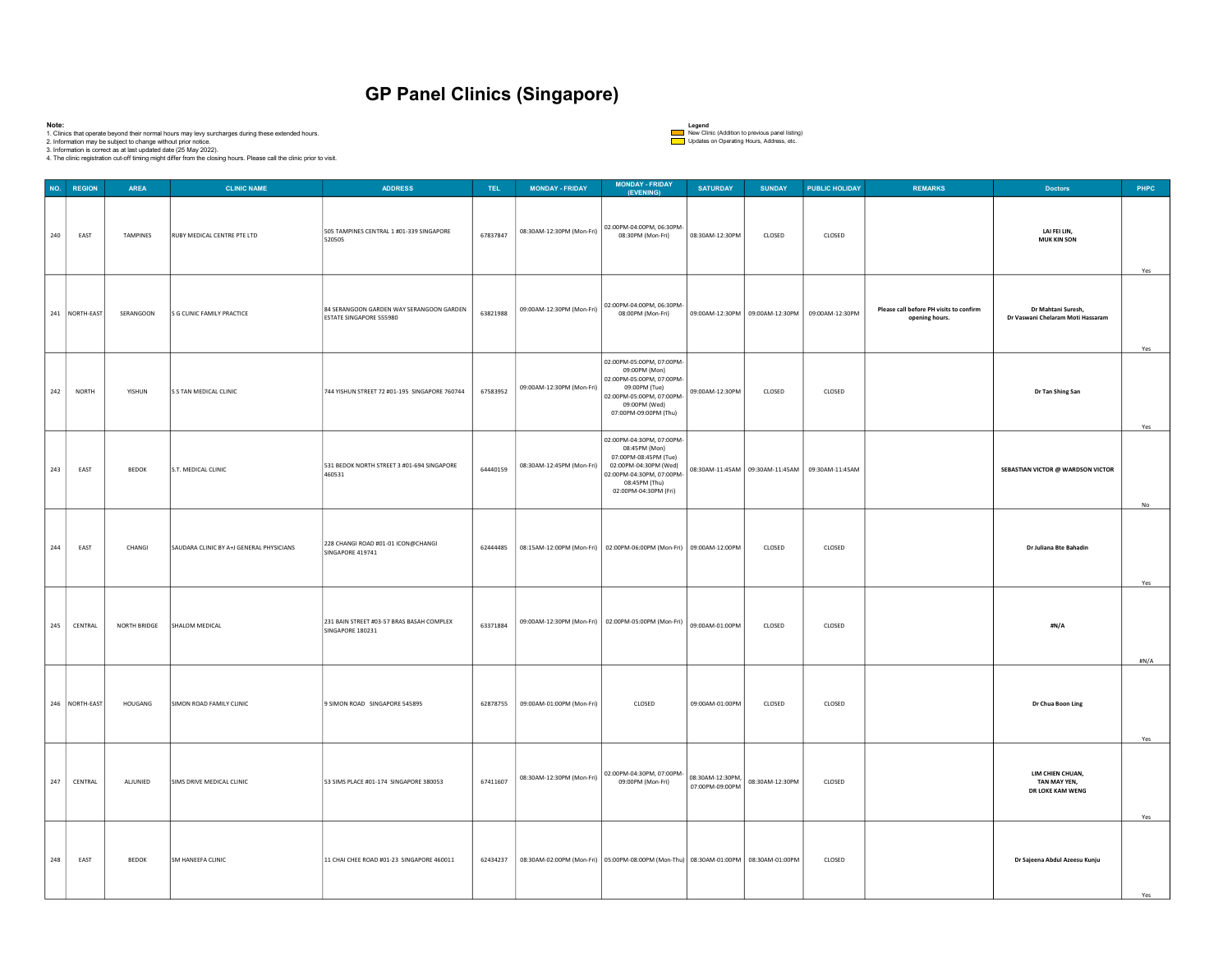| Note: |                  | 2. Information may be subject to change without prior notice.<br>3. Information is correct as at last updated date (25 May 2022). | 1. Clinics that operate beyond their normal hours may levy surcharges during these extended hours.<br>4. The clinic registration cut-off timing might differ from the closing hours. Please call the clinic prior to visit. | <b>GP Panel Clinics (Singapore)</b>                                 |          |                           |                                                                                                                                                                     | Legend<br>Updates on Operating Hours, Address, etc. | New Clinic (Addition to previous panel listing) |                |                                                           |                                                         |      |
|-------|------------------|-----------------------------------------------------------------------------------------------------------------------------------|-----------------------------------------------------------------------------------------------------------------------------------------------------------------------------------------------------------------------------|---------------------------------------------------------------------|----------|---------------------------|---------------------------------------------------------------------------------------------------------------------------------------------------------------------|-----------------------------------------------------|-------------------------------------------------|----------------|-----------------------------------------------------------|---------------------------------------------------------|------|
|       | NO. REGION       | AREA                                                                                                                              | <b>CLINIC NAME</b>                                                                                                                                                                                                          | <b>ADDRESS</b>                                                      | TEL.     | <b>MONDAY - FRIDAY</b>    | <b>MONDAY - FRIDAY</b><br>(EVENING)                                                                                                                                 | <b>SATURDAY</b>                                     | <b>SUNDAY</b>                                   | PUBLIC HOLIDAY | <b>REMARKS</b>                                            | <b>Doctors</b>                                          | PHPC |
| 240   | EAST             | TAMPINES                                                                                                                          | RUBY MEDICAL CENTRE PTE LTD                                                                                                                                                                                                 | 505 TAMPINES CENTRAL 1 #01-339 SINGAPORE<br>520505                  | 67837847 | 08:30AM-12:30PM (Mon-Fri) | 02:00PM-04:00PM, 06:30PM-<br>08:30PM (Mon-Fri)                                                                                                                      | 08:30AM-12:30PM                                     | CLOSED                                          | CLOSED         |                                                           | LAI FEI LIN,<br><b>MUK KIN SON</b>                      | Yes  |
|       | 241   NORTH-EAST | SERANGOON                                                                                                                         | S G CLINIC FAMILY PRACTICE                                                                                                                                                                                                  | 84 SERANGOON GARDEN WAY SERANGOON GARDEN<br>ESTATE SINGAPORE 555980 | 63821988 | 09:00AM-12:30PM (Mon-Fri) | 02:00PM-04:00PM, 06:30PM-<br>08:00PM (Mon-Fri)                                                                                                                      |                                                     | 09:00AM-12:30PM 09:00AM-12:30PM 09:00AM-12:30PM |                | Please call before PH visits to confirm<br>opening hours. | Dr Mahtani Suresh,<br>Dr Vaswani Chelaram Moti Hassaram | Yes  |
| 242   | NORTH            | YISHUN                                                                                                                            | S S TAN MEDICAL CLINIC                                                                                                                                                                                                      | 744 YISHUN STREET 72 #01-195 SINGAPORE 760744                       | 67583952 | 09:00AM-12:30PM (Mon-Fri) | 02:00PM-05:00PM, 07:00PM-<br>09:00PM (Mon)<br>02:00PM-05:00PM, 07:00PM-<br>09:00PM (Tue)<br>02:00PM-05:00PM, 07:00PM-<br>09:00PM (Wed)<br>07:00PM-09:00PM (Thu)     | 09:00AM-12:30PM                                     | CLOSED                                          | CLOSED         |                                                           | Dr Tan Shing San                                        | Yes  |
| 243   | EAST             | BEDOK                                                                                                                             | S.T. MEDICAL CLINIC                                                                                                                                                                                                         | 531 BEDOK NORTH STREET 3 #01-694 SINGAPORE<br>460531                | 64440159 | 08:30AM-12:45PM (Mon-Fri) | 02:00PM-04:30PM, 07:00PM-<br>08:45PM (Mon)<br>07:00PM-08:45PM (Tue)<br>02:00PM-04:30PM (Wed)<br>02:00PM-04:30PM, 07:00PM-<br>08:45PM (Thu)<br>02:00PM-04:30PM (Fri) |                                                     | 08:30AM-11:45AM 09:30AM-11:45AM 09:30AM-11:45AM |                |                                                           | SEBASTIAN VICTOR @ WARDSON VICTOR                       | No   |
| 244   | EAST             | CHANGI                                                                                                                            | SAUDARA CLINIC BY A+J GENERAL PHYSICIANS                                                                                                                                                                                    | 228 CHANGI ROAD #01-01 ICON@CHANGI<br>SINGAPORE 419741              |          |                           | 62444485   08:15AM-12:00PM (Mon-Fri)   02:00PM-06:00PM (Mon-Fri)   09:00AM-12:00PM                                                                                  |                                                     | CLOSED                                          | CLOSED         |                                                           | Dr Juliana Bte Bahadin                                  | Yes  |
| 245   | CENTRAL          | NORTH BRIDGE                                                                                                                      | SHALOM MEDICAL                                                                                                                                                                                                              | 231 BAIN STREET #03-57 BRAS BASAH COMPLEX<br>SINGAPORE 180231       | 63371884 |                           | 09:00AM-12:30PM (Mon-Fri) 02:00PM-05:00PM (Mon-Fri)                                                                                                                 | 09:00AM-01:00PM                                     | CLOSED                                          | CLOSED         |                                                           | #N/A                                                    | #N/A |
|       | 246 NORTH-EAST   | HOUGANG                                                                                                                           | SIMON ROAD FAMILY CLINIC                                                                                                                                                                                                    | 9 SIMON ROAD SINGAPORE 545895                                       | 62878755 | 09:00AM-01:00PM (Mon-Fri) | CLOSED                                                                                                                                                              | 09:00AM-01:00PM                                     | CLOSED                                          | CLOSED         |                                                           | Dr Chua Boon Ling                                       | Yes  |
| 247   | CENTRAL          | ALJUNIED                                                                                                                          | SIMS DRIVE MEDICAL CLINIC                                                                                                                                                                                                   | 53 SIMS PLACE #01-174 SINGAPORE 380053                              | 67411607 | 08:30AM-12:30PM (Mon-Fri) | 02:00PM-04:30PM, 07:00PM-<br>09:00PM (Mon-Fri)                                                                                                                      | 08:30AM-12:30PM,<br>07:00PM-09:00PM                 | 08:30AM-12:30PM                                 | CLOSED         |                                                           | LIM CHIEN CHUAN,<br>TAN MAY YEN,<br>DR LOKE KAM WENG    | Yes  |
| 248   | EAST             | <b>BEDOK</b>                                                                                                                      | SM HANEEFA CLINIC                                                                                                                                                                                                           | 11 CHAI CHEE ROAD #01-23 SINGAPORE 460011                           |          |                           | 62434237   08:30AM-02:00PM (Mon-Fri)   05:00PM-08:00PM (Mon-Thu)   08:30AM-01:00PM   08:30AM-01:00PM                                                                |                                                     |                                                 | CLOSED         |                                                           | Dr Sajeena Abdul Azeesu Kunju                           |      |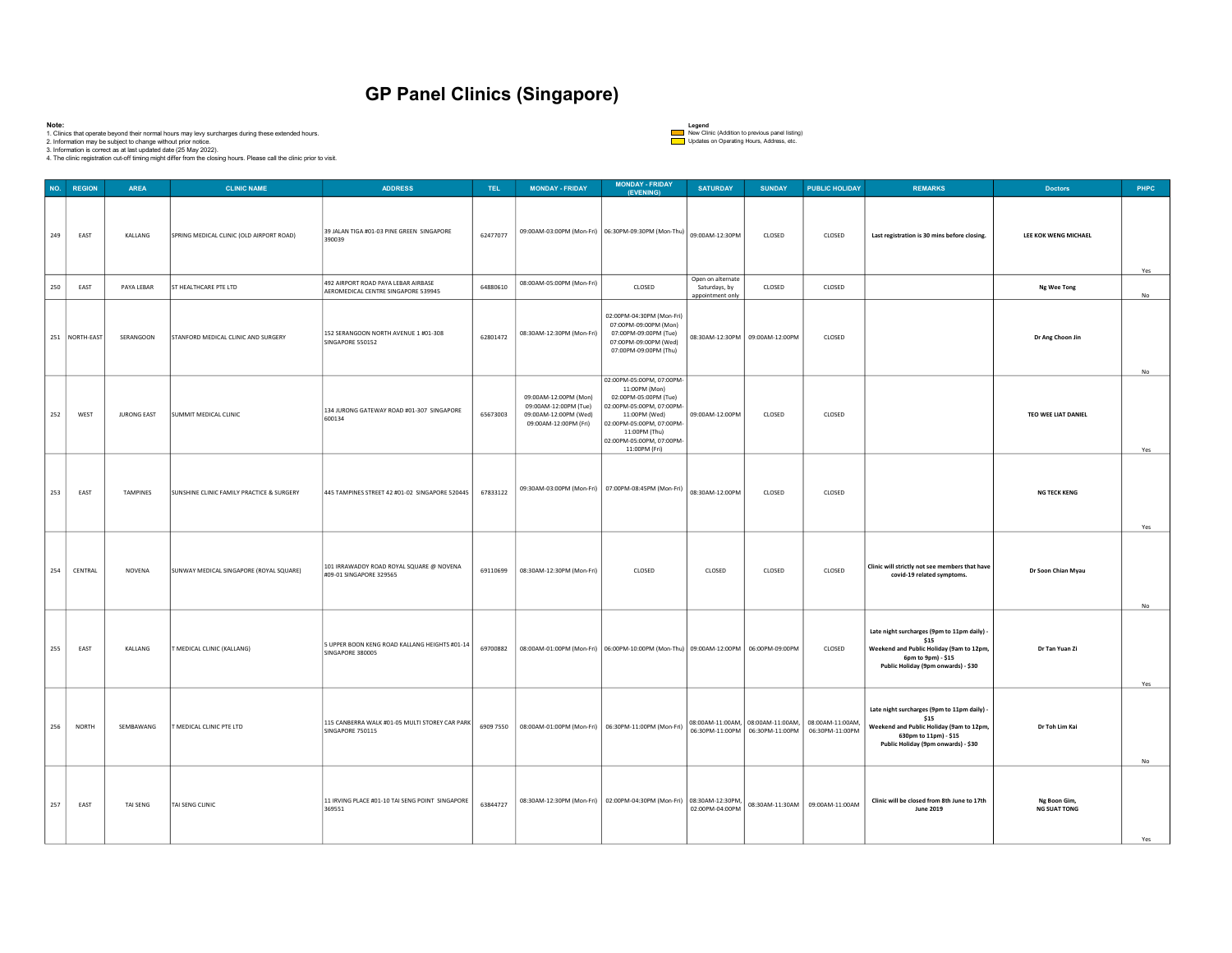|       |                |                                                                  |                                                                                                                       | <b>GP Panel Clinics (Singapore)</b>                                        |            |                                                                                                  |                                                                                                                                                                                                               |                                                        |                                                 |                                                                                                       |                                                                                                                                                                 |                                     |           |
|-------|----------------|------------------------------------------------------------------|-----------------------------------------------------------------------------------------------------------------------|----------------------------------------------------------------------------|------------|--------------------------------------------------------------------------------------------------|---------------------------------------------------------------------------------------------------------------------------------------------------------------------------------------------------------------|--------------------------------------------------------|-------------------------------------------------|-------------------------------------------------------------------------------------------------------|-----------------------------------------------------------------------------------------------------------------------------------------------------------------|-------------------------------------|-----------|
| Note: |                | 2. Information may be subject to change without prior notice.    | 1. Clinics that operate beyond their normal hours may levy surcharges during these extended hours.                    |                                                                            |            |                                                                                                  |                                                                                                                                                                                                               | Legend<br>Updates on Operating Hours, Address, etc.    | New Clinic (Addition to previous panel listing) |                                                                                                       |                                                                                                                                                                 |                                     |           |
|       |                | 3. Information is correct as at last updated date (25 May 2022). | 4. The clinic registration cut-off timing might differ from the closing hours. Please call the clinic prior to visit. |                                                                            |            |                                                                                                  |                                                                                                                                                                                                               |                                                        |                                                 |                                                                                                       |                                                                                                                                                                 |                                     |           |
|       | NO. REGION     | <b>AREA</b>                                                      | <b>CLINIC NAME</b>                                                                                                    | <b>ADDRESS</b>                                                             | <b>TEL</b> | <b>MONDAY - FRIDAY</b>                                                                           | <b>MONDAY - FRIDAY</b><br>(EVENING)                                                                                                                                                                           | <b>SATURDAY</b>                                        | <b>SUNDAY</b>                                   | PUBLIC HOLIDAY                                                                                        | <b>REMARKS</b>                                                                                                                                                  | <b>Doctors</b>                      | PHPC      |
| 249   | EAST           | KALLANG                                                          | SPRING MEDICAL CLINIC (OLD AIRPORT ROAD)                                                                              | 39 JALAN TIGA #01-03 PINE GREEN SINGAPORE<br>390039                        | 62477077   |                                                                                                  | 09:00AM-03:00PM (Mon-Fri) 06:30PM-09:30PM (Mon-Thu) 09:00AM-12:30PM                                                                                                                                           |                                                        | CLOSED                                          | CLOSED                                                                                                | Last registration is 30 mins before closing.                                                                                                                    | LEE KOK WENG MICHAEL                |           |
| 250   | EAST           | PAYA LEBAR                                                       | ST HEALTHCARE PTE LTD                                                                                                 | 492 AIRPORT ROAD PAYA LEBAR AIRBASE<br>AEROMEDICAL CENTRE SINGAPORE 539945 | 64880610   | 08:00AM-05:00PM (Mon-Fri)                                                                        | CLOSED                                                                                                                                                                                                        | Open on alternate<br>Saturdays, by<br>appointment only | CLOSED                                          | CLOSED                                                                                                |                                                                                                                                                                 | <b>Ng Wee Tong</b>                  | Yes<br>No |
|       | 251 NORTH-EAST | SERANGOON                                                        | STANFORD MEDICAL CLINIC AND SURGERY                                                                                   | 152 SERANGOON NORTH AVENUE 1 #01-308<br>SINGAPORE 550152                   | 62801472   | 08:30AM-12:30PM (Mon-Fri)                                                                        | 02:00PM-04:30PM (Mon-Fri)<br>07:00PM-09:00PM (Mon)<br>07:00PM-09:00PM (Tue)<br>07:00PM-09:00PM (Wed)<br>07:00PM-09:00PM (Thu)                                                                                 |                                                        | 08:30AM-12:30PM 09:00AM-12:00PM                 | CLOSED                                                                                                |                                                                                                                                                                 | Dr Ang Choon Jin                    |           |
| 252   | WEST           | <b>JURONG EAST</b>                                               | SUMMIT MEDICAL CLINIC                                                                                                 | 134 JURONG GATEWAY ROAD #01-307 SINGAPORE<br>600134                        | 65673003   | 09:00AM-12:00PM (Mon)<br>09:00AM-12:00PM (Tue)<br>09:00AM-12:00PM (Wed)<br>09:00AM-12:00PM (Fri) | 02:00PM-05:00PM, 07:00PM-<br>11:00PM (Mon)<br>02:00PM-05:00PM (Tue)<br>02:00PM-05:00PM, 07:00PM-<br>11:00PM (Wed)<br>02:00PM-05:00PM, 07:00PM-<br>11:00PM (Thu)<br>02:00PM-05:00PM, 07:00PM-<br>11:00PM (Fri) | 09:00AM-12:00PM                                        | CLOSED                                          | CLOSED                                                                                                |                                                                                                                                                                 | TEO WEE LIAT DANIEL                 | No<br>Yes |
| 253   | EAST           | TAMPINES                                                         | SUNSHINE CLINIC FAMILY PRACTICE & SURGERY                                                                             | 445 TAMPINES STREET 42 #01-02 SINGAPORE 520445   67833122                  |            |                                                                                                  | 09:30AM-03:00PM (Mon-Fri)   07:00PM-08:45PM (Mon-Fri)                                                                                                                                                         | 08:30AM-12:00PM                                        | CLOSED                                          | CLOSED                                                                                                |                                                                                                                                                                 | NG TECK KENG                        |           |
| 254   | CENTRAL        | NOVENA                                                           | SUNWAY MEDICAL SINGAPORE (ROYAL SQUARE)                                                                               | 101 IRRAWADDY ROAD ROYAL SQUARE @ NOVENA<br>#09-01 SINGAPORE 329565        | 69110699   | 08:30AM-12:30PM (Mon-Fri)                                                                        | CLOSED                                                                                                                                                                                                        | CLOSED                                                 | CLOSED                                          | CLOSED                                                                                                | Clinic will strictly not see members that have<br>covid-19 related symptoms.                                                                                    | Dr Soon Chian Myau                  | Yes<br>No |
| 255   | EAST           | KALLANG                                                          | T MEDICAL CLINIC (KALLANG)                                                                                            | 5 UPPER BOON KENG ROAD KALLANG HEIGHTS #01-14<br>SINGAPORE 380005          |            |                                                                                                  | 69700882   08:00AM-01:00PM (Mon-Fri)   06:00PM-10:00PM (Mon-Thu)   09:00AM-12:00PM   06:00PM-09:00PM                                                                                                          |                                                        |                                                 | CLOSED                                                                                                | Late night surcharges (9pm to 11pm daily) -<br>\$15<br>Weekend and Public Holiday (9am to 12pm,<br>6pm to 9pm) - \$15<br>Public Holiday (9pm onwards) - \$30    | Dr Tan Yuan Zi                      | Yes       |
| 256   | <b>NORTH</b>   | SEMBAWANG                                                        | T MEDICAL CLINIC PTE LTD                                                                                              | 115 CANBERRA WALK #01-05 MULTI STOREY CAR PARK<br>SINGAPORE 750115         |            |                                                                                                  | 6909 7550 08:00AM-01:00PM (Mon-Fri) 06:30PM-11:00PM (Mon-Fri)                                                                                                                                                 |                                                        |                                                 | 08:00AM-11:00AM, 08:00AM-11:00AM, 08:00AM-11:00AM,<br>06:30PM-11:00PM 06:30PM-11:00PM 06:30PM-11:00PM | Late night surcharges (9pm to 11pm daily) -<br>\$15<br>Weekend and Public Holiday (9am to 12pm,<br>630pm to 11pm) - \$15<br>Public Holiday (9pm onwards) - \$30 | Dr Toh Lim Kai                      | No        |
| 257   | EAST           | TAI SENG                                                         | TAI SENG CLINIC                                                                                                       | 11 IRVING PLACE #01-10 TAI SENG POINT SINGAPORE<br>369551                  | 63844727   |                                                                                                  | 08:30AM-12:30PM (Mon-Fri) 02:00PM-04:30PM (Mon-Fri) 08:30AM-12:30PM, 08:30AM-11:30AM 09:00AM-11:00AM                                                                                                          |                                                        |                                                 |                                                                                                       | Clinic will be closed from 8th June to 17th<br><b>June 2019</b>                                                                                                 | Ng Boon Gim,<br><b>NG SUAT TONG</b> | Yes       |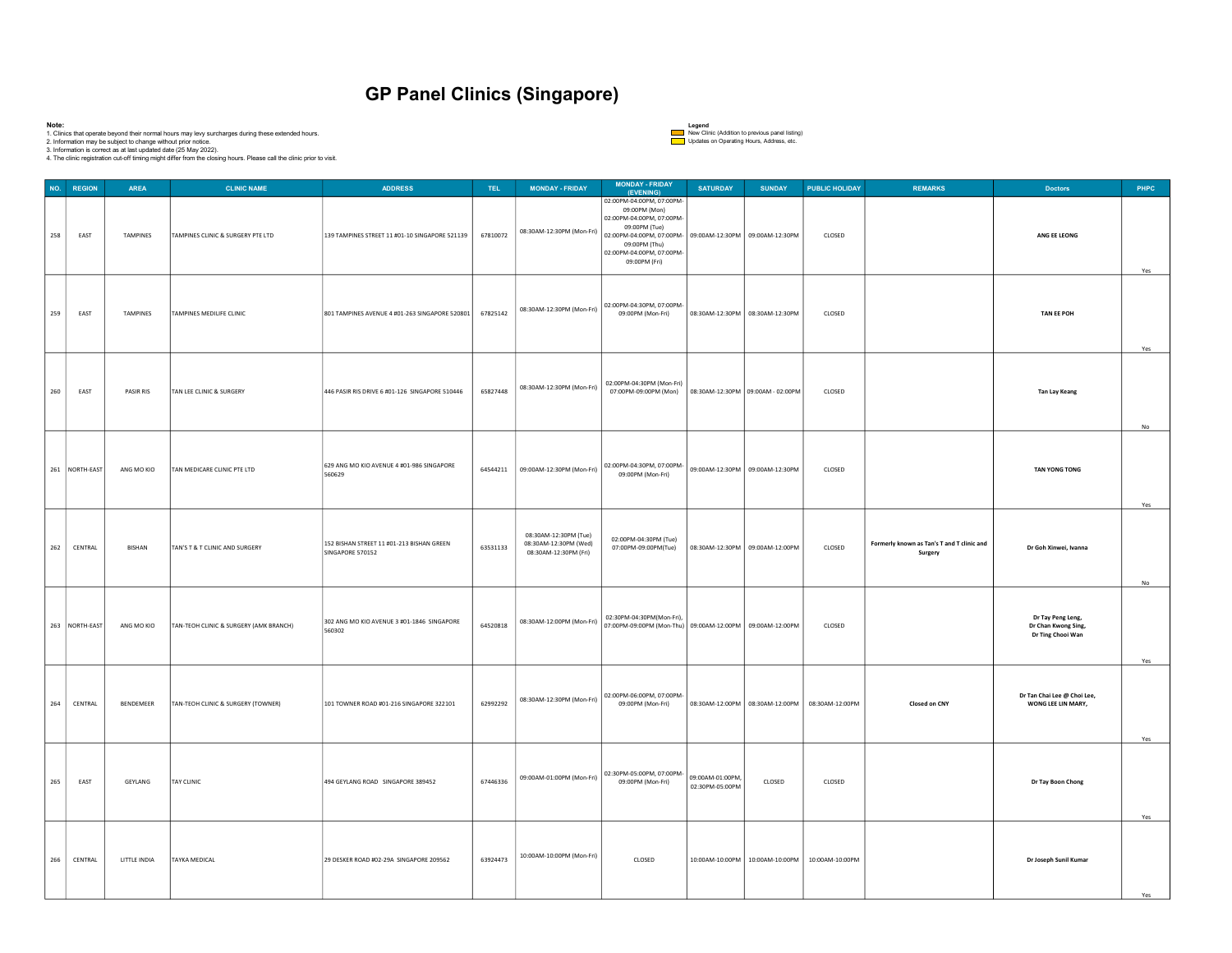| Note: |                | 2. Information may be subject to change without prior notice.<br>3. Information is correct as at last updated date (25 May 2022). | 1. Clinics that operate beyond their normal hours may levy surcharges during these extended hours.<br>4. The clinic registration cut-off timing might differ from the closing hours. Please call the clinic prior to visit. | <b>GP Panel Clinics (Singapore)</b>                           |          |                                                                         |                                                                                                                                                                                                                      | Legend<br>Updates on Operating Hours, Address, etc. | New Clinic (Addition to previous panel listing) |                |                                                       |                                                               |      |
|-------|----------------|-----------------------------------------------------------------------------------------------------------------------------------|-----------------------------------------------------------------------------------------------------------------------------------------------------------------------------------------------------------------------------|---------------------------------------------------------------|----------|-------------------------------------------------------------------------|----------------------------------------------------------------------------------------------------------------------------------------------------------------------------------------------------------------------|-----------------------------------------------------|-------------------------------------------------|----------------|-------------------------------------------------------|---------------------------------------------------------------|------|
|       | NO. REGION     | AREA                                                                                                                              | <b>CLINIC NAME</b>                                                                                                                                                                                                          | <b>ADDRESS</b>                                                | TEL.     | <b>MONDAY - FRIDAY</b>                                                  | <b>MONDAY - FRIDAY</b><br>(EVENING)                                                                                                                                                                                  | <b>SATURDAY</b>                                     | <b>SUNDAY</b>                                   | PUBLIC HOLIDAY | <b>REMARKS</b>                                        | <b>Doctors</b>                                                | PHPC |
| 258   | EAST           | TAMPINES                                                                                                                          | TAMPINES CLINIC & SURGERY PTE LTD                                                                                                                                                                                           | 139 TAMPINES STREET 11 #01-10 SINGAPORE 521139                | 67810072 | 08:30AM-12:30PM (Mon-Fri)                                               | 02:00PM-04:00PM, 07:00PM-<br>09:00PM (Mon)<br>02:00PM-04:00PM, 07:00PM-<br>09:00PM (Tue)<br>02:00PM-04:00PM, 07:00PM- 09:00AM-12:30PM 09:00AM-12:30PM<br>09:00PM (Thu)<br>02:00PM-04:00PM, 07:00PM-<br>09:00PM (Fri) |                                                     |                                                 | CLOSED         |                                                       | ANG EE LEONG                                                  | Yes  |
| 259   | EAST           | TAMPINES                                                                                                                          | TAMPINES MEDILIFE CLINIC                                                                                                                                                                                                    | 801 TAMPINES AVENUE 4 #01-263 SINGAPORE 520801                | 67825142 | 08:30AM-12:30PM (Mon-Fri)                                               | 02:00PM-04:30PM, 07:00PM-<br>09:00PM (Mon-Fri)                                                                                                                                                                       | 08:30AM-12:30PM 08:30AM-12:30PM                     |                                                 | CLOSED         |                                                       | <b>TAN EE POH</b>                                             | Yes  |
| 260   | EAST           | PASIR RIS                                                                                                                         | TAN LEE CLINIC & SURGERY                                                                                                                                                                                                    | 446 PASIR RIS DRIVE 6 #01-126 SINGAPORE 510446                | 65827448 | 08:30AM-12:30PM (Mon-Fri)                                               | 02:00PM-04:30PM (Mon-Fri)<br>07:00PM-09:00PM (Mon)  08:30AM-12:30PM  09:00AM - 02:00PM                                                                                                                               |                                                     |                                                 | CLOSED         |                                                       | <b>Tan Lay Keang</b>                                          | No   |
|       | 261 NORTH-EAST | ANG MO KIO                                                                                                                        | TAN MEDICARE CLINIC PTE LTD                                                                                                                                                                                                 | 629 ANG MO KIO AVENUE 4 #01-986 SINGAPORE<br>560629           |          | 64544211 09:00AM-12:30PM (Mon-Fri)                                      | 02:00PM-04:30PM, 07:00PM-<br>09:00PM (Mon-Fri)                                                                                                                                                                       | 09:00AM-12:30PM 09:00AM-12:30PM                     |                                                 | CLOSED         |                                                       | <b>TAN YONG TONG</b>                                          | Yes  |
| 262   | CENTRAL        | <b>BISHAN</b>                                                                                                                     | TAN'S T & T CLINIC AND SURGERY                                                                                                                                                                                              | 152 BISHAN STREET 11 #01-213 BISHAN GREEN<br>SINGAPORE 570152 | 63531133 | 08:30AM-12:30PM (Tue)<br>08:30AM-12:30PM (Wed)<br>08:30AM-12:30PM (Fri) | 02:00PM-04:30PM (Tue)<br>07:00PM-09:00PM(Tue)                                                                                                                                                                        | 08:30AM-12:30PM 09:00AM-12:00PM                     |                                                 | CLOSED         | Formerly known as Tan's T and T clinic and<br>Surgery | Dr Goh Xinwei, Ivanna                                         | No.  |
|       | 263 NORTH-EAST | ANG MO KIO                                                                                                                        | TAN-TEOH CLINIC & SURGERY (AMK BRANCH)                                                                                                                                                                                      | 302 ANG MO KIO AVENUE 3 #01-1846 SINGAPORE<br>560302          | 64520818 | 08:30AM-12:00PM (Mon-Fri)                                               | 02:30PM-04:30PM(Mon-Fri),<br>07:00PM-09:00PM (Mon-Thu) 09:00AM-12:00PM 09:00AM-12:00PM                                                                                                                               |                                                     |                                                 | CLOSED         |                                                       | Dr Tay Peng Leng,<br>Dr Chan Kwong Sing,<br>Dr Ting Chooi Wan | Yes  |
| 264   | CENTRAL        | BENDEMEER                                                                                                                         | TAN-TEOH CLINIC & SURGERY (TOWNER)                                                                                                                                                                                          | 101 TOWNER ROAD #01-216 SINGAPORE 322101                      | 62992292 | 08:30AM-12:30PM (Mon-Fri)                                               | 02:00PM-06:00PM, 07:00PM-<br>09:00PM (Mon-Fri)                                                                                                                                                                       |                                                     | 08:30AM-12:00PM 08:30AM-12:00PM 08:30AM-12:00PM |                | <b>Closed on CNY</b>                                  | Dr Tan Chai Lee @ Choi Lee,<br>WONG LEE LIN MARY,             | Yes  |
| 265   | EAST           | GEYLANG                                                                                                                           | TAY CLINIC                                                                                                                                                                                                                  | 494 GEYLANG ROAD SINGAPORE 389452                             | 67446336 | 09:00AM-01:00PM (Mon-Fri)                                               | 02:30PM-05:00PM, 07:00PM-<br>09:00PM (Mon-Fri)                                                                                                                                                                       | 09:00AM-01:00PM,<br>02:30PM-05:00PM                 | CLOSED                                          | CLOSED         |                                                       | Dr Tay Boon Chong                                             | Yes  |
| 266   | CENTRAL        | LITTLE INDIA                                                                                                                      | TAYKA MEDICAL                                                                                                                                                                                                               | 29 DESKER ROAD #02-29A SINGAPORE 209562                       | 63924473 | 10:00AM-10:00PM (Mon-Fri)                                               | CLOSED                                                                                                                                                                                                               |                                                     | 10:00AM-10:00PM 10:00AM-10:00PM 10:00AM-10:00PM |                |                                                       | Dr Joseph Sunil Kumar                                         |      |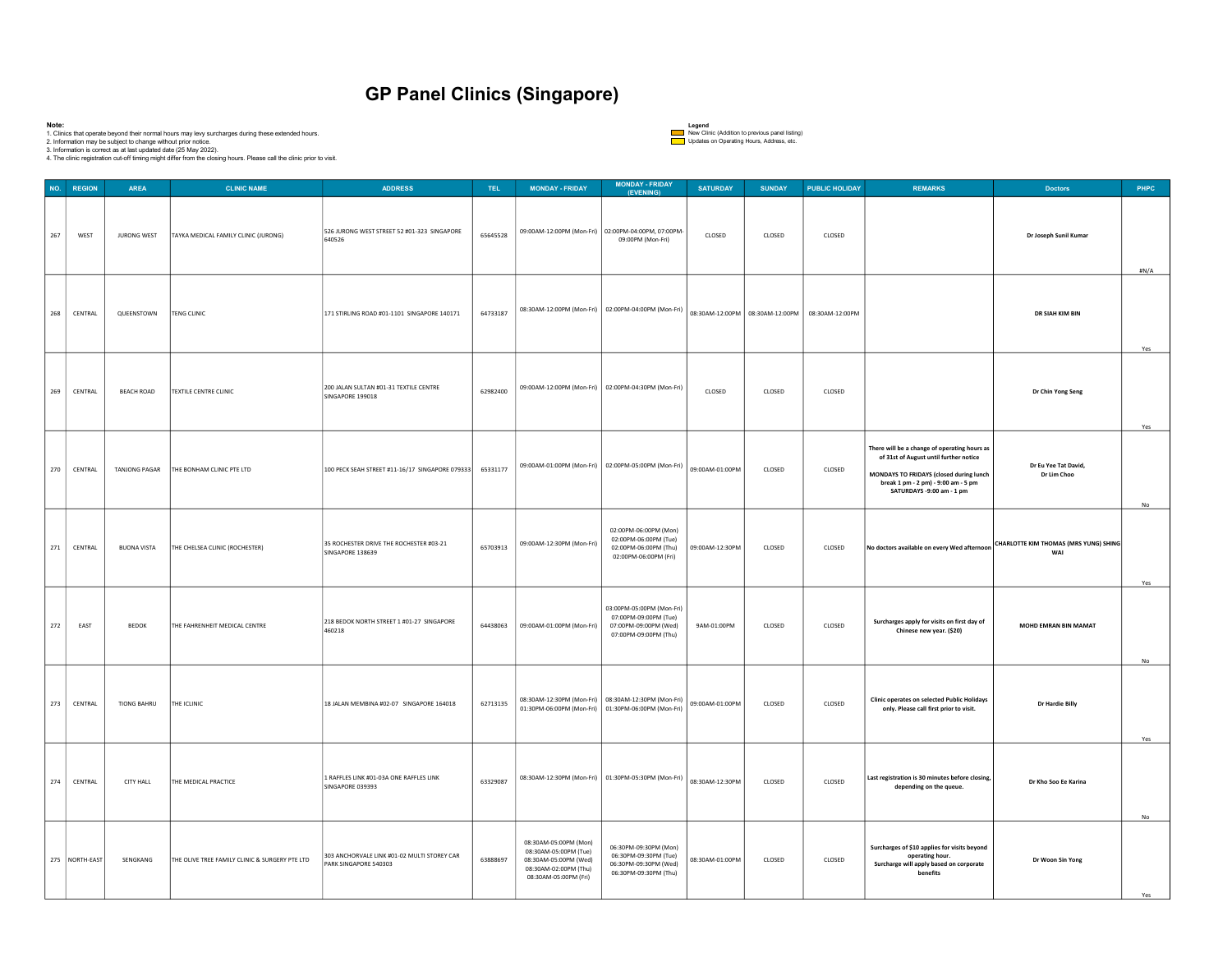|       |                |                                                                                                                                   |                                                                                                                                                                                                                             | <b>GP Panel Clinics (Singapore)</b>                                  |          |                                                                                                                           |                                                                                                            |                                                     |                                                 |                |                                                                                                                                                                                                       |                                              |      |
|-------|----------------|-----------------------------------------------------------------------------------------------------------------------------------|-----------------------------------------------------------------------------------------------------------------------------------------------------------------------------------------------------------------------------|----------------------------------------------------------------------|----------|---------------------------------------------------------------------------------------------------------------------------|------------------------------------------------------------------------------------------------------------|-----------------------------------------------------|-------------------------------------------------|----------------|-------------------------------------------------------------------------------------------------------------------------------------------------------------------------------------------------------|----------------------------------------------|------|
| Note: |                | 2. Information may be subject to change without prior notice.<br>3. Information is correct as at last updated date (25 May 2022). | 1. Clinics that operate beyond their normal hours may levy surcharges during these extended hours.<br>4. The clinic registration cut-off timing might differ from the closing hours. Please call the clinic prior to visit. |                                                                      |          |                                                                                                                           |                                                                                                            | Legend<br>Updates on Operating Hours, Address, etc. | New Clinic (Addition to previous panel listing) |                |                                                                                                                                                                                                       |                                              |      |
|       | NO. REGION     | <b>AREA</b>                                                                                                                       | <b>CLINIC NAME</b>                                                                                                                                                                                                          | <b>ADDRESS</b>                                                       | TEL.     | <b>MONDAY - FRIDAY</b>                                                                                                    | <b>MONDAY - FRIDAY</b>                                                                                     | <b>SATURDAY</b>                                     | <b>SUNDAY</b>                                   | PUBLIC HOLIDAY | <b>REMARKS</b>                                                                                                                                                                                        | <b>Doctors</b>                               | PHPC |
| 267   | WEST           | JURONG WEST                                                                                                                       | TAYKA MEDICAL FAMILY CLINIC (JURONG)                                                                                                                                                                                        | 526 JURONG WEST STREET 52 #01-323 SINGAPORE<br>640526                | 65645528 |                                                                                                                           | (EVENING)<br>09:00AM-12:00PM (Mon-Fri) 02:00PM-04:00PM, 07:00PM-<br>09:00PM (Mon-Fri)                      | CLOSED                                              | CLOSED                                          | CLOSED         |                                                                                                                                                                                                       | Dr Joseph Sunil Kumar                        | #N/A |
| 268   | CENTRAL        | QUEENSTOWN                                                                                                                        | <b>TENG CLINIC</b>                                                                                                                                                                                                          | 171 STIRLING ROAD #01-1101 SINGAPORE 140171                          | 64733187 |                                                                                                                           | 08:30AM-12:00PM (Mon-Fri) 02:00PM-04:00PM (Mon-Fri)                                                        |                                                     | 08:30AM-12:00PM 08:30AM-12:00PM 08:30AM-12:00PM |                |                                                                                                                                                                                                       | DR SIAH KIM BIN                              | Yes  |
| 269   | CENTRAL        | <b>BEACH ROAD</b>                                                                                                                 | TEXTILE CENTRE CLINIC                                                                                                                                                                                                       | 200 JALAN SULTAN #01-31 TEXTILE CENTRE<br>SINGAPORE 199018           | 62982400 |                                                                                                                           | 09:00AM-12:00PM (Mon-Fri)   02:00PM-04:30PM (Mon-Fri)                                                      | CLOSED                                              | CLOSED                                          | CLOSED         |                                                                                                                                                                                                       | Dr Chin Yong Seng                            | Yes  |
| 270   | CENTRAL        | <b>TANJONG PAGAR</b>                                                                                                              | THE BONHAM CLINIC PTE LTD                                                                                                                                                                                                   | 100 PECK SEAH STREET #11-16/17 SINGAPORE 079333 65331177             |          |                                                                                                                           | 09:00AM-01:00PM (Mon-Fri) 02:00PM-05:00PM (Mon-Fri)                                                        | 09:00AM-01:00PM                                     | CLOSED                                          | CLOSED         | There will be a change of operating hours as<br>of 31st of August until further notice<br>MONDAYS TO FRIDAYS (closed during lunch<br>break 1 pm - 2 pm) - 9:00 am - 5 pm<br>SATURDAYS -9:00 am - 1 pm | Dr Eu Yee Tat David,<br>Dr Lim Choo          | No   |
| 271   | CENTRAL        | <b>BUONA VISTA</b>                                                                                                                | THE CHELSEA CLINIC (ROCHESTER)                                                                                                                                                                                              | 35 ROCHESTER DRIVE THE ROCHESTER #03-21<br>SINGAPORE 138639          | 65703913 | 09:00AM-12:30PM (Mon-Fri)                                                                                                 | 02:00PM-06:00PM (Mon)<br>02:00PM-06:00PM (Tue)<br>02:00PM-06:00PM (Thu)<br>02:00PM-06:00PM (Fri)           | 09:00AM-12:30PM                                     | CLOSED                                          | CLOSED         | No doctors available on every Wed afternoon                                                                                                                                                           | CHARLOTTE KIM THOMAS (MRS YUNG) SHING<br>WAI | Yes  |
| 272   | EAST           | BEDOK                                                                                                                             | THE FAHRENHEIT MEDICAL CENTRE                                                                                                                                                                                               | 218 BEDOK NORTH STREET 1 #01-27 SINGAPORE<br>460218                  | 64438063 | 09:00AM-01:00PM (Mon-Fri)                                                                                                 | 03:00PM-05:00PM (Mon-Fri)<br>07:00PM-09:00PM (Tue)<br>07:00PM-09:00PM (Wed)<br>07:00PM-09:00PM (Thu)       | 9AM-01:00PM                                         | CLOSED                                          | CLOSED         | Surcharges apply for visits on first day of<br>Chinese new year. (\$20)                                                                                                                               | MOHD EMRAN BIN MAMAT                         | No   |
| 273   | CENTRAL        | <b>TIONG BAHRU</b>                                                                                                                | THE ICLINIC                                                                                                                                                                                                                 | 18 JALAN MEMBINA #02-07 SINGAPORE 164018                             | 62713135 |                                                                                                                           | 08:30AM-12:30PM (Mon-Fri) 08:30AM-12:30PM (Mon-Fri)<br>01:30PM-06:00PM (Mon-Fri) 01:30PM-06:00PM (Mon-Fri) | 09:00AM-01:00PM                                     | CLOSED                                          | CLOSED         | Clinic operates on selected Public Holidays<br>only. Please call first prior to visit.                                                                                                                | <b>Dr Hardie Billy</b>                       | Yes  |
| 274   | CENTRAL        | <b>CITY HALL</b>                                                                                                                  | THE MEDICAL PRACTICE                                                                                                                                                                                                        | 1 RAFFLES LINK #01-03A ONE RAFFLES LINK<br>SINGAPORE 039393          | 63329087 |                                                                                                                           | 08:30AM-12:30PM (Mon-Fri) 01:30PM-05:30PM (Mon-Fri)                                                        | 08:30AM-12:30PM                                     | CLOSED                                          | CLOSED         | Last registration is 30 minutes before closing,<br>depending on the queue.                                                                                                                            | Dr Kho Soo Ee Karina                         | No   |
|       | 275 NORTH-EAST | SENGKANG                                                                                                                          | THE OLIVE TREE FAMILY CLINIC & SURGERY PTE LTD                                                                                                                                                                              | 303 ANCHORVALE LINK #01-02 MULTI STOREY CAR<br>PARK SINGAPORE 540303 | 63888697 | 08:30AM-05:00PM (Mon)<br>08:30AM-05:00PM (Tue)<br>08:30AM-05:00PM (Wed)<br>08:30AM-02:00PM (Thu)<br>08:30AM-05:00PM (Fri) | 06:30PM-09:30PM (Mon)<br>06:30PM-09:30PM (Tue)<br>06:30PM-09:30PM (Wed)<br>06:30PM-09:30PM (Thu)           | 08:30AM-01:00PM                                     | CLOSED                                          | CLOSED         | Surcharges of \$10 applies for visits beyond<br>operating hour.<br>Surcharge will apply based on corporate<br>benefits                                                                                | Dr Woon Sin Yong                             |      |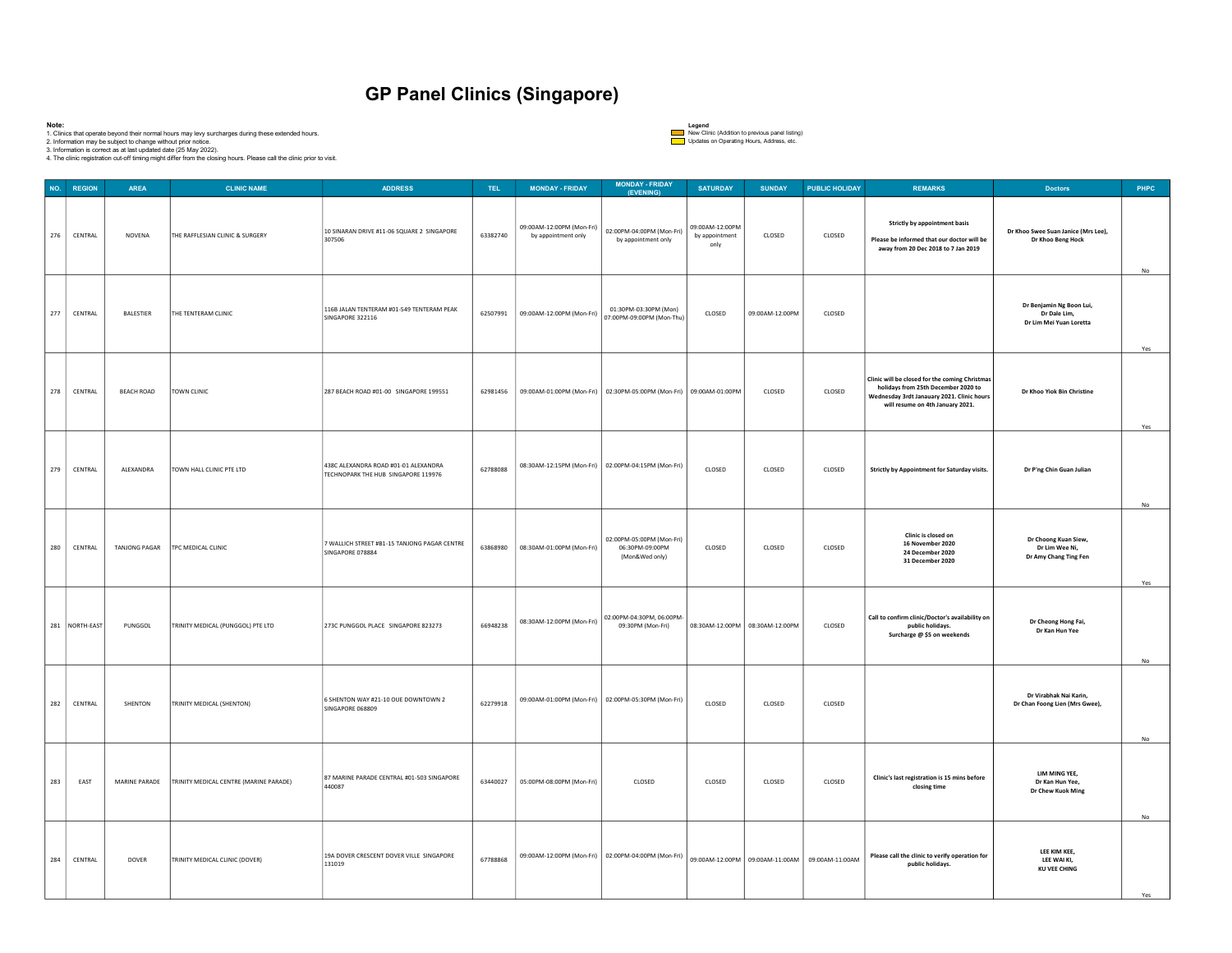| Note: |                       | 2. Information may be subject to change without prior notice.<br>3. Information is correct as at last updated date (25 May 2022). | 1. Clinics that operate beyond their normal hours may levy surcharges during these extended hours.<br>4. The clinic registration cut-off timing might differ from the closing hours. Please call the clinic prior to visit. | <b>GP Panel Clinics (Singapore)</b>                                         |                  |                                                                            |                                                                                         | Legend<br>Updates on Operating Hours, Address, etc.          | New Clinic (Addition to previous panel listing) |                          |                                                                                                                                                                         |                                                                            |           |
|-------|-----------------------|-----------------------------------------------------------------------------------------------------------------------------------|-----------------------------------------------------------------------------------------------------------------------------------------------------------------------------------------------------------------------------|-----------------------------------------------------------------------------|------------------|----------------------------------------------------------------------------|-----------------------------------------------------------------------------------------|--------------------------------------------------------------|-------------------------------------------------|--------------------------|-------------------------------------------------------------------------------------------------------------------------------------------------------------------------|----------------------------------------------------------------------------|-----------|
| 276   | NO. REGION<br>CENTRAL | <b>AREA</b><br>NOVENA                                                                                                             | <b>CLINIC NAME</b><br>THE RAFFLESIAN CLINIC & SURGERY                                                                                                                                                                       | <b>ADDRESS</b><br>10 SINARAN DRIVE #11-06 SQUARE 2 SINGAPORE<br>307506      | TEL.<br>63382740 | <b>MONDAY - FRIDAY</b><br>09:00AM-12:00PM (Mon-Fri)<br>by appointment only | <b>MONDAY - FRIDAY</b><br>(EVENING)<br>02:00PM-04:00PM (Mon-Fri)<br>by appointment only | <b>SATURDAY</b><br>09:00AM-12:00PM<br>by appointment<br>only | <b>SUNDAY</b><br>CLOSED                         | PUBLIC HOLIDAY<br>CLOSED | <b>REMARKS</b><br>Strictly by appointment basis<br>Please be informed that our doctor will be<br>away from 20 Dec 2018 to 7 Jan 2019                                    | <b>Doctors</b><br>Dr Khoo Swee Suan Janice (Mrs Lee),<br>Dr Khoo Beng Hock | PHPC      |
| 277   | CENTRAL               | BALESTIER                                                                                                                         | THE TENTERAM CLINIC                                                                                                                                                                                                         | 116B JALAN TENTERAM #01-549 TENTERAM PEAK<br>SINGAPORE 322116               | 62507991         | 09:00AM-12:00PM (Mon-Fri)                                                  | 01:30PM-03:30PM (Mon)<br>07:00PM-09:00PM (Mon-Thu)                                      | CLOSED                                                       | 09:00AM-12:00PM                                 | CLOSED                   |                                                                                                                                                                         | Dr Benjamin Ng Boon Lui,<br>Dr Dale Lim,<br>Dr Lim Mei Yuan Loretta        | No<br>Yes |
| 278   | CENTRAL               | <b>BEACH ROAD</b>                                                                                                                 | TOWN CLINIC                                                                                                                                                                                                                 | 287 BEACH ROAD #01-00 SINGAPORE 199551                                      |                  |                                                                            |                                                                                         |                                                              | CLOSED                                          | CLOSED                   | Clinic will be closed for the coming Christmas<br>holidays from 25th December 2020 to<br>Wednesday 3rdt Janauary 2021. Clinic hours<br>will resume on 4th January 2021. | Dr Khoo Yiok Bin Christine                                                 | Yes       |
| 279   | CENTRAL               | ALEXANDRA                                                                                                                         | TOWN HALL CLINIC PTE LTD                                                                                                                                                                                                    | 438C ALEXANDRA ROAD #01-01 ALEXANDRA<br>TECHNOPARK THE HUB SINGAPORE 119976 | 62788088         |                                                                            | 08:30AM-12:15PM (Mon-Fri)   02:00PM-04:15PM (Mon-Fri)                                   | CLOSED                                                       | CLOSED                                          | CLOSED                   | Strictly by Appointment for Saturday visits.                                                                                                                            | Dr P'ng Chin Guan Julian                                                   | No        |
| 280   | CENTRAL               | <b>TANJONG PAGAR</b>                                                                                                              | TPC MEDICAL CLINIC                                                                                                                                                                                                          | 7 WALLICH STREET #B1-15 TANJONG PAGAR CENTRE<br>SINGAPORE 078884            | 63868980         | 08:30AM-01:00PM (Mon-Fri)                                                  | 02:00PM-05:00PM (Mon-Fri)<br>06:30PM-09:00PM<br>(Mon&Wed only)                          | CLOSED                                                       | CLOSED                                          | CLOSED                   | Clinic is closed on<br>16 November 2020<br>24 December 2020<br>31 December 2020                                                                                         | Dr Choong Kuan Siew,<br>Dr Lim Wee Ni,<br>Dr Amy Chang Ting Fen            | Yes       |
|       | 281 NORTH-EAST        | PUNGGOL                                                                                                                           | TRINITY MEDICAL (PUNGGOL) PTE LTD                                                                                                                                                                                           | 273C PUNGGOL PLACE SINGAPORE 823273                                         | 66948238         | 08:30AM-12:00PM (Mon-Fri)                                                  | 02:00PM-04:30PM, 06:00PM-<br>09:30PM (Mon-Fri)                                          |                                                              | 08:30AM-12:00PM 08:30AM-12:00PM                 | CLOSED                   | Call to confirm clinic/Doctor's availability on<br>public holidays.<br>Surcharge $@$ \$5 on weekends                                                                    | Dr Cheong Hong Fai,<br>Dr Kan Hun Yee                                      | No        |
| 282   | CENTRAL               | SHENTON                                                                                                                           | TRINITY MEDICAL (SHENTON)                                                                                                                                                                                                   | 6 SHENTON WAY #21-10 OUE DOWNTOWN 2<br>SINGAPORE 068809                     | 62279918         |                                                                            | 09:00AM-01:00PM (Mon-Fri) 02:00PM-05:30PM (Mon-Fri)                                     | CLOSED                                                       | CLOSED                                          | CLOSED                   |                                                                                                                                                                         | Dr Virabhak Nai Karin,<br>Dr Chan Foong Lien (Mrs Gwee),                   | No        |
| 283   | EAST                  | MARINE PARADE                                                                                                                     | TRINITY MEDICAL CENTRE (MARINE PARADE)                                                                                                                                                                                      | 87 MARINE PARADE CENTRAL #01-503 SINGAPORE<br>440087                        | 63440027         | 05:00PM-08:00PM (Mon-Fri)                                                  | CLOSED                                                                                  | CLOSED                                                       | CLOSED                                          | CLOSED                   | Clinic's last registration is 15 mins before<br>closing time                                                                                                            | LIM MING YEE,<br>Dr Kan Hun Yee,<br>Dr Chew Kuok Ming                      | No.       |
| 284   | CENTRAL               | DOVER                                                                                                                             | TRINITY MEDICAL CLINIC (DOVER)                                                                                                                                                                                              | 19A DOVER CRESCENT DOVER VILLE SINGAPORE<br>131019                          | 67788868         |                                                                            | 09:00AM-12:00PM (Mon-Fri) 02:00PM-04:00PM (Mon-Fri)                                     |                                                              | 09:00AM-12:00PM 09:00AM-11:00AM 09:00AM-11:00AM |                          | Please call the clinic to verify operation for<br>public holidays.                                                                                                      | LEE KIM KEE,<br>LEE WAI KI,<br><b>KU VEE CHING</b>                         | Yes       |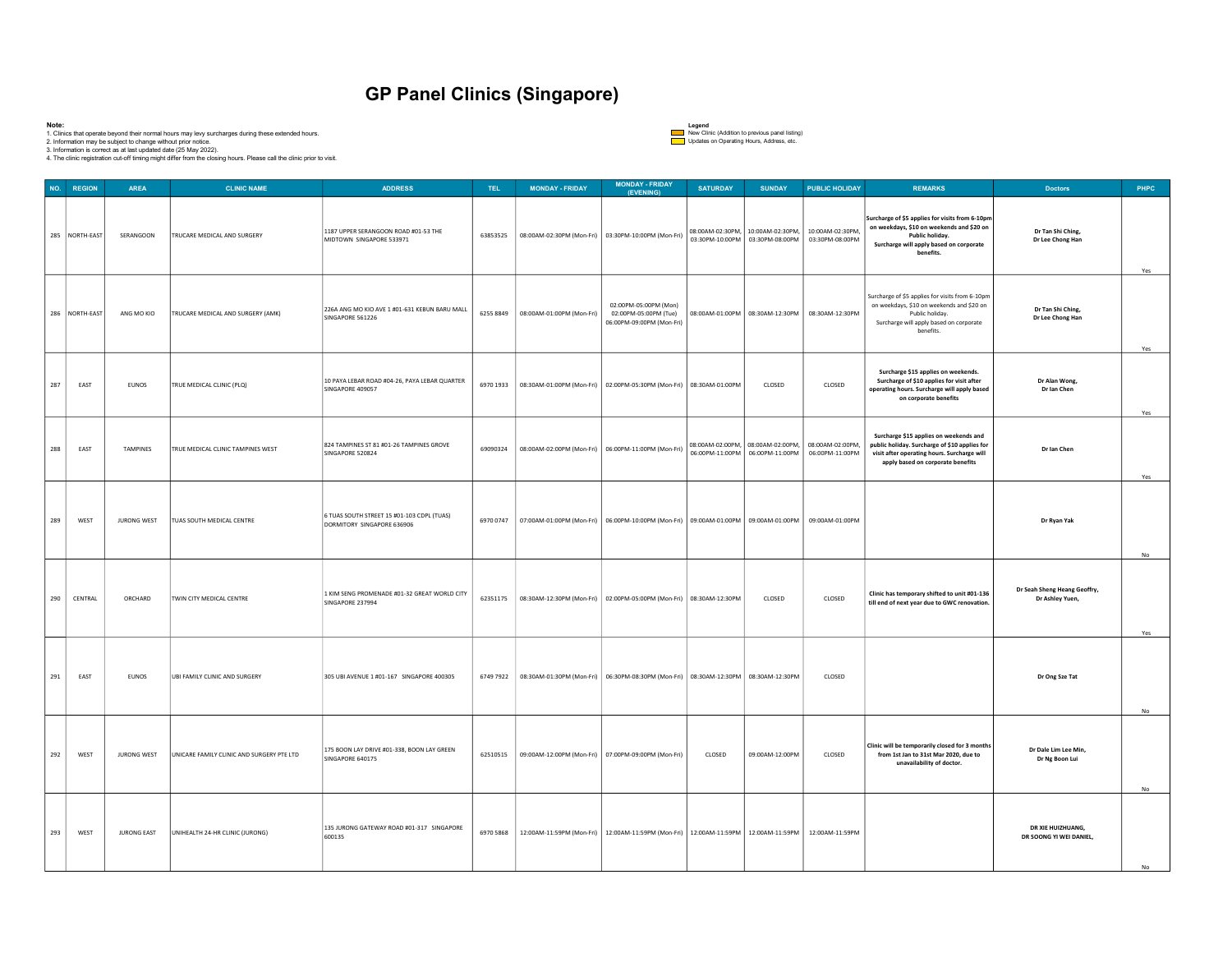| Note: |                  | 2. Information may be subject to change without prior notice.<br>3. Information is correct as at last updated date (25 May 2022). | 1. Clinics that operate beyond their normal hours may levy surcharges during these extended hours.<br>4. The clinic registration cut-off timing might differ from the closing hours. Please call the clinic prior to visit. | <b>GP Panel Clinics (Singapore)</b>                                      |           |                                                                                                                       |                                                                                                             | Legend<br>Updates on Operating Hours, Address, etc. | New Clinic (Addition to previous panel listing)                                       |                                                 |                                                                                                                                                                             |                                                 |      |
|-------|------------------|-----------------------------------------------------------------------------------------------------------------------------------|-----------------------------------------------------------------------------------------------------------------------------------------------------------------------------------------------------------------------------|--------------------------------------------------------------------------|-----------|-----------------------------------------------------------------------------------------------------------------------|-------------------------------------------------------------------------------------------------------------|-----------------------------------------------------|---------------------------------------------------------------------------------------|-------------------------------------------------|-----------------------------------------------------------------------------------------------------------------------------------------------------------------------------|-------------------------------------------------|------|
|       | NO. REGION       | AREA                                                                                                                              | <b>CLINIC NAME</b>                                                                                                                                                                                                          | <b>ADDRESS</b>                                                           | TEL.      | <b>MONDAY - FRIDAY</b>                                                                                                | <b>MONDAY - FRIDAY</b><br>(EVENING)                                                                         | <b>SATURDAY</b>                                     | <b>SUNDAY</b>                                                                         | PUBLIC HOLIDAY                                  | <b>REMARKS</b>                                                                                                                                                              | <b>Doctors</b>                                  | PHPC |
|       | 285   NORTH-EAST | SERANGOON                                                                                                                         | TRUCARE MEDICAL AND SURGERY                                                                                                                                                                                                 | 1187 UPPER SERANGOON ROAD #01-53 THE<br>MIDTOWN SINGAPORE 533971         | 63853525  |                                                                                                                       | 08:00AM-02:30PM (Mon-Fri) 03:30PM-10:00PM (Mon-Fri)                                                         |                                                     | 08:00AM-02:30PM, 10:00AM-02:30PM, 10:00AM-02:30PM,<br>03:30PM-10:00PM 03:30PM-08:00PM | 03:30PM-08:00PM                                 | Surcharge of \$5 applies for visits from 6-10pm<br>on weekdays, \$10 on weekends and \$20 on<br>Public holiday.<br>Surcharge will apply based on corporate<br>benefits.     | Dr Tan Shi Ching,<br>Dr Lee Chong Han           | Yes  |
| 286   | NORTH-EAST       | ANG MO KIO                                                                                                                        | TRUCARE MEDICAL AND SURGERY (AMK)                                                                                                                                                                                           | 226A ANG MO KIO AVE 1 #01-631 KEBUN BARU MALL<br>SINGAPORE 561226        | 6255 8849 | 08:00AM-01:00PM (Mon-Fri)                                                                                             | 02:00PM-05:00PM (Mon)<br>02:00PM-05:00PM (Tue)<br>06:00PM-09:00PM (Mon-Fri)                                 |                                                     | 08:00AM-01:00PM 08:30AM-12:30PM 08:30AM-12:30PM                                       |                                                 | Surcharge of \$5 applies for visits from 6-10pm<br>on weekdays, \$10 on weekends and \$20 on<br>Public holiday.<br>Surcharge will apply based on corporate<br>benefits.     | Dr Tan Shi Ching,<br>Dr Lee Chong Han           | Yes  |
| 287   | EAST             | <b>EUNOS</b>                                                                                                                      | TRUE MEDICAL CLINIC (PLQ)                                                                                                                                                                                                   | 10 PAYA LEBAR ROAD #04-26, PAYA LEBAR QUARTER<br>SINGAPORE 409057        |           | 6970 1933 08:30AM-01:00PM (Mon-Fri) 02:00PM-05:30PM (Mon-Fri) 08:30AM-01:00PM CLOSED                                  |                                                                                                             |                                                     |                                                                                       | CLOSED                                          | Surcharge \$15 applies on weekends.<br>Surcharge of \$10 applies for visit after<br>operating hours. Surcharge will apply based<br>on corporate benefits                    | Dr Alan Wong,<br>Dr Ian Chen                    | Yes  |
| 288   | EAST             | TAMPINES                                                                                                                          | TRUE MEDICAL CLINIC TAMPINES WEST                                                                                                                                                                                           | 824 TAMPINES ST 81 #01-26 TAMPINES GROVE<br>SINGAPORE 520824             |           | 69090324   08:00AM-02:00PM (Mon-Fri)   06:00PM-11:00PM (Mon-Fri)                                                      |                                                                                                             |                                                     | 08:00AM-02:00PM, 08:00AM-02:00PM, 08:00AM-02:00PM,                                    | 06:00PM-11:00PM 06:00PM-11:00PM 06:00PM-11:00PM | Surcharge \$15 applies on weekends and<br>public holiday. Surcharge of \$10 applies for<br>visit after operating hours. Surcharge will<br>apply based on corporate benefits | Dr Ian Chen                                     | Yes  |
| 289   | WEST             | JURONG WEST                                                                                                                       | TUAS SOUTH MEDICAL CENTRE                                                                                                                                                                                                   | 6 TUAS SOUTH STREET 15 #01-103 CDPL (TUAS)<br>DORMITORY SINGAPORE 636906 |           | 6970 0747 07:00AM-01:00PM (Mon-Fri)   06:00PM-10:00PM (Mon-Fri)   09:00AM-01:00PM   09:00AM-01:00PM   09:00AM-01:00PM |                                                                                                             |                                                     |                                                                                       |                                                 |                                                                                                                                                                             | Dr Ryan Yak                                     | No   |
| 290   | CENTRAL          | ORCHARD                                                                                                                           | TWIN CITY MEDICAL CENTRE                                                                                                                                                                                                    | 1 KIM SENG PROMENADE #01-32 GREAT WORLD CITY<br>SINGAPORE 237994         |           | 62351175   08:30AM-12:30PM (Mon-Fri)   02:00PM-05:00PM (Mon-Fri)   08:30AM-12:30PM                                    |                                                                                                             |                                                     | CLOSED                                                                                | CLOSED                                          | Clinic has temporary shifted to unit #01-136<br>till end of next year due to GWC renovation.                                                                                | Dr Seah Sheng Heang Geoffry,<br>Dr Ashley Yuen, | Yes  |
| 291   | EAST             | EUNOS                                                                                                                             | UBI FAMILY CLINIC AND SURGERY                                                                                                                                                                                               | 305 UBI AVENUE 1 #01-167 SINGAPORE 400305                                |           | 6749 7922 08:30AM-01:30PM (Mon-Fri) 06:30PM-08:30PM (Mon-Fri) 08:30AM-12:30PM 08:30AM-12:30PM                         |                                                                                                             |                                                     |                                                                                       | CLOSED                                          |                                                                                                                                                                             | Dr Ong Sze Tat                                  | No   |
| 292   | WEST             | JURONG WEST                                                                                                                       | UNICARE FAMILY CLINIC AND SURGERY PTE LTD                                                                                                                                                                                   | 175 BOON LAY DRIVE #01-338, BOON LAY GREEN<br>SINGAPORE 640175           |           | 62510515 09:00AM-12:00PM (Mon-Fri) 07:00PM-09:00PM (Mon-Fri)                                                          |                                                                                                             | CLOSED                                              | 09:00AM-12:00PM                                                                       | CLOSED                                          | Clinic will be temporarily closed for 3 months<br>from 1st Jan to 31st Mar 2020, due to<br>unavailability of doctor.                                                        | Dr Dale Lim Lee Min,<br>Dr Ng Boon Lui          | No   |
| 293   | WEST             | <b>JURONG EAST</b>                                                                                                                | UNIHEALTH 24-HR CLINIC (JURONG)                                                                                                                                                                                             | 135 JURONG GATEWAY ROAD #01-317 SINGAPORE<br>600135                      | 6970 5868 |                                                                                                                       | 12:00AM-11:59PM (Mon-Fri)   12:00AM-11:59PM (Mon-Fri)   12:00AM-11:59PM   12:00AM-11:59PM   12:00AM-11:59PM |                                                     |                                                                                       |                                                 |                                                                                                                                                                             | DR XIE HUIZHUANG,<br>DR SOONG YI WEI DANIEL,    |      |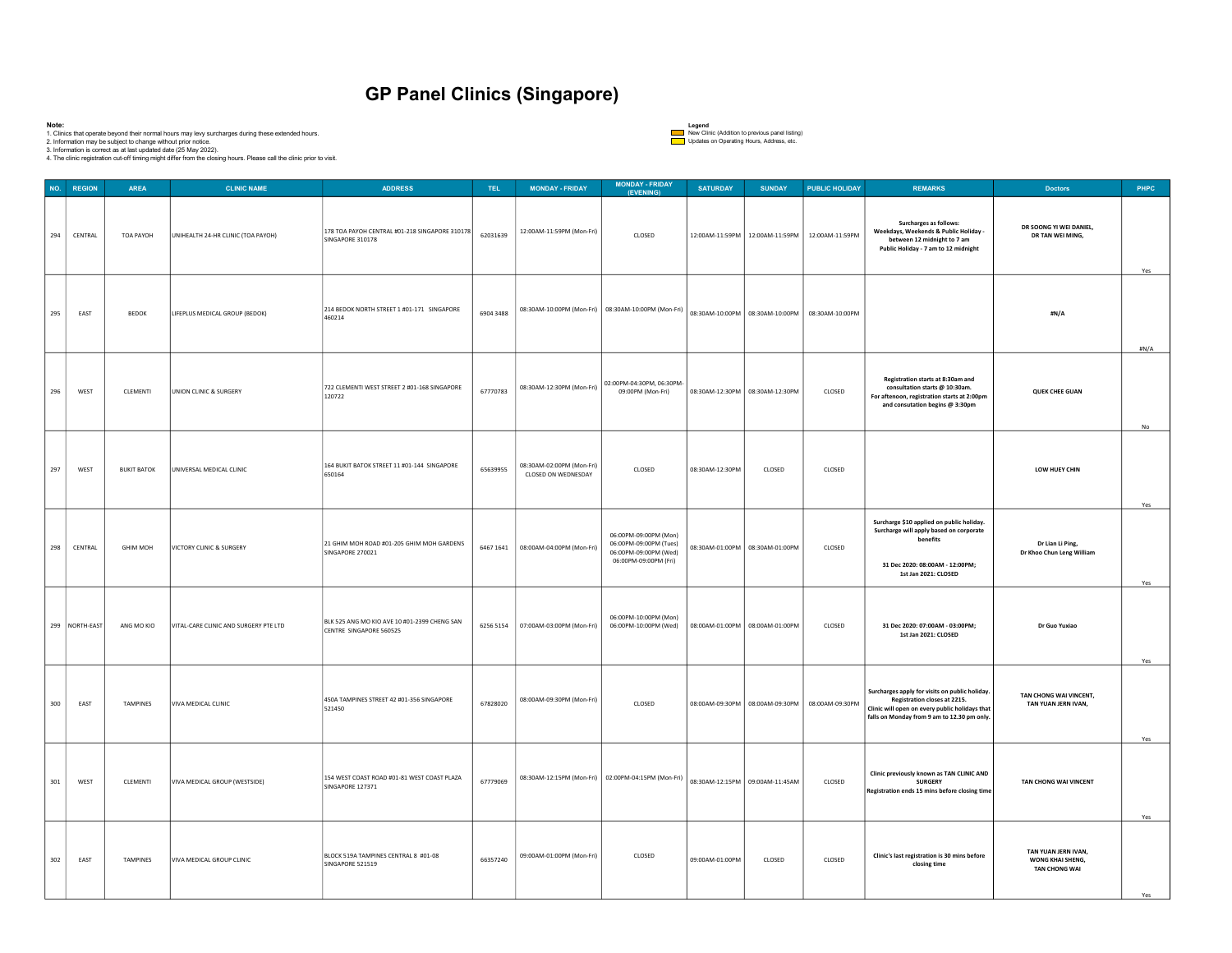| Note: |                       | 2. Information may be subject to change without prior notice.<br>3. Information is correct as at last updated date (25 May 2022). | 1. Clinics that operate beyond their normal hours may levy surcharges during these extended hours.<br>4. The clinic registration cut-off timing might differ from the closing hours. Please call the clinic prior to visit. | <b>GP Panel Clinics (Singapore)</b>                                                  |                  |                                                     |                                                                                                                                                                    | Legend<br>Updates on Operating Hours, Address, etc. | New Clinic (Addition to previous panel listing)  |                                   |                                                                                                                                                                                 |                                                                 |             |
|-------|-----------------------|-----------------------------------------------------------------------------------------------------------------------------------|-----------------------------------------------------------------------------------------------------------------------------------------------------------------------------------------------------------------------------|--------------------------------------------------------------------------------------|------------------|-----------------------------------------------------|--------------------------------------------------------------------------------------------------------------------------------------------------------------------|-----------------------------------------------------|--------------------------------------------------|-----------------------------------|---------------------------------------------------------------------------------------------------------------------------------------------------------------------------------|-----------------------------------------------------------------|-------------|
| 294   | NO. REGION<br>CENTRAL | <b>AREA</b><br>TOA PAYOH                                                                                                          | <b>CLINIC NAME</b><br>UNIHEALTH 24-HR CLINIC (TOA PAYOH)                                                                                                                                                                    | <b>ADDRESS</b><br>178 TOA PAYOH CENTRAL #01-218 SINGAPORE 310178<br>SINGAPORE 310178 | TEL.<br>62031639 | <b>MONDAY - FRIDAY</b><br>12:00AM-11:59PM (Mon-Fri) | <b>MONDAY - FRIDAY</b><br>(EVENING)<br>CLOSED                                                                                                                      | <b>SATURDAY</b>                                     | <b>SUNDAY</b><br>12:00AM-11:59PM 12:00AM-11:59PM | PUBLIC HOLIDAY<br>12:00AM-11:59PM | <b>REMARKS</b><br>Surcharges as follows:<br>Weekdays, Weekends & Public Holiday -<br>between 12 midnight to 7 am<br>Public Holiday - 7 am to 12 midnight                        | <b>Doctors</b><br>DR SOONG YI WEI DANIEL,<br>DR TAN WEI MING,   | PHPC        |
| 295   | EAST                  | <b>BEDOK</b>                                                                                                                      | LIFEPLUS MEDICAL GROUP (BEDOK)                                                                                                                                                                                              | 214 BEDOK NORTH STREET 1 #01-171 SINGAPORE<br>460214                                 | 6904 3488        |                                                     | 08:30AM-10:00PM (Mon-Fri) 08:30AM-10:00PM (Mon-Fri)                                                                                                                |                                                     | 08:30AM-10:00PM 08:30AM-10:00PM                  | 08:30AM-10:00PM                   |                                                                                                                                                                                 | #N/A                                                            | Yes<br>#N/A |
| 296   | WEST                  | CLEMENTI                                                                                                                          | UNION CLINIC & SURGERY                                                                                                                                                                                                      | /22 CLEMENTI WEST STREET 2 #01-168 SINGAPORE<br>120722                               | 67770783         | 08:30AM-12:30PM (Mon-Fri)                           | 02:00PM-04:30PM, 06:30PM-<br>09:00PM (Mon-Fri)                                                                                                                     | 08:30AM-12:30PM 08:30AM-12:30PM                     |                                                  | CLOSED                            | Registration starts at 8:30am and<br>consultation starts @ 10:30am.<br>For aftenoon, registration starts at 2:00pm<br>and consutation begins @ 3:30pm                           | <b>QUEK CHEE GUAN</b>                                           | No          |
| 297   | WEST                  | <b>BUKIT BATOK</b>                                                                                                                | UNIVERSAL MEDICAL CLINIC                                                                                                                                                                                                    | 164 BUKIT BATOK STREET 11 #01-144 SINGAPORE<br>650164                                | 65639955         | 08:30AM-02:00PM (Mon-Fri)<br>CLOSED ON WEDNESDAY    | CLOSED                                                                                                                                                             | 08:30AM-12:30PM                                     | CLOSED                                           | CLOSED                            |                                                                                                                                                                                 | LOW HUEY CHIN                                                   | Yes         |
| 298   | CENTRAL               | <b>GHIM MOH</b>                                                                                                                   | VICTORY CLINIC & SURGERY                                                                                                                                                                                                    | 21 GHIM MOH ROAD #01-205 GHIM MOH GARDENS<br>SINGAPORE 270021                        | 6467 1641        | 08:00AM-04:00PM (Mon-Fri)                           | 06:00PM-09:00PM (Mon)<br>06:00PM-09:00PM (Tues)<br>06:00PM-09:00PM (Wed)<br>06:00PM-09:00PM (Fri)                                                                  | 08:30AM-01:00PM 08:30AM-01:00PM                     |                                                  | CLOSED                            | Surcharge \$10 applied on public holiday.<br>Surcharge will apply based on corporate<br>benefits<br>31 Dec 2020: 08:00AM - 12:00PM;<br>1st Jan 2021: CLOSED                     | Dr Lian Li Ping,<br>Dr Khoo Chun Leng William                   | Yes         |
|       | 299 NORTH-EAST        | ANG MO KIO                                                                                                                        | VITAL-CARE CLINIC AND SURGERY PTE LTD                                                                                                                                                                                       | BLK 525 ANG MO KIO AVE 10 #01-2399 CHENG SAN<br>CENTRE SINGAPORE 560525              | 6256 5154        | 07:00AM-03:00PM (Mon-Fri)                           | 06:00PM-10:00PM (Mon)<br>06:00PM-10:00PM (Wed)                                                                                                                     | 08:00AM-01:00PM 08:00AM-01:00PM                     |                                                  | CLOSED                            | 31 Dec 2020: 07:00AM - 03:00PM;<br>1st Jan 2021: CLOSED                                                                                                                         | Dr Guo Yuxiao                                                   | Yes         |
| 300   | EAST                  | TAMPINES                                                                                                                          | VIVA MEDICAL CLINIC                                                                                                                                                                                                         | 450A TAMPINES STREET 42 #01-356 SINGAPORE<br>521450                                  | 67828020         | 08:00AM-09:30PM (Mon-Fri)                           | CLOSED                                                                                                                                                             |                                                     | 08:00AM-09:30PM   08:00AM-09:30PM                | 08:00AM-09:30PM                   | Surcharges apply for visits on public holiday.<br>Registration closes at 2215.<br>Clinic will open on every public holidays that<br>falls on Monday from 9 am to 12.30 pm only. | TAN CHONG WAI VINCENT,<br>TAN YUAN JERN IVAN,                   | Yes         |
| 301   | WEST                  | CLEMENTI                                                                                                                          | VIVA MEDICAL GROUP (WESTSIDE)                                                                                                                                                                                               | 154 WEST COAST ROAD #01-81 WEST COAST PLAZA<br>SINGAPORE 127371                      | 67779069         |                                                     | $\mid 08:30AM \cdot 12:15PM\ (Mon-Fri) \ \right  \ \ 02:00PM \cdot 04:15PM\ (Mon-Fri) \ \ \right  \ \ 08:30AM \cdot 12:15PM \ \ \right  \ \ 09:00AM \cdot 11:45AM$ |                                                     |                                                  | CLOSED                            | Clinic previously known as TAN CLINIC AND<br><b>SURGERY</b><br>Registration ends 15 mins before closing time                                                                    | TAN CHONG WAI VINCENT                                           | Yes         |
| 302   | EAST                  | TAMPINES                                                                                                                          | VIVA MEDICAL GROUP CLINIC                                                                                                                                                                                                   | BLOCK 519A TAMPINES CENTRAL 8 #01-08<br>SINGAPORE 521519                             | 66357240         | 09:00AM-01:00PM (Mon-Fri)                           | CLOSED                                                                                                                                                             | 09:00AM-01:00PM                                     | CLOSED                                           | CLOSED                            | Clinic's last registration is 30 mins before<br>closing time                                                                                                                    | TAN YUAN JERN IVAN,<br>WONG KHAI SHENG,<br><b>TAN CHONG WAI</b> |             |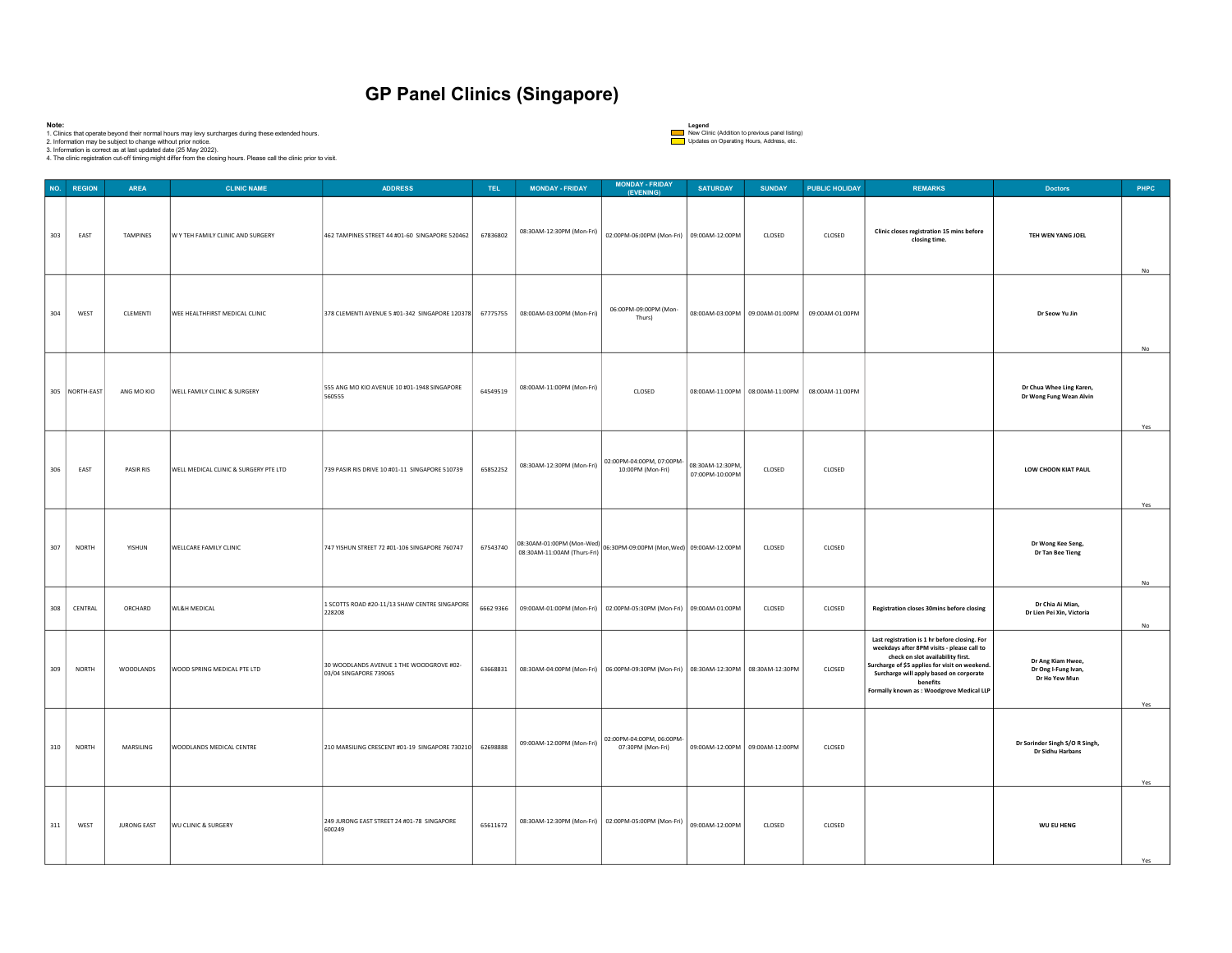| Note: |                | 2. Information may be subject to change without prior notice.<br>3. Information is correct as at last updated date (25 May 2022). | 1. Clinics that operate beyond their normal hours may levy surcharges during these extended hours.<br>4. The clinic registration cut-off timing might differ from the closing hours. Please call the clinic prior to visit. | <b>GP Panel Clinics (Singapore)</b>                                |           |                                                                                                      |                                                                          | Legend<br>Updates on Operating Hours, Address, etc. | New Clinic (Addition to previous panel listing) |                 |                                                                                                                                                                                                                                                                                        |                                                           |            |
|-------|----------------|-----------------------------------------------------------------------------------------------------------------------------------|-----------------------------------------------------------------------------------------------------------------------------------------------------------------------------------------------------------------------------|--------------------------------------------------------------------|-----------|------------------------------------------------------------------------------------------------------|--------------------------------------------------------------------------|-----------------------------------------------------|-------------------------------------------------|-----------------|----------------------------------------------------------------------------------------------------------------------------------------------------------------------------------------------------------------------------------------------------------------------------------------|-----------------------------------------------------------|------------|
|       | NO. REGION     | AREA                                                                                                                              | <b>CLINIC NAME</b>                                                                                                                                                                                                          | <b>ADDRESS</b>                                                     | TEL.      | <b>MONDAY - FRIDAY</b>                                                                               | <b>MONDAY - FRIDAY</b><br>(EVENING)                                      | <b>SATURDAY</b>                                     | <b>SUNDAY</b>                                   | PUBLIC HOLIDAY  | REMARKS                                                                                                                                                                                                                                                                                | <b>Doctors</b>                                            | PHPC       |
| 303   | EAST           | TAMPINES                                                                                                                          | W Y TEH FAMILY CLINIC AND SURGERY                                                                                                                                                                                           | 462 TAMPINES STREET 44 #01-60 SINGAPORE 520462                     | 67836802  | 08:30AM-12:30PM (Mon-Fri)                                                                            | 02:00PM-06:00PM (Mon-Fri) 09:00AM-12:00PM                                |                                                     | CLOSED                                          | CLOSED          | Clinic closes registration 15 mins before<br>closing time.                                                                                                                                                                                                                             | TEH WEN YANG JOEL                                         | No         |
| 304   | WEST           | CLEMENTI                                                                                                                          | WEE HEALTHFIRST MEDICAL CLINIC                                                                                                                                                                                              | 378 CLEMENTI AVENUE 5 #01-342 SINGAPORE 120378                     | 67775755  | 08:00AM-03:00PM (Mon-Fri)                                                                            | 06:00PM-09:00PM (Mon-<br>Thurs)                                          |                                                     | 08:00AM-03:00PM 09:00AM-01:00PM                 | 09:00AM-01:00PM |                                                                                                                                                                                                                                                                                        | Dr Seow Yu Jin                                            | No         |
|       | 305 NORTH-EAST | ANG MO KIO                                                                                                                        | WELL FAMILY CLINIC & SURGERY                                                                                                                                                                                                | 555 ANG MO KIO AVENUE 10 #01-1948 SINGAPORE<br>560555              | 64549519  | 08:00AM-11:00PM (Mon-Fri)                                                                            | CLOSED                                                                   |                                                     | 08:00AM-11:00PM 08:00AM-11:00PM 08:00AM-11:00PM |                 |                                                                                                                                                                                                                                                                                        | Dr Chua Whee Ling Karen,<br>Dr Wong Fung Wean Alvin       | Yes        |
| 306   | EAST           | PASIR RIS                                                                                                                         | WELL MEDICAL CLINIC & SURGERY PTE LTD                                                                                                                                                                                       | 739 PASIR RIS DRIVE 10 #01-11 SINGAPORE 510739                     | 65852252  |                                                                                                      | 08:30AM-12:30PM (Mon-Fri) 02:00PM-04:00PM, 07:00PM-<br>10:00PM (Mon-Fri) | 08:30AM-12:30PM,<br>07:00PM-10:00PM                 | CLOSED                                          | CLOSED          |                                                                                                                                                                                                                                                                                        | LOW CHOON KIAT PAUL                                       | Yes        |
| 307   | NORTH          | YISHUN                                                                                                                            | WELLCARE FAMILY CLINIC                                                                                                                                                                                                      | 747 YISHUN STREET 72 #01-106 SINGAPORE 760747                      | 67543740  |                                                                                                      |                                                                          |                                                     | CLOSED                                          | CLOSED          |                                                                                                                                                                                                                                                                                        | Dr Wong Kee Seng,<br>Dr Tan Bee Tieng                     |            |
| 308   | CENTRAL        | ORCHARD                                                                                                                           | WL&H MEDICAL                                                                                                                                                                                                                | 1 SCOTTS ROAD #20-11/13 SHAW CENTRE SINGAPORE<br>228208            | 6662 9366 |                                                                                                      | 09:00AM-01:00PM (Mon-Fri) 02:00PM-05:30PM (Mon-Fri) 09:00AM-01:00PM      |                                                     | CLOSED                                          | CLOSED          | Registration closes 30mins before closing                                                                                                                                                                                                                                              | Dr Chia Ai Mian,<br>Dr Lien Pei Xin, Victoria             | No.<br>No. |
| 309   | NORTH          | WOODLANDS                                                                                                                         | WOOD SPRING MEDICAL PTE LTD                                                                                                                                                                                                 | 30 WOODLANDS AVENUE 1 THE WOODGROVE #02-<br>03/04 SINGAPORE 739065 |           | 63668831   08:30AM-04:00PM (Mon-Fri)   06:00PM-09:30PM (Mon-Fri)   08:30AM-12:30PM   08:30AM-12:30PM |                                                                          |                                                     |                                                 | CLOSED          | Last registration is 1 hr before closing. For<br>weekdays after 8PM visits - please call to<br>check on slot availability first.<br>Surcharge of \$5 applies for visit on weekend.<br>Surcharge will apply based on corporate<br>benefits<br>Formally known as : Woodgrove Medical LLP | Dr Ang Kiam Hwee,<br>Dr Ong I-Fung Ivan,<br>Dr Ho Yew Mun | Yes        |
| 310   | NORTH          | MARSILING                                                                                                                         | WOODLANDS MEDICAL CENTRE                                                                                                                                                                                                    | 210 MARSILING CRESCENT #01-19 SINGAPORE 730210                     | 62698888  | 09:00AM-12:00PM (Mon-Fri)                                                                            | 02:00PM-04:00PM, 06:00PM-<br>07:30PM (Mon-Fri)                           |                                                     | 09:00AM-12:00PM 09:00AM-12:00PM                 | CLOSED          |                                                                                                                                                                                                                                                                                        | Dr Sorinder Singh S/O R Singh,<br>Dr Sidhu Harbans        | Yes        |
| 311   | WEST           | <b>JURONG EAST</b>                                                                                                                | WU CLINIC & SURGERY                                                                                                                                                                                                         | 249 JURONG EAST STREET 24 #01-78 SINGAPORE<br>600249               | 65611672  |                                                                                                      | 08:30AM-12:30PM (Mon-Fri) 02:00PM-05:00PM (Mon-Fri) 09:00AM-12:00PM      |                                                     | CLOSED                                          | CLOSED          |                                                                                                                                                                                                                                                                                        | WU EU HENG                                                |            |